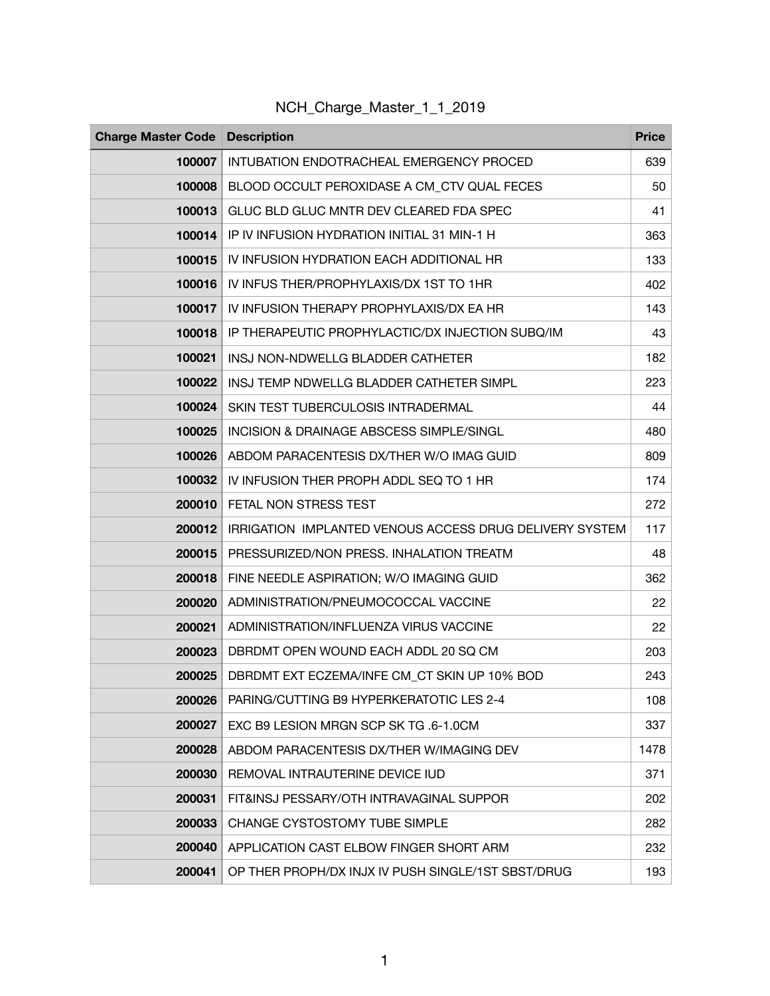| <b>Charge Master Code Description</b> |                                                         | <b>Price</b> |
|---------------------------------------|---------------------------------------------------------|--------------|
| 100007                                | INTUBATION ENDOTRACHEAL EMERGENCY PROCED                | 639          |
| 100008                                | BLOOD OCCULT PEROXIDASE A CM_CTV QUAL FECES             | 50           |
| 100013                                | GLUC BLD GLUC MNTR DEV CLEARED FDA SPEC                 | 41           |
| 100014                                | IP IV INFUSION HYDRATION INITIAL 31 MIN-1 H             | 363          |
| 100015                                | IV INFUSION HYDRATION EACH ADDITIONAL HR                | 133          |
| 100016                                | IV INFUS THER/PROPHYLAXIS/DX 1ST TO 1HR                 | 402          |
| 100017                                | IV INFUSION THERAPY PROPHYLAXIS/DX EA HR                | 143          |
| 100018                                | IP THERAPEUTIC PROPHYLACTIC/DX INJECTION SUBQ/IM        | 43           |
| 100021                                | INSJ NON-NDWELLG BLADDER CATHETER                       | 182          |
| 100022                                | INSJ TEMP NDWELLG BLADDER CATHETER SIMPL                | 223          |
| 100024                                | SKIN TEST TUBERCULOSIS INTRADERMAL                      | 44           |
| 100025                                | <b>INCISION &amp; DRAINAGE ABSCESS SIMPLE/SINGL</b>     | 480          |
| 100026                                | ABDOM PARACENTESIS DX/THER W/O IMAG GUID                | 809          |
| 100032                                | IV INFUSION THER PROPH ADDL SEQ TO 1 HR                 | 174          |
| 200010                                | FETAL NON STRESS TEST                                   | 272          |
| 200012                                | IRRIGATION IMPLANTED VENOUS ACCESS DRUG DELIVERY SYSTEM | 117          |
| 200015                                | PRESSURIZED/NON PRESS. INHALATION TREATM                | 48           |
| 200018                                | FINE NEEDLE ASPIRATION; W/O IMAGING GUID                | 362          |
| 200020                                | ADMINISTRATION/PNEUMOCOCCAL VACCINE                     | 22           |
| 200021                                | ADMINISTRATION/INFLUENZA VIRUS VACCINE                  | 22           |
| 200023                                | DBRDMT OPEN WOUND EACH ADDL 20 SQ CM                    | 203          |
| 200025                                | DBRDMT EXT ECZEMA/INFE CM CT SKIN UP 10% BOD            | 243          |
| 200026                                | PARING/CUTTING B9 HYPERKERATOTIC LES 2-4                | 108          |
| 200027                                | EXC B9 LESION MRGN SCP SK TG .6-1.0CM                   | 337          |
| 200028                                | ABDOM PARACENTESIS DX/THER W/IMAGING DEV                | 1478         |
| 200030                                | REMOVAL INTRAUTERINE DEVICE IUD                         | 371          |
| 200031                                | FIT&INSJ PESSARY/OTH INTRAVAGINAL SUPPOR                | 202          |
| 200033                                | CHANGE CYSTOSTOMY TUBE SIMPLE                           | 282          |
| 200040                                | APPLICATION CAST ELBOW FINGER SHORT ARM                 | 232          |
| 200041                                | OP THER PROPH/DX INJX IV PUSH SINGLE/1ST SBST/DRUG      | 193          |

NCH\_Charge\_Master\_1\_1\_2019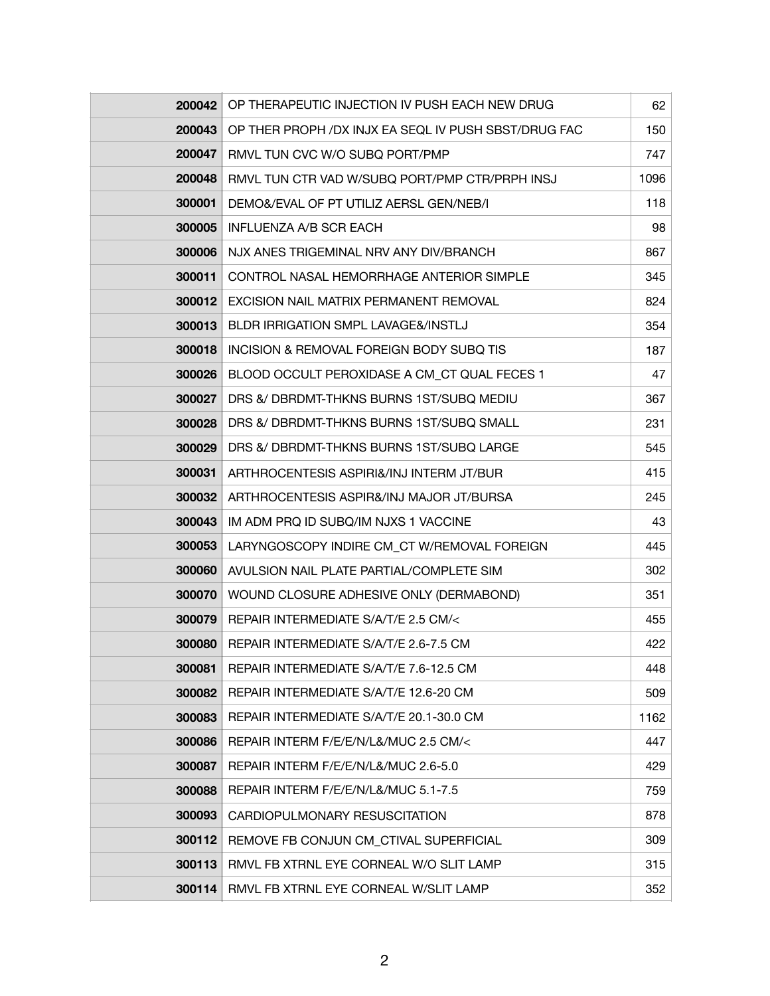| 200042        | OP THERAPEUTIC INJECTION IV PUSH EACH NEW DRUG       | 62   |
|---------------|------------------------------------------------------|------|
| 200043        | OP THER PROPH /DX INJX EA SEQL IV PUSH SBST/DRUG FAC | 150  |
| 200047        | RMVL TUN CVC W/O SUBQ PORT/PMP                       | 747  |
| 200048        | RMVL TUN CTR VAD W/SUBQ PORT/PMP CTR/PRPH INSJ       | 1096 |
| 300001        | DEMO&/EVAL OF PT UTILIZ AERSL GEN/NEB/I              | 118  |
| 300005        | INFLUENZA A/B SCR EACH                               | 98   |
| 300006        | NJX ANES TRIGEMINAL NRV ANY DIV/BRANCH               | 867  |
| 300011        | CONTROL NASAL HEMORRHAGE ANTERIOR SIMPLE             | 345  |
| 300012        | EXCISION NAIL MATRIX PERMANENT REMOVAL               | 824  |
| 300013        | BLDR IRRIGATION SMPL LAVAGE&/INSTLJ                  | 354  |
| 300018        | INCISION & REMOVAL FOREIGN BODY SUBQ TIS             | 187  |
| 300026        | BLOOD OCCULT PEROXIDASE A CM CT QUAL FECES 1         | 47   |
| 300027        | DRS &/ DBRDMT-THKNS BURNS 1ST/SUBQ MEDIU             | 367  |
| 300028        | DRS &/ DBRDMT-THKNS BURNS 1ST/SUBQ SMALL             | 231  |
| 300029        | DRS &/ DBRDMT-THKNS BURNS 1ST/SUBQ LARGE             | 545  |
| 300031        | ARTHROCENTESIS ASPIRI&/INJ INTERM JT/BUR             | 415  |
| 300032        | ARTHROCENTESIS ASPIR&/INJ MAJOR JT/BURSA             | 245  |
| 300043        | IM ADM PRQ ID SUBQ/IM NJXS 1 VACCINE                 | 43   |
| 300053        | LARYNGOSCOPY INDIRE CM_CT W/REMOVAL FOREIGN          | 445  |
| 300060        | AVULSION NAIL PLATE PARTIAL/COMPLETE SIM             | 302  |
| 300070        | WOUND CLOSURE ADHESIVE ONLY (DERMABOND)              | 351  |
| 300079        | REPAIR INTERMEDIATE S/A/T/E 2.5 CM/<                 | 455  |
| <b>300080</b> | REPAIR INTERMEDIATE S/A/T/E 2.6-7.5 CM               | 422  |
| 300081        | REPAIR INTERMEDIATE S/A/T/E 7.6-12.5 CM              | 448  |
| 300082        | REPAIR INTERMEDIATE S/A/T/E 12.6-20 CM               | 509  |
| 300083        | REPAIR INTERMEDIATE S/A/T/E 20.1-30.0 CM             | 1162 |
| 300086        | REPAIR INTERM F/E/E/N/L&/MUC 2.5 CM/<                | 447  |
| 300087        | REPAIR INTERM F/E/E/N/L&/MUC 2.6-5.0                 | 429  |
| 300088        | REPAIR INTERM F/E/E/N/L&/MUC 5.1-7.5                 | 759  |
| 300093        | CARDIOPULMONARY RESUSCITATION                        | 878  |
| 300112        | REMOVE FB CONJUN CM_CTIVAL SUPERFICIAL               | 309  |
| 300113        | RMVL FB XTRNL EYE CORNEAL W/O SLIT LAMP              | 315  |
| 300114        | RMVL FB XTRNL EYE CORNEAL W/SLIT LAMP                | 352  |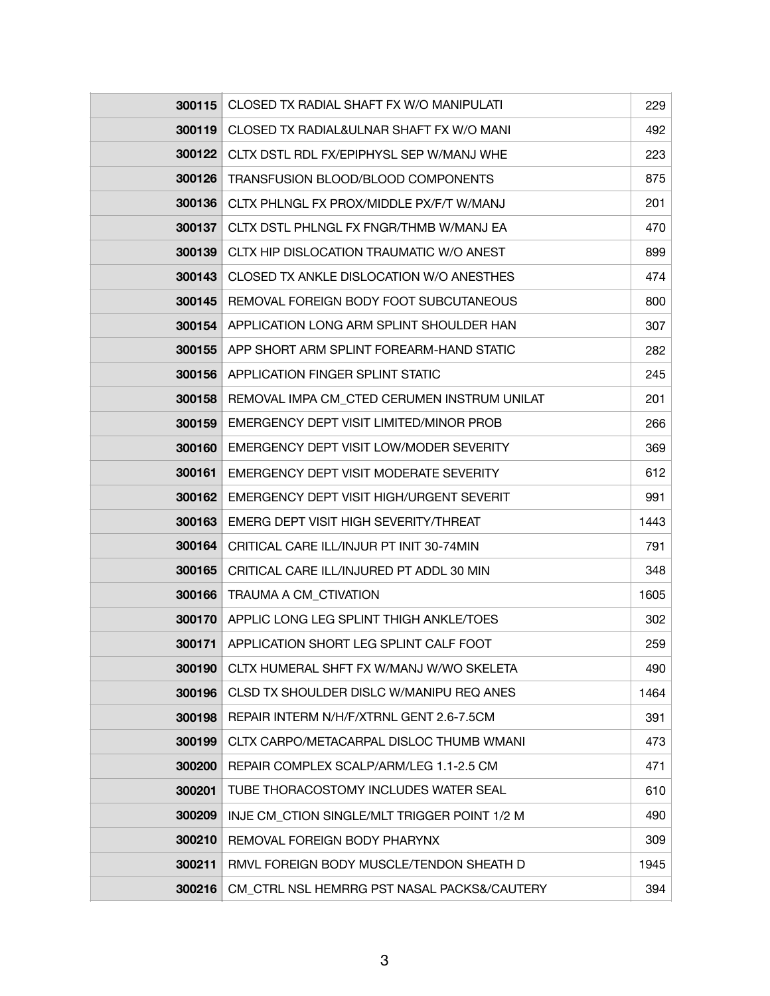| 300115 | CLOSED TX RADIAL SHAFT FX W/O MANIPULATI     | 229  |
|--------|----------------------------------------------|------|
| 300119 | CLOSED TX RADIAL&ULNAR SHAFT FX W/O MANI     | 492  |
| 300122 | CLTX DSTL RDL FX/EPIPHYSL SEP W/MANJ WHE     | 223  |
| 300126 | TRANSFUSION BLOOD/BLOOD COMPONENTS           | 875  |
| 300136 | CLTX PHLNGL FX PROX/MIDDLE PX/F/T W/MANJ     | 201  |
| 300137 | CLTX DSTL PHLNGL FX FNGR/THMB W/MANJ EA      | 470  |
| 300139 | CLTX HIP DISLOCATION TRAUMATIC W/O ANEST     | 899  |
| 300143 | CLOSED TX ANKLE DISLOCATION W/O ANESTHES     | 474  |
| 300145 | REMOVAL FOREIGN BODY FOOT SUBCUTANEOUS       | 800  |
| 300154 | APPLICATION LONG ARM SPLINT SHOULDER HAN     | 307  |
| 300155 | APP SHORT ARM SPLINT FOREARM-HAND STATIC     | 282  |
| 300156 | APPLICATION FINGER SPLINT STATIC             | 245  |
| 300158 | REMOVAL IMPA CM CTED CERUMEN INSTRUM UNILAT  | 201  |
| 300159 | EMERGENCY DEPT VISIT LIMITED/MINOR PROB      | 266  |
| 300160 | EMERGENCY DEPT VISIT LOW/MODER SEVERITY      | 369  |
| 300161 | EMERGENCY DEPT VISIT MODERATE SEVERITY       | 612  |
| 300162 | EMERGENCY DEPT VISIT HIGH/URGENT SEVERIT     | 991  |
| 300163 | EMERG DEPT VISIT HIGH SEVERITY/THREAT        | 1443 |
| 300164 | CRITICAL CARE ILL/INJUR PT INIT 30-74MIN     | 791  |
| 300165 | CRITICAL CARE ILL/INJURED PT ADDL 30 MIN     | 348  |
| 300166 | TRAUMA A CM_CTIVATION                        | 1605 |
| 300170 | APPLIC LONG LEG SPLINT THIGH ANKLE/TOES      | 302  |
| 300171 | APPLICATION SHORT LEG SPLINT CALF FOOT       | 259  |
| 300190 | CLTX HUMERAL SHFT FX W/MANJ W/WO SKELETA     | 490  |
| 300196 | CLSD TX SHOULDER DISLC W/MANIPU REQ ANES     | 1464 |
| 300198 | REPAIR INTERM N/H/F/XTRNL GENT 2.6-7.5CM     | 391  |
| 300199 | CLTX CARPO/METACARPAL DISLOC THUMB WMANI     | 473  |
| 300200 | REPAIR COMPLEX SCALP/ARM/LEG 1.1-2.5 CM      | 471  |
| 300201 | TUBE THORACOSTOMY INCLUDES WATER SEAL        | 610  |
| 300209 | INJE CM_CTION SINGLE/MLT TRIGGER POINT 1/2 M | 490  |
| 300210 | REMOVAL FOREIGN BODY PHARYNX                 | 309  |
| 300211 | RMVL FOREIGN BODY MUSCLE/TENDON SHEATH D     | 1945 |
| 300216 | CM_CTRL NSL HEMRRG PST NASAL PACKS&/CAUTERY  | 394  |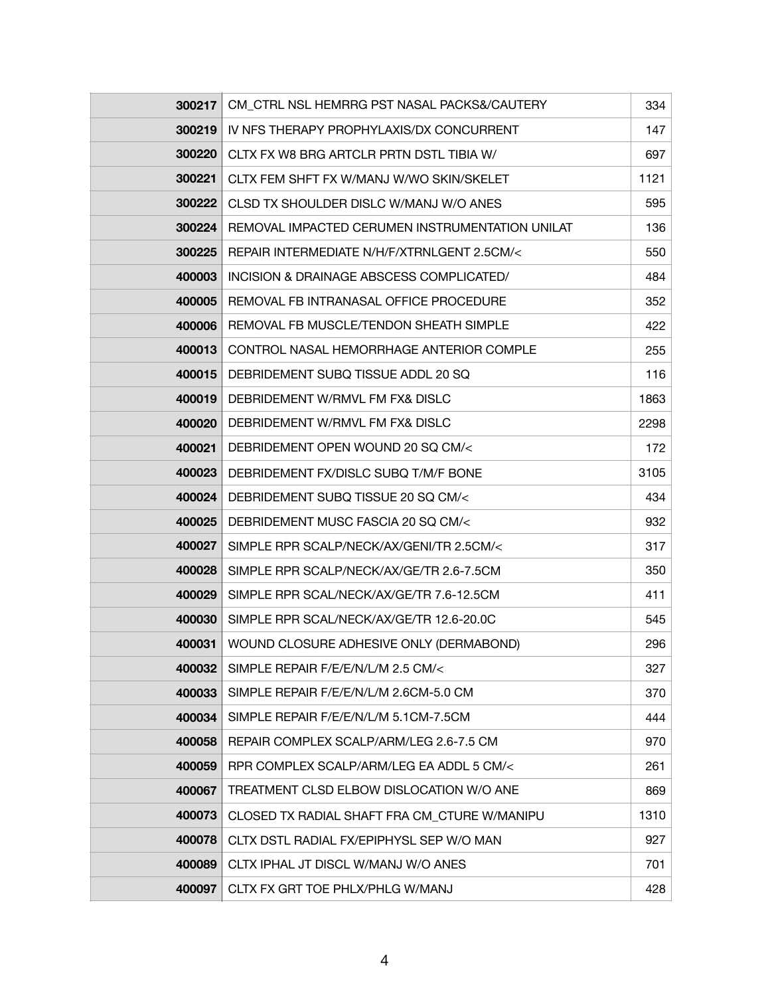| 300217 | CM_CTRL NSL HEMRRG PST NASAL PACKS&/CAUTERY     | 334  |
|--------|-------------------------------------------------|------|
| 300219 | IV NFS THERAPY PROPHYLAXIS/DX CONCURRENT        | 147  |
| 300220 | CLTX FX W8 BRG ARTCLR PRTN DSTL TIBIA W/        | 697  |
| 300221 | CLTX FEM SHFT FX W/MANJ W/WO SKIN/SKELET        | 1121 |
| 300222 | CLSD TX SHOULDER DISLC W/MANJ W/O ANES          | 595  |
| 300224 | REMOVAL IMPACTED CERUMEN INSTRUMENTATION UNILAT | 136  |
| 300225 | REPAIR INTERMEDIATE N/H/F/XTRNLGENT 2.5CM/<     | 550  |
| 400003 | INCISION & DRAINAGE ABSCESS COMPLICATED/        | 484  |
| 400005 | REMOVAL FB INTRANASAL OFFICE PROCEDURE          | 352  |
| 400006 | REMOVAL FB MUSCLE/TENDON SHEATH SIMPLE          | 422  |
| 400013 | CONTROL NASAL HEMORRHAGE ANTERIOR COMPLE        | 255  |
| 400015 | DEBRIDEMENT SUBQ TISSUE ADDL 20 SQ              | 116  |
| 400019 | DEBRIDEMENT W/RMVL FM FX& DISLC                 | 1863 |
| 400020 | DEBRIDEMENT W/RMVL FM FX& DISLC                 | 2298 |
| 400021 | DEBRIDEMENT OPEN WOUND 20 SQ CM/<               | 172  |
| 400023 | DEBRIDEMENT FX/DISLC SUBQ T/M/F BONE            | 3105 |
| 400024 | DEBRIDEMENT SUBQ TISSUE 20 SQ CM/<              | 434  |
| 400025 | DEBRIDEMENT MUSC FASCIA 20 SQ CM/<              | 932  |
| 400027 | SIMPLE RPR SCALP/NECK/AX/GENI/TR 2.5CM/<        | 317  |
| 400028 | SIMPLE RPR SCALP/NECK/AX/GE/TR 2.6-7.5CM        | 350  |
| 400029 | SIMPLE RPR SCAL/NECK/AX/GE/TR 7.6-12.5CM        | 411  |
| 400030 | SIMPLE RPR SCAL/NECK/AX/GE/TR 12.6-20.0C        | 545  |
| 400031 | WOUND CLOSURE ADHESIVE ONLY (DERMABOND)         | 296  |
| 400032 | SIMPLE REPAIR F/E/E/N/L/M 2.5 CM/<              | 327  |
| 400033 | SIMPLE REPAIR F/E/E/N/L/M 2.6CM-5.0 CM          | 370  |
| 400034 | SIMPLE REPAIR F/E/E/N/L/M 5.1CM-7.5CM           | 444  |
| 400058 | REPAIR COMPLEX SCALP/ARM/LEG 2.6-7.5 CM         | 970  |
| 400059 | RPR COMPLEX SCALP/ARM/LEG EA ADDL 5 CM/<        | 261  |
| 400067 | TREATMENT CLSD ELBOW DISLOCATION W/O ANE        | 869  |
| 400073 | CLOSED TX RADIAL SHAFT FRA CM CTURE W/MANIPU    | 1310 |
| 400078 | CLTX DSTL RADIAL FX/EPIPHYSL SEP W/O MAN        | 927  |
| 400089 | CLTX IPHAL JT DISCL W/MANJ W/O ANES             | 701  |
| 400097 | CLTX FX GRT TOE PHLX/PHLG W/MANJ                | 428  |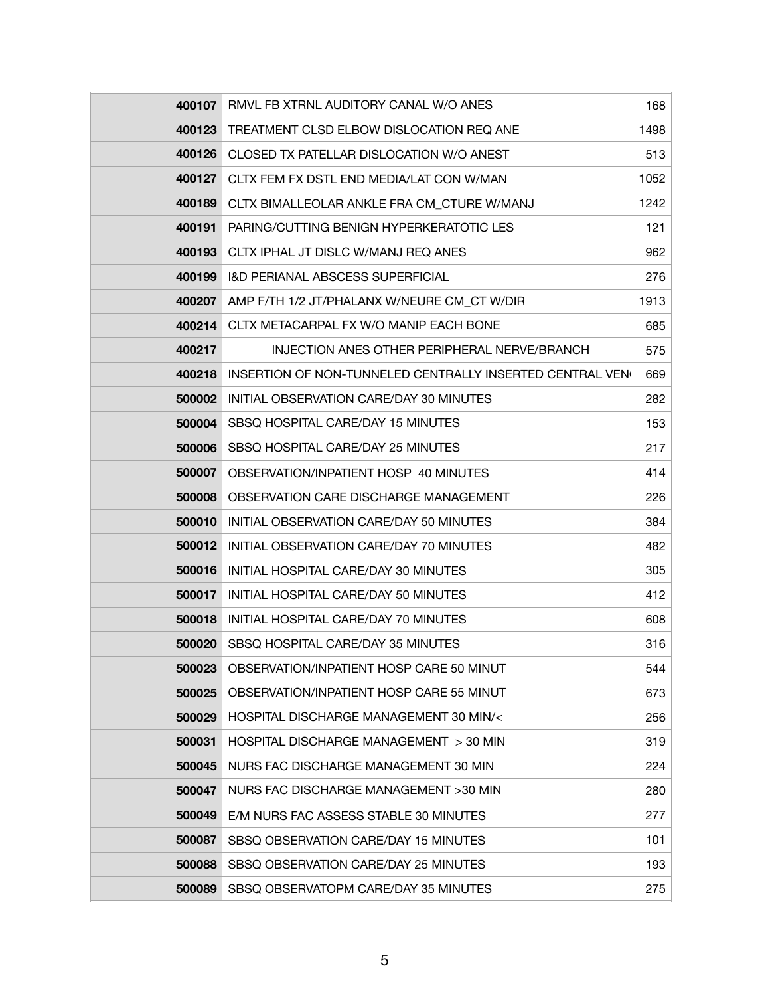| 400107 | RMVL FB XTRNL AUDITORY CANAL W/O ANES                             | 168  |
|--------|-------------------------------------------------------------------|------|
|        | 400123   TREATMENT CLSD ELBOW DISLOCATION REQ ANE                 | 1498 |
| 400126 | CLOSED TX PATELLAR DISLOCATION W/O ANEST                          | 513  |
| 400127 | CLTX FEM FX DSTL END MEDIA/LAT CON W/MAN                          | 1052 |
| 400189 | CLTX BIMALLEOLAR ANKLE FRA CM_CTURE W/MANJ                        | 1242 |
|        | 400191   PARING/CUTTING BENIGN HYPERKERATOTIC LES                 | 121  |
| 400193 | CLTX IPHAL JT DISLC W/MANJ REQ ANES                               | 962  |
|        | 400199   I&D PERIANAL ABSCESS SUPERFICIAL                         | 276  |
|        | 400207   AMP F/TH 1/2 JT/PHALANX W/NEURE CM_CT W/DIR              | 1913 |
| 400214 | CLTX METACARPAL FX W/O MANIP EACH BONE                            | 685  |
| 400217 | INJECTION ANES OTHER PERIPHERAL NERVE/BRANCH                      | 575  |
|        | 400218   INSERTION OF NON-TUNNELED CENTRALLY INSERTED CENTRAL VEN | 669  |
|        | 500002   INITIAL OBSERVATION CARE/DAY 30 MINUTES                  | 282  |
| 500004 | SBSQ HOSPITAL CARE/DAY 15 MINUTES                                 | 153  |
|        | 500006   SBSQ HOSPITAL CARE/DAY 25 MINUTES                        | 217  |
| 500007 | OBSERVATION/INPATIENT HOSP 40 MINUTES                             | 414  |
| 500008 | OBSERVATION CARE DISCHARGE MANAGEMENT                             | 226  |
|        | 500010   INITIAL OBSERVATION CARE/DAY 50 MINUTES                  | 384  |
|        | 500012   INITIAL OBSERVATION CARE/DAY 70 MINUTES                  | 482  |
| 500016 | INITIAL HOSPITAL CARE/DAY 30 MINUTES                              | 305  |
|        | 500017   INITIAL HOSPITAL CARE/DAY 50 MINUTES                     | 412  |
|        | 500018   INITIAL HOSPITAL CARE/DAY 70 MINUTES                     | 608  |
| 500020 | SBSQ HOSPITAL CARE/DAY 35 MINUTES                                 | 316  |
| 500023 | OBSERVATION/INPATIENT HOSP CARE 50 MINUT                          | 544  |
| 500025 | OBSERVATION/INPATIENT HOSP CARE 55 MINUT                          | 673  |
| 500029 | HOSPITAL DISCHARGE MANAGEMENT 30 MIN/<                            | 256  |
| 500031 | HOSPITAL DISCHARGE MANAGEMENT > 30 MIN                            | 319  |
| 500045 | NURS FAC DISCHARGE MANAGEMENT 30 MIN                              | 224  |
| 500047 | NURS FAC DISCHARGE MANAGEMENT >30 MIN                             | 280  |
| 500049 | E/M NURS FAC ASSESS STABLE 30 MINUTES                             | 277  |
| 500087 | SBSQ OBSERVATION CARE/DAY 15 MINUTES                              | 101  |
| 500088 | SBSQ OBSERVATION CARE/DAY 25 MINUTES                              | 193  |
| 500089 | SBSQ OBSERVATOPM CARE/DAY 35 MINUTES                              | 275  |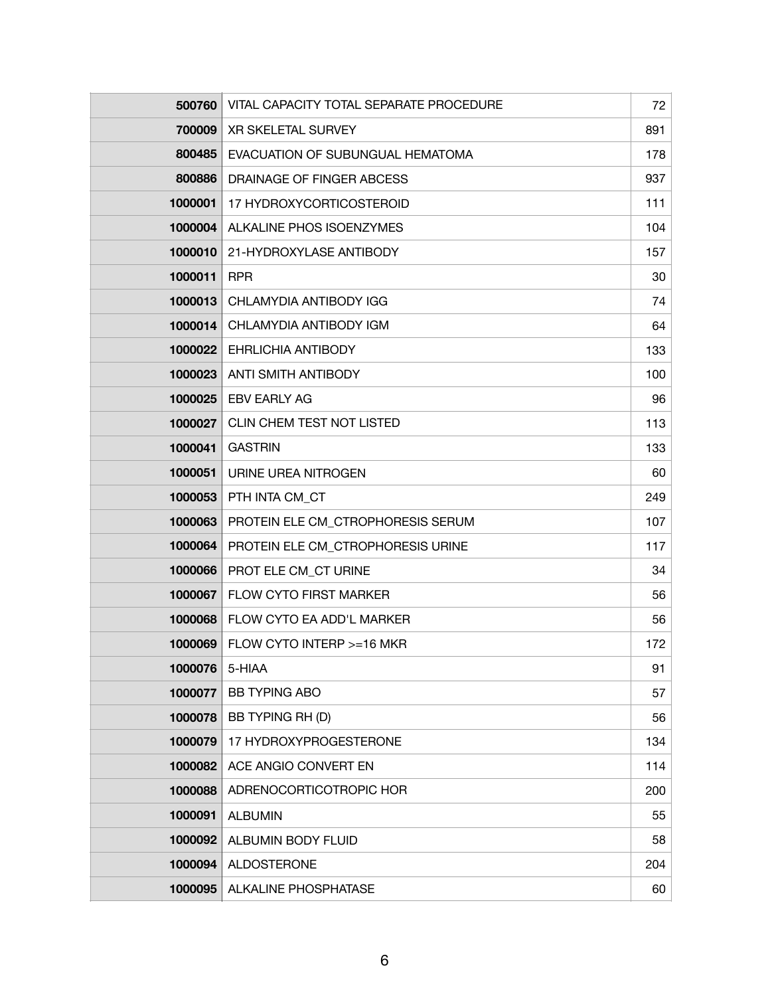| 500760  | VITAL CAPACITY TOTAL SEPARATE PROCEDURE | 72  |
|---------|-----------------------------------------|-----|
| 700009  | XR SKELETAL SURVEY                      | 891 |
| 800485  | EVACUATION OF SUBUNGUAL HEMATOMA        | 178 |
| 800886  | DRAINAGE OF FINGER ABCESS               | 937 |
| 1000001 | 17 HYDROXYCORTICOSTEROID                | 111 |
| 1000004 | ALKALINE PHOS ISOENZYMES                | 104 |
| 1000010 | 21-HYDROXYLASE ANTIBODY                 | 157 |
| 1000011 | <b>RPR</b>                              | 30  |
| 1000013 | CHLAMYDIA ANTIBODY IGG                  | 74  |
| 1000014 | CHLAMYDIA ANTIBODY IGM                  | 64  |
| 1000022 | EHRLICHIA ANTIBODY                      | 133 |
| 1000023 | <b>ANTI SMITH ANTIBODY</b>              | 100 |
| 1000025 | <b>EBV EARLY AG</b>                     | 96  |
| 1000027 | CLIN CHEM TEST NOT LISTED               | 113 |
| 1000041 | <b>GASTRIN</b>                          | 133 |
| 1000051 | URINE UREA NITROGEN                     | 60  |
| 1000053 | PTH INTA CM_CT                          | 249 |
| 1000063 | PROTEIN ELE CM_CTROPHORESIS SERUM       | 107 |
| 1000064 | PROTEIN ELE CM_CTROPHORESIS URINE       | 117 |
| 1000066 | PROT ELE CM CT URINE                    | 34  |
| 1000067 | FLOW CYTO FIRST MARKER                  | 56  |
| 1000068 | FLOW CYTO EA ADD'L MARKER               | 56  |
| 1000069 | FLOW CYTO INTERP >=16 MKR               | 172 |
| 1000076 | 5-HIAA                                  | 91  |
| 1000077 | <b>BB TYPING ABO</b>                    | 57  |
| 1000078 | BB TYPING RH (D)                        | 56  |
| 1000079 | 17 HYDROXYPROGESTERONE                  | 134 |
| 1000082 | ACE ANGIO CONVERT EN                    | 114 |
| 1000088 | ADRENOCORTICOTROPIC HOR                 | 200 |
| 1000091 | <b>ALBUMIN</b>                          | 55  |
| 1000092 | ALBUMIN BODY FLUID                      | 58  |
| 1000094 | <b>ALDOSTERONE</b>                      | 204 |
| 1000095 | ALKALINE PHOSPHATASE                    | 60  |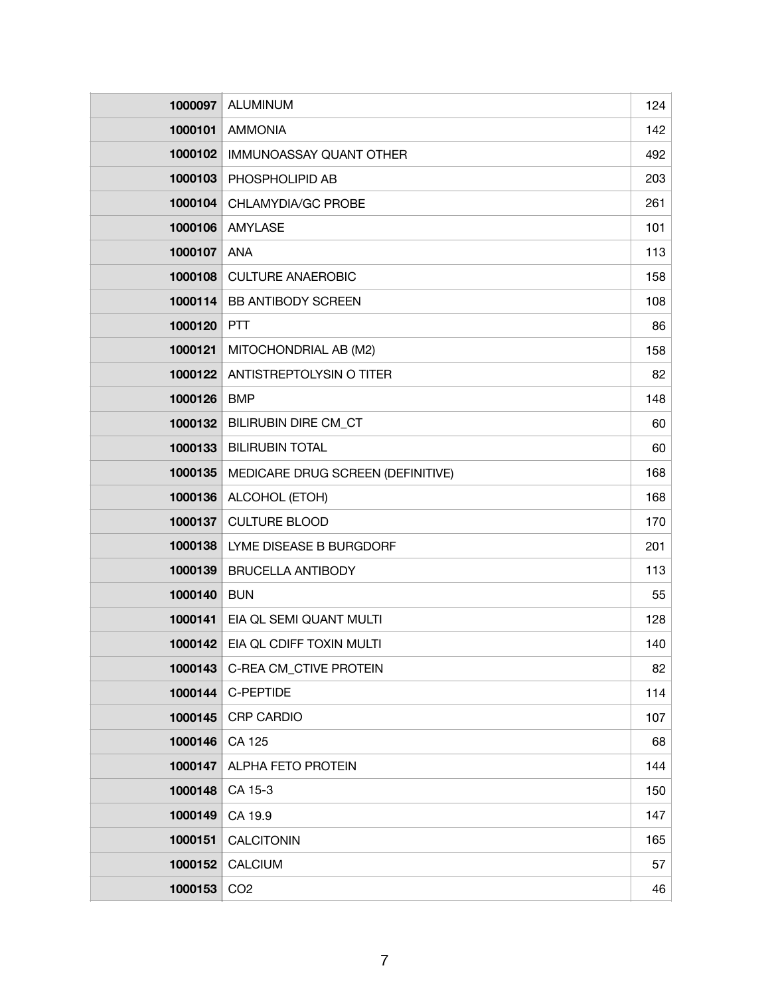| 1000097 | <b>ALUMINUM</b>                   | 124 |
|---------|-----------------------------------|-----|
| 1000101 | <b>AMMONIA</b>                    | 142 |
| 1000102 | IMMUNOASSAY QUANT OTHER           | 492 |
| 1000103 | PHOSPHOLIPID AB                   | 203 |
| 1000104 | CHLAMYDIA/GC PROBE                | 261 |
| 1000106 | <b>AMYLASE</b>                    | 101 |
| 1000107 | <b>ANA</b>                        | 113 |
| 1000108 | <b>CULTURE ANAEROBIC</b>          | 158 |
| 1000114 | <b>BB ANTIBODY SCREEN</b>         | 108 |
| 1000120 | <b>PTT</b>                        | 86  |
| 1000121 | MITOCHONDRIAL AB (M2)             | 158 |
| 1000122 | ANTISTREPTOLYSIN O TITER          | 82  |
| 1000126 | <b>BMP</b>                        | 148 |
| 1000132 | <b>BILIRUBIN DIRE CM_CT</b>       | 60  |
| 1000133 | <b>BILIRUBIN TOTAL</b>            | 60  |
| 1000135 | MEDICARE DRUG SCREEN (DEFINITIVE) | 168 |
| 1000136 | ALCOHOL (ETOH)                    | 168 |
| 1000137 | <b>CULTURE BLOOD</b>              | 170 |
| 1000138 | LYME DISEASE B BURGDORF           | 201 |
| 1000139 | <b>BRUCELLA ANTIBODY</b>          | 113 |
| 1000140 | <b>BUN</b>                        | 55  |
| 1000141 | EIA QL SEMI QUANT MULTI           | 128 |
| 1000142 | EIA QL CDIFF TOXIN MULTI          | 140 |
| 1000143 | C-REA CM_CTIVE PROTEIN            | 82  |
| 1000144 | C-PEPTIDE                         | 114 |
| 1000145 | <b>CRP CARDIO</b>                 | 107 |
| 1000146 | CA 125                            | 68  |
| 1000147 | <b>ALPHA FETO PROTEIN</b>         | 144 |
| 1000148 | CA 15-3                           | 150 |
| 1000149 | CA 19.9                           | 147 |
| 1000151 | <b>CALCITONIN</b>                 | 165 |
| 1000152 | <b>CALCIUM</b>                    | 57  |
| 1000153 | CO <sub>2</sub>                   | 46  |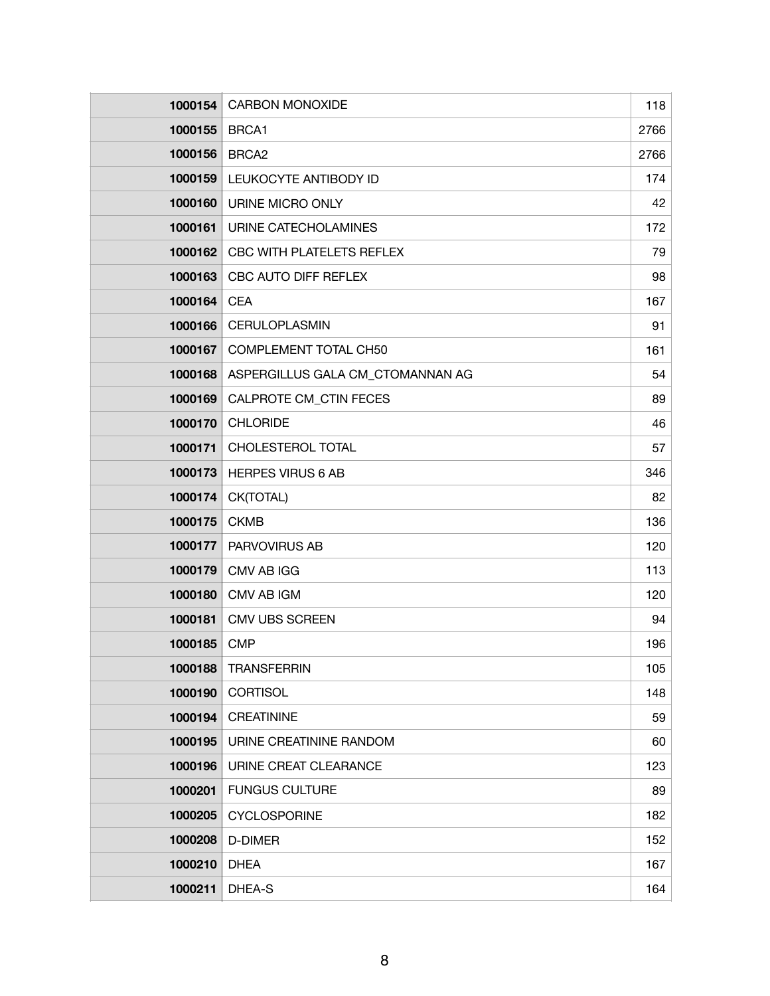| 1000154 | <b>CARBON MONOXIDE</b>           | 118  |
|---------|----------------------------------|------|
| 1000155 | BRCA1                            | 2766 |
| 1000156 | BRCA <sub>2</sub>                | 2766 |
| 1000159 | LEUKOCYTE ANTIBODY ID            | 174  |
| 1000160 | URINE MICRO ONLY                 | 42   |
| 1000161 | URINE CATECHOLAMINES             | 172  |
| 1000162 | CBC WITH PLATELETS REFLEX        | 79   |
| 1000163 | CBC AUTO DIFF REFLEX             | 98   |
| 1000164 | <b>CEA</b>                       | 167  |
| 1000166 | CERULOPLASMIN                    | 91   |
| 1000167 | <b>COMPLEMENT TOTAL CH50</b>     | 161  |
| 1000168 | ASPERGILLUS GALA CM_CTOMANNAN AG | 54   |
| 1000169 | CALPROTE CM CTIN FECES           | 89   |
| 1000170 | <b>CHLORIDE</b>                  | 46   |
| 1000171 | CHOLESTEROL TOTAL                | 57   |
| 1000173 | <b>HERPES VIRUS 6 AB</b>         | 346  |
| 1000174 | CK(TOTAL)                        | 82   |
| 1000175 | <b>CKMB</b>                      | 136  |
| 1000177 | PARVOVIRUS AB                    | 120  |
| 1000179 | <b>CMV AB IGG</b>                | 113  |
| 1000180 | CMV AB IGM                       | 120  |
| 1000181 | <b>CMV UBS SCREEN</b>            | 94   |
| 1000185 | <b>CMP</b>                       | 196  |
| 1000188 | <b>TRANSFERRIN</b>               | 105  |
| 1000190 | <b>CORTISOL</b>                  | 148  |
| 1000194 | <b>CREATININE</b>                | 59   |
| 1000195 | URINE CREATININE RANDOM          | 60   |
| 1000196 | URINE CREAT CLEARANCE            | 123  |
| 1000201 | <b>FUNGUS CULTURE</b>            | 89   |
| 1000205 | <b>CYCLOSPORINE</b>              | 182  |
| 1000208 | D-DIMER                          | 152  |
| 1000210 | <b>DHEA</b>                      | 167  |
| 1000211 | DHEA-S                           | 164  |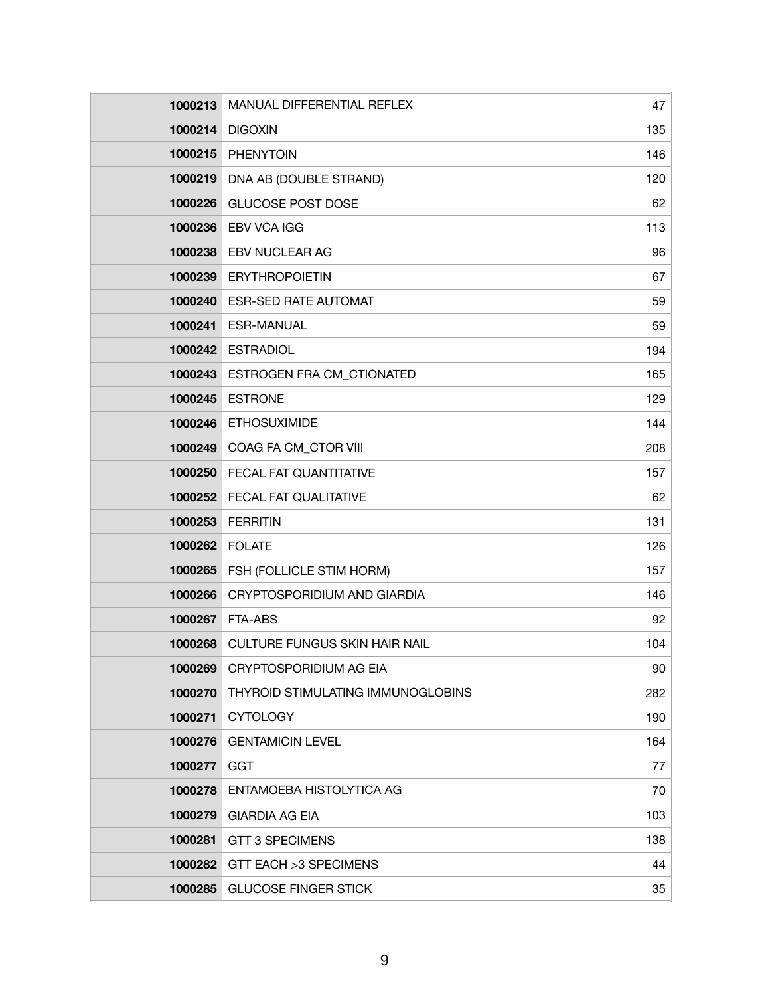| 1000213 | MANUAL DIFFERENTIAL REFLEX           | 47  |
|---------|--------------------------------------|-----|
| 1000214 | <b>DIGOXIN</b>                       | 135 |
| 1000215 | <b>PHENYTOIN</b>                     | 146 |
| 1000219 | DNA AB (DOUBLE STRAND)               | 120 |
| 1000226 | <b>GLUCOSE POST DOSE</b>             | 62  |
| 1000236 | <b>EBV VCA IGG</b>                   | 113 |
| 1000238 | <b>EBV NUCLEAR AG</b>                | 96  |
| 1000239 | <b>ERYTHROPOIETIN</b>                | 67  |
| 1000240 | <b>ESR-SED RATE AUTOMAT</b>          | 59  |
| 1000241 | <b>ESR-MANUAL</b>                    | 59  |
| 1000242 | <b>ESTRADIOL</b>                     | 194 |
| 1000243 | ESTROGEN FRA CM_CTIONATED            | 165 |
| 1000245 | <b>ESTRONE</b>                       | 129 |
| 1000246 | <b>ETHOSUXIMIDE</b>                  | 144 |
| 1000249 | COAG FA CM_CTOR VIII                 | 208 |
| 1000250 | FECAL FAT QUANTITATIVE               | 157 |
| 1000252 | FECAL FAT QUALITATIVE                | 62  |
| 1000253 | <b>FERRITIN</b>                      | 131 |
| 1000262 | <b>FOLATE</b>                        | 126 |
| 1000265 | FSH (FOLLICLE STIM HORM)             | 157 |
| 1000266 | CRYPTOSPORIDIUM AND GIARDIA          | 146 |
| 1000267 | <b>FTA-ABS</b>                       | 92  |
| 1000268 | <b>CULTURE FUNGUS SKIN HAIR NAIL</b> | 104 |
| 1000269 | CRYPTOSPORIDIUM AG EIA               | 90  |
| 1000270 | THYROID STIMULATING IMMUNOGLOBINS    | 282 |
| 1000271 | <b>CYTOLOGY</b>                      | 190 |
| 1000276 | <b>GENTAMICIN LEVEL</b>              | 164 |
| 1000277 | <b>GGT</b>                           | 77  |
| 1000278 | ENTAMOEBA HISTOLYTICA AG             | 70  |
| 1000279 | <b>GIARDIA AG EIA</b>                | 103 |
| 1000281 | <b>GTT 3 SPECIMENS</b>               | 138 |
| 1000282 | GTT EACH > 3 SPECIMENS               | 44  |
| 1000285 | <b>GLUCOSE FINGER STICK</b>          | 35  |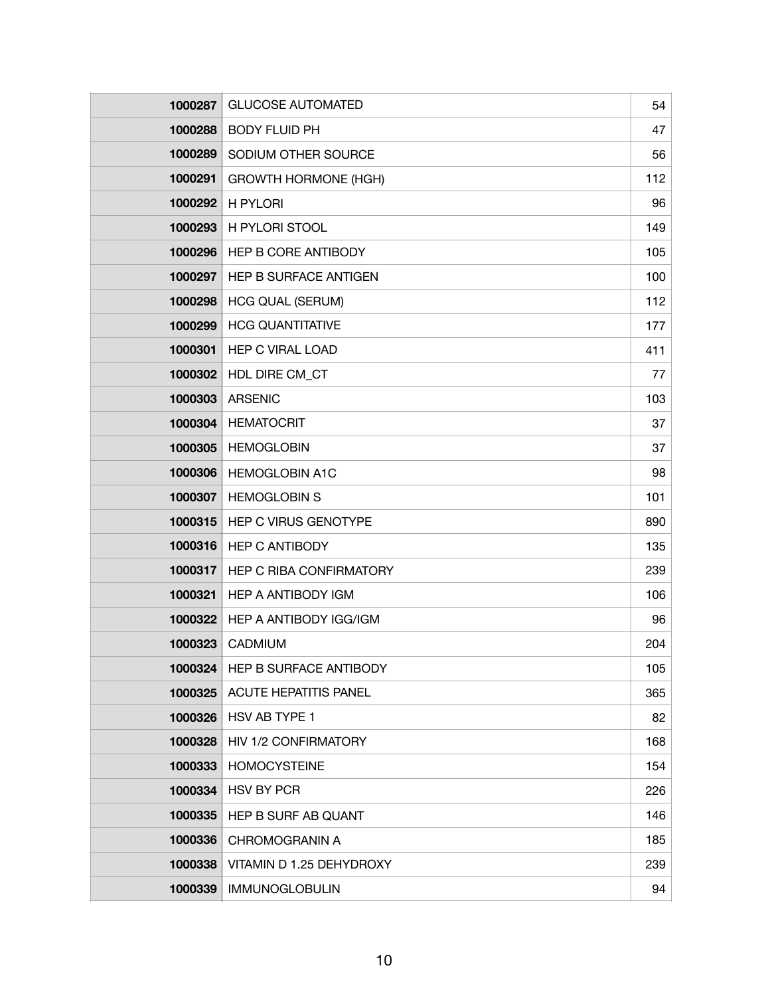| 1000287 | <b>GLUCOSE AUTOMATED</b>       | 54  |
|---------|--------------------------------|-----|
| 1000288 | <b>BODY FLUID PH</b>           | 47  |
| 1000289 | SODIUM OTHER SOURCE            | 56  |
| 1000291 | <b>GROWTH HORMONE (HGH)</b>    | 112 |
| 1000292 | H PYLORI                       | 96  |
| 1000293 | H PYLORI STOOL                 | 149 |
| 1000296 | HEP B CORE ANTIBODY            | 105 |
| 1000297 | HEP B SURFACE ANTIGEN          | 100 |
| 1000298 | <b>HCG QUAL (SERUM)</b>        | 112 |
| 1000299 | <b>HCG QUANTITATIVE</b>        | 177 |
| 1000301 | <b>HEP C VIRAL LOAD</b>        | 411 |
| 1000302 | HDL DIRE CM_CT                 | 77  |
| 1000303 | <b>ARSENIC</b>                 | 103 |
| 1000304 | <b>HEMATOCRIT</b>              | 37  |
| 1000305 | <b>HEMOGLOBIN</b>              | 37  |
| 1000306 | <b>HEMOGLOBIN A1C</b>          | 98  |
| 1000307 | <b>HEMOGLOBIN S</b>            | 101 |
| 1000315 | HEP C VIRUS GENOTYPE           | 890 |
| 1000316 | <b>HEP C ANTIBODY</b>          | 135 |
| 1000317 | <b>HEP C RIBA CONFIRMATORY</b> | 239 |
| 1000321 | <b>HEP A ANTIBODY IGM</b>      | 106 |
| 1000322 | HEP A ANTIBODY IGG/IGM         | 96  |
| 1000323 | CADMIUM                        | 204 |
| 1000324 | HEP B SURFACE ANTIBODY         | 105 |
| 1000325 | <b>ACUTE HEPATITIS PANEL</b>   | 365 |
| 1000326 | HSV AB TYPE 1                  | 82  |
| 1000328 | HIV 1/2 CONFIRMATORY           | 168 |
| 1000333 | <b>HOMOCYSTEINE</b>            | 154 |
| 1000334 | <b>HSV BY PCR</b>              | 226 |
| 1000335 | HEP B SURF AB QUANT            | 146 |
| 1000336 | <b>CHROMOGRANIN A</b>          | 185 |
| 1000338 | VITAMIN D 1.25 DEHYDROXY       | 239 |
| 1000339 | <b>IMMUNOGLOBULIN</b>          | 94  |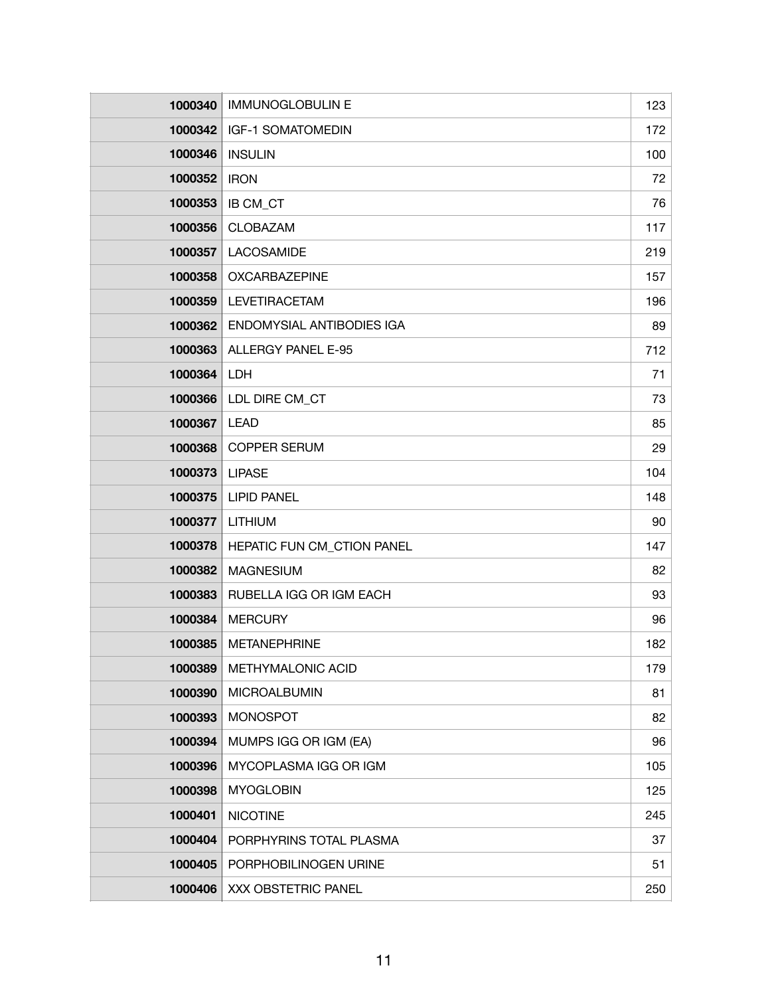| 1000340 | <b>IMMUNOGLOBULIN E</b>    | 123 |
|---------|----------------------------|-----|
| 1000342 | <b>IGF-1 SOMATOMEDIN</b>   | 172 |
| 1000346 | <b>INSULIN</b>             | 100 |
| 1000352 | <b>IRON</b>                | 72  |
| 1000353 | IB CM_CT                   | 76  |
| 1000356 | CLOBAZAM                   | 117 |
| 1000357 | LACOSAMIDE                 | 219 |
| 1000358 | <b>OXCARBAZEPINE</b>       | 157 |
| 1000359 | <b>LEVETIRACETAM</b>       | 196 |
| 1000362 | ENDOMYSIAL ANTIBODIES IGA  | 89  |
| 1000363 | ALLERGY PANEL E-95         | 712 |
| 1000364 | LDH                        | 71  |
| 1000366 | LDL DIRE CM_CT             | 73  |
| 1000367 | <b>LEAD</b>                | 85  |
| 1000368 | <b>COPPER SERUM</b>        | 29  |
| 1000373 | <b>LIPASE</b>              | 104 |
| 1000375 | <b>LIPID PANEL</b>         | 148 |
| 1000377 | <b>LITHIUM</b>             | 90  |
| 1000378 | HEPATIC FUN CM_CTION PANEL | 147 |
| 1000382 | <b>MAGNESIUM</b>           | 82  |
| 1000383 | RUBELLA IGG OR IGM EACH    | 93  |
| 1000384 | <b>MERCURY</b>             | 96  |
| 1000385 | <b>METANEPHRINE</b>        | 182 |
| 1000389 | METHYMALONIC ACID          | 179 |
| 1000390 | <b>MICROALBUMIN</b>        | 81  |
| 1000393 | <b>MONOSPOT</b>            | 82  |
| 1000394 | MUMPS IGG OR IGM (EA)      | 96  |
| 1000396 | MYCOPLASMA IGG OR IGM      | 105 |
| 1000398 | <b>MYOGLOBIN</b>           | 125 |
| 1000401 | <b>NICOTINE</b>            | 245 |
| 1000404 | PORPHYRINS TOTAL PLASMA    | 37  |
| 1000405 | PORPHOBILINOGEN URINE      | 51  |
| 1000406 | XXX OBSTETRIC PANEL        | 250 |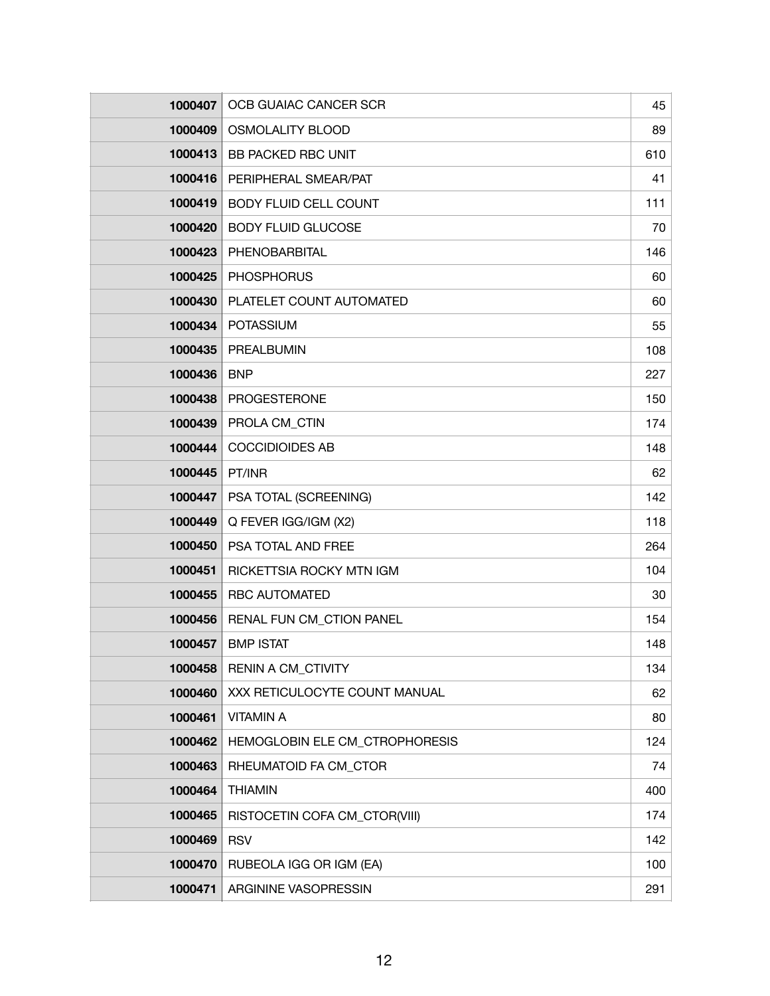| 1000407 | OCB GUAIAC CANCER SCR          | 45  |
|---------|--------------------------------|-----|
| 1000409 | <b>OSMOLALITY BLOOD</b>        | 89  |
| 1000413 | <b>BB PACKED RBC UNIT</b>      | 610 |
| 1000416 | PERIPHERAL SMEAR/PAT           | 41  |
| 1000419 | <b>BODY FLUID CELL COUNT</b>   | 111 |
| 1000420 | <b>BODY FLUID GLUCOSE</b>      | 70  |
| 1000423 | PHENOBARBITAL                  | 146 |
| 1000425 | <b>PHOSPHORUS</b>              | 60  |
| 1000430 | PLATELET COUNT AUTOMATED       | 60  |
| 1000434 | <b>POTASSIUM</b>               | 55  |
| 1000435 | PREALBUMIN                     | 108 |
| 1000436 | <b>BNP</b>                     | 227 |
| 1000438 | <b>PROGESTERONE</b>            | 150 |
| 1000439 | PROLA CM_CTIN                  | 174 |
| 1000444 | <b>COCCIDIOIDES AB</b>         | 148 |
| 1000445 | PT/INR                         | 62  |
| 1000447 | PSA TOTAL (SCREENING)          | 142 |
| 1000449 | Q FEVER IGG/IGM (X2)           | 118 |
| 1000450 | PSA TOTAL AND FREE             | 264 |
| 1000451 | RICKETTSIA ROCKY MTN IGM       | 104 |
| 1000455 | <b>RBC AUTOMATED</b>           | 30  |
| 1000456 | RENAL FUN CM_CTION PANEL       | 154 |
| 1000457 | <b>BMP ISTAT</b>               | 148 |
| 1000458 | RENIN A CM_CTIVITY             | 134 |
| 1000460 | XXX RETICULOCYTE COUNT MANUAL  | 62  |
| 1000461 | <b>VITAMIN A</b>               | 80  |
| 1000462 | HEMOGLOBIN ELE CM_CTROPHORESIS | 124 |
| 1000463 | RHEUMATOID FA CM_CTOR          | 74  |
| 1000464 | <b>THIAMIN</b>                 | 400 |
| 1000465 | RISTOCETIN COFA CM_CTOR(VIII)  | 174 |
| 1000469 | <b>RSV</b>                     | 142 |
| 1000470 | RUBEOLA IGG OR IGM (EA)        | 100 |
| 1000471 | ARGININE VASOPRESSIN           | 291 |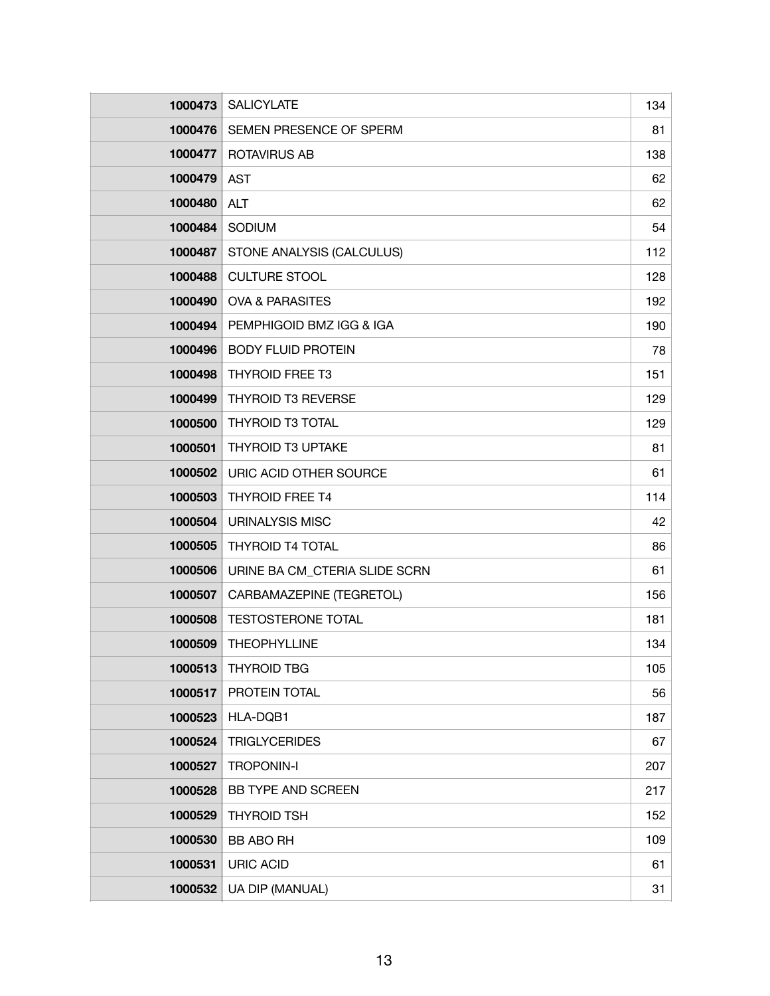| 1000473 | <b>SALICYLATE</b>             | 134 |
|---------|-------------------------------|-----|
| 1000476 | SEMEN PRESENCE OF SPERM       | 81  |
| 1000477 | <b>ROTAVIRUS AB</b>           | 138 |
| 1000479 | <b>AST</b>                    | 62  |
| 1000480 | <b>ALT</b>                    | 62  |
| 1000484 | SODIUM                        | 54  |
| 1000487 | STONE ANALYSIS (CALCULUS)     | 112 |
| 1000488 | <b>CULTURE STOOL</b>          | 128 |
| 1000490 | <b>OVA &amp; PARASITES</b>    | 192 |
| 1000494 | PEMPHIGOID BMZ IGG & IGA      | 190 |
| 1000496 | <b>BODY FLUID PROTEIN</b>     | 78  |
| 1000498 | <b>THYROID FREE T3</b>        | 151 |
| 1000499 | <b>THYROID T3 REVERSE</b>     | 129 |
| 1000500 | <b>THYROID T3 TOTAL</b>       | 129 |
| 1000501 | <b>THYROID T3 UPTAKE</b>      | 81  |
| 1000502 | URIC ACID OTHER SOURCE        | 61  |
| 1000503 | <b>THYROID FREE T4</b>        | 114 |
| 1000504 | <b>URINALYSIS MISC</b>        | 42  |
| 1000505 | <b>THYROID T4 TOTAL</b>       | 86  |
| 1000506 | URINE BA CM CTERIA SLIDE SCRN | 61  |
| 1000507 | CARBAMAZEPINE (TEGRETOL)      | 156 |
| 1000508 | <b>TESTOSTERONE TOTAL</b>     | 181 |
| 1000509 | <b>THEOPHYLLINE</b>           | 134 |
| 1000513 | <b>THYROID TBG</b>            | 105 |
| 1000517 | PROTEIN TOTAL                 | 56  |
| 1000523 | HLA-DQB1                      | 187 |
| 1000524 | <b>TRIGLYCERIDES</b>          | 67  |
| 1000527 | <b>TROPONIN-I</b>             | 207 |
| 1000528 | BB TYPE AND SCREEN            | 217 |
| 1000529 | <b>THYROID TSH</b>            | 152 |
| 1000530 | <b>BB ABO RH</b>              | 109 |
| 1000531 | <b>URIC ACID</b>              | 61  |
| 1000532 | UA DIP (MANUAL)               | 31  |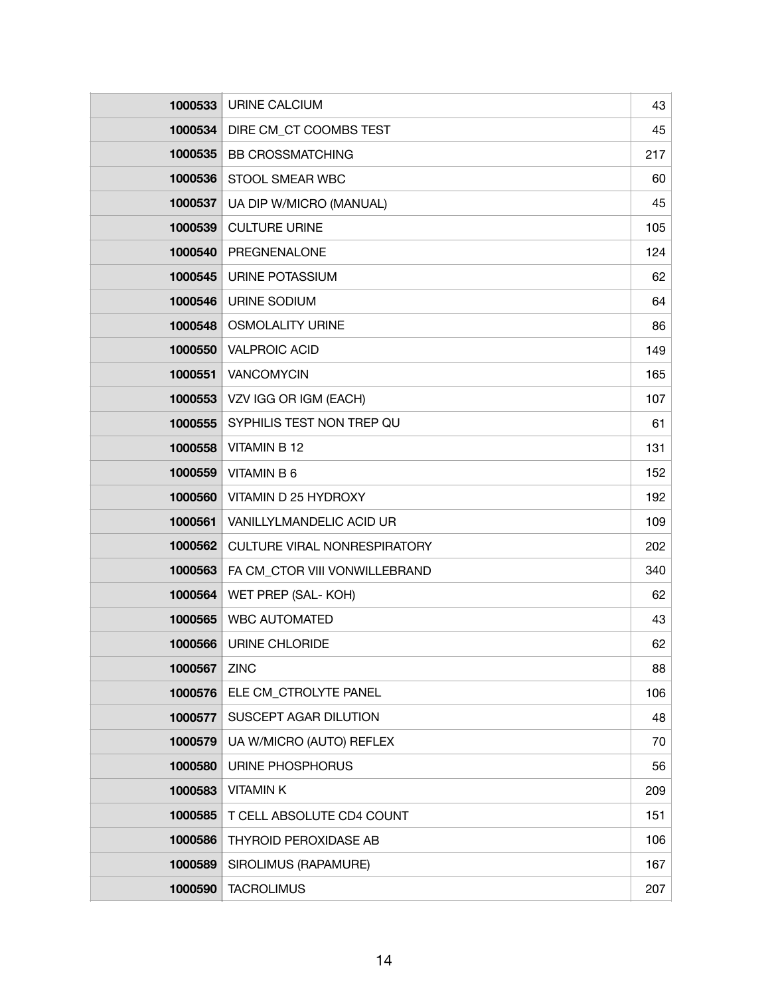| 1000533 | URINE CALCIUM                       | 43  |
|---------|-------------------------------------|-----|
| 1000534 | DIRE CM CT COOMBS TEST              | 45  |
| 1000535 | <b>BB CROSSMATCHING</b>             | 217 |
| 1000536 | STOOL SMEAR WBC                     | 60  |
| 1000537 | UA DIP W/MICRO (MANUAL)             | 45  |
| 1000539 | <b>CULTURE URINE</b>                | 105 |
| 1000540 | PREGNENALONE                        | 124 |
| 1000545 | URINE POTASSIUM                     | 62  |
| 1000546 | URINE SODIUM                        | 64  |
| 1000548 | <b>OSMOLALITY URINE</b>             | 86  |
| 1000550 | <b>VALPROIC ACID</b>                | 149 |
| 1000551 | VANCOMYCIN                          | 165 |
| 1000553 | VZV IGG OR IGM (EACH)               | 107 |
| 1000555 | SYPHILIS TEST NON TREP QU           | 61  |
| 1000558 | <b>VITAMIN B 12</b>                 | 131 |
| 1000559 | <b>VITAMIN B 6</b>                  | 152 |
| 1000560 | VITAMIN D 25 HYDROXY                | 192 |
| 1000561 | VANILLYLMANDELIC ACID UR            | 109 |
| 1000562 | <b>CULTURE VIRAL NONRESPIRATORY</b> | 202 |
| 1000563 | FA CM_CTOR VIII VONWILLEBRAND       | 340 |
| 1000564 | WET PREP (SAL- KOH)                 | 62  |
| 1000565 | <b>WBC AUTOMATED</b>                | 43  |
| 1000566 | <b>URINE CHLORIDE</b>               | 62  |
| 1000567 | <b>ZINC</b>                         | 88  |
| 1000576 | ELE CM_CTROLYTE PANEL               | 106 |
| 1000577 | SUSCEPT AGAR DILUTION               | 48  |
| 1000579 | UA W/MICRO (AUTO) REFLEX            | 70  |
| 1000580 | URINE PHOSPHORUS                    | 56  |
| 1000583 | <b>VITAMINK</b>                     | 209 |
| 1000585 | T CELL ABSOLUTE CD4 COUNT           | 151 |
| 1000586 | <b>THYROID PEROXIDASE AB</b>        | 106 |
| 1000589 | SIROLIMUS (RAPAMURE)                | 167 |
| 1000590 | <b>TACROLIMUS</b>                   | 207 |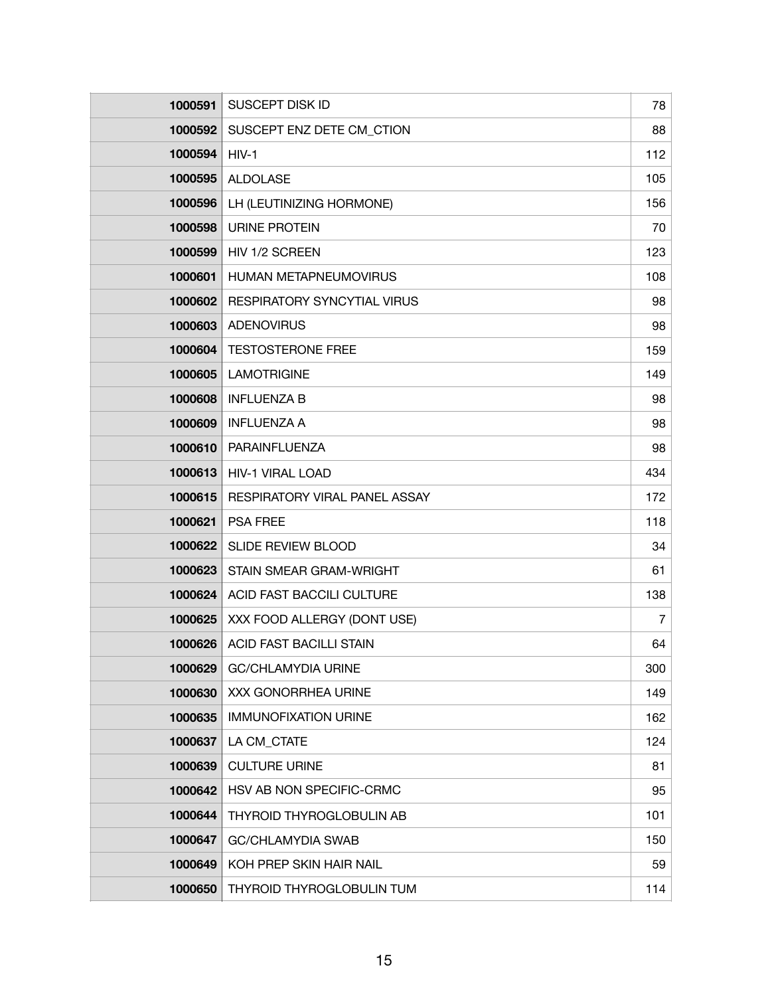| 1000591 | <b>SUSCEPT DISK ID</b>             | 78             |
|---------|------------------------------------|----------------|
| 1000592 | SUSCEPT ENZ DETE CM_CTION          | 88             |
| 1000594 | $HIV-1$                            | 112            |
| 1000595 | <b>ALDOLASE</b>                    | 105            |
| 1000596 | LH (LEUTINIZING HORMONE)           | 156            |
| 1000598 | <b>URINE PROTEIN</b>               | 70             |
| 1000599 | HIV 1/2 SCREEN                     | 123            |
| 1000601 | HUMAN METAPNEUMOVIRUS              | 108            |
| 1000602 | <b>RESPIRATORY SYNCYTIAL VIRUS</b> | 98             |
| 1000603 | <b>ADENOVIRUS</b>                  | 98             |
| 1000604 | <b>TESTOSTERONE FREE</b>           | 159            |
| 1000605 | <b>LAMOTRIGINE</b>                 | 149            |
| 1000608 | <b>INFLUENZA B</b>                 | 98             |
| 1000609 | <b>INFLUENZA A</b>                 | 98             |
| 1000610 | PARAINFLUENZA                      | 98             |
| 1000613 | <b>HIV-1 VIRAL LOAD</b>            | 434            |
| 1000615 | RESPIRATORY VIRAL PANEL ASSAY      | 172            |
| 1000621 | <b>PSA FREE</b>                    | 118            |
| 1000622 | <b>SLIDE REVIEW BLOOD</b>          | 34             |
| 1000623 | <b>STAIN SMEAR GRAM-WRIGHT</b>     | 61             |
| 1000624 | ACID FAST BACCILI CULTURE          | 138            |
| 1000625 | XXX FOOD ALLERGY (DONT USE)        | $\overline{7}$ |
| 1000626 | <b>ACID FAST BACILLI STAIN</b>     | 64             |
| 1000629 | <b>GC/CHLAMYDIA URINE</b>          | 300            |
| 1000630 | XXX GONORRHEA URINE                | 149            |
| 1000635 | <b>IMMUNOFIXATION URINE</b>        | 162            |
| 1000637 | LA CM CTATE                        | 124            |
| 1000639 | <b>CULTURE URINE</b>               | 81             |
| 1000642 | HSV AB NON SPECIFIC-CRMC           | 95             |
| 1000644 | THYROID THYROGLOBULIN AB           | 101            |
| 1000647 | <b>GC/CHLAMYDIA SWAB</b>           | 150            |
| 1000649 | KOH PREP SKIN HAIR NAIL            | 59             |
| 1000650 | THYROID THYROGLOBULIN TUM          | 114            |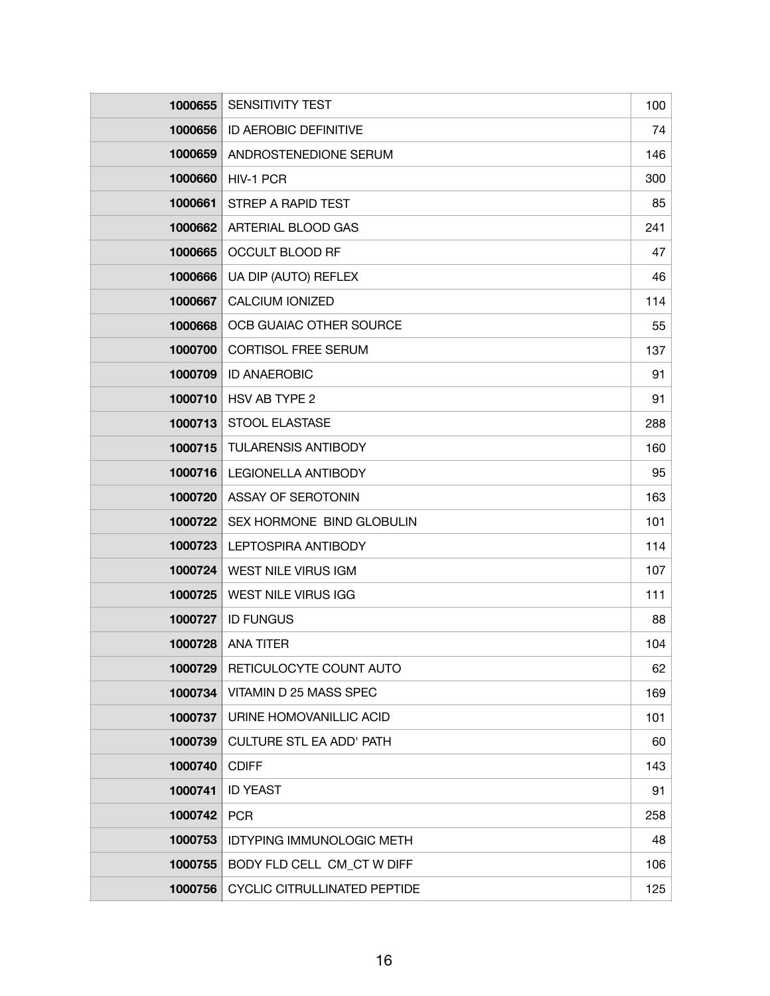| 1000655 | <b>SENSITIVITY TEST</b>             | 100 |
|---------|-------------------------------------|-----|
| 1000656 | ID AEROBIC DEFINITIVE               | 74  |
| 1000659 | ANDROSTENEDIONE SERUM               | 146 |
| 1000660 | HIV-1 PCR                           | 300 |
| 1000661 | STREP A RAPID TEST                  | 85  |
| 1000662 | ARTERIAL BLOOD GAS                  | 241 |
| 1000665 | <b>OCCULT BLOOD RF</b>              | 47  |
| 1000666 | UA DIP (AUTO) REFLEX                | 46  |
| 1000667 | <b>CALCIUM IONIZED</b>              | 114 |
| 1000668 | OCB GUAIAC OTHER SOURCE             | 55  |
| 1000700 | <b>CORTISOL FREE SERUM</b>          | 137 |
| 1000709 | <b>ID ANAEROBIC</b>                 | 91  |
| 1000710 | HSV AB TYPE 2                       | 91  |
| 1000713 | <b>STOOL ELASTASE</b>               | 288 |
| 1000715 | <b>TULARENSIS ANTIBODY</b>          | 160 |
| 1000716 | <b>LEGIONELLA ANTIBODY</b>          | 95  |
| 1000720 | ASSAY OF SEROTONIN                  | 163 |
| 1000722 | SEX HORMONE BIND GLOBULIN           | 101 |
| 1000723 | LEPTOSPIRA ANTIBODY                 | 114 |
| 1000724 | <b>WEST NILE VIRUS IGM</b>          | 107 |
| 1000725 | <b>WEST NILE VIRUS IGG</b>          | 111 |
| 1000727 | <b>ID FUNGUS</b>                    | 88  |
| 1000728 | <b>ANA TITER</b>                    | 104 |
| 1000729 | RETICULOCYTE COUNT AUTO             | 62  |
| 1000734 | VITAMIN D 25 MASS SPEC              | 169 |
| 1000737 | URINE HOMOVANILLIC ACID             | 101 |
| 1000739 | <b>CULTURE STL EA ADD' PATH</b>     | 60  |
| 1000740 | <b>CDIFF</b>                        | 143 |
| 1000741 | <b>ID YEAST</b>                     | 91  |
| 1000742 | <b>PCR</b>                          | 258 |
| 1000753 | <b>IDTYPING IMMUNOLOGIC METH</b>    | 48  |
| 1000755 | BODY FLD CELL CM_CT W DIFF          | 106 |
| 1000756 | <b>CYCLIC CITRULLINATED PEPTIDE</b> | 125 |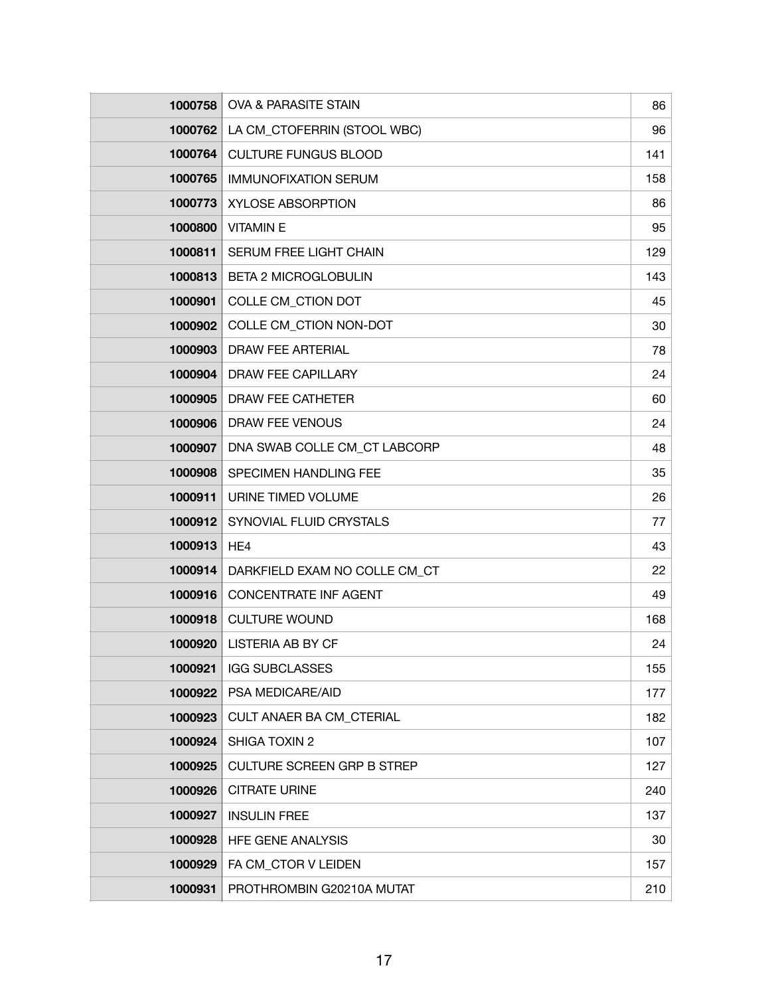| 1000758 | OVA & PARASITE STAIN              | 86  |
|---------|-----------------------------------|-----|
| 1000762 | LA CM_CTOFERRIN (STOOL WBC)       | 96  |
| 1000764 | <b>CULTURE FUNGUS BLOOD</b>       | 141 |
| 1000765 | <b>IMMUNOFIXATION SERUM</b>       | 158 |
| 1000773 | <b>XYLOSE ABSORPTION</b>          | 86  |
| 1000800 | <b>VITAMINE</b>                   | 95  |
| 1000811 | SERUM FREE LIGHT CHAIN            | 129 |
| 1000813 | <b>BETA 2 MICROGLOBULIN</b>       | 143 |
| 1000901 | COLLE CM_CTION DOT                | 45  |
| 1000902 | COLLE CM_CTION NON-DOT            | 30  |
| 1000903 | <b>DRAW FEE ARTERIAL</b>          | 78  |
| 1000904 | <b>DRAW FEE CAPILLARY</b>         | 24  |
| 1000905 | DRAW FEE CATHETER                 | 60  |
| 1000906 | DRAW FEE VENOUS                   | 24  |
| 1000907 | DNA SWAB COLLE CM_CT LABCORP      | 48  |
| 1000908 | SPECIMEN HANDLING FEE             | 35  |
| 1000911 | URINE TIMED VOLUME                | 26  |
| 1000912 | SYNOVIAL FLUID CRYSTALS           | 77  |
| 1000913 | HE4                               | 43  |
| 1000914 | DARKFIELD EXAM NO COLLE CM CT     | 22  |
| 1000916 | <b>CONCENTRATE INF AGENT</b>      | 49  |
| 1000918 | <b>CULTURE WOUND</b>              | 168 |
| 1000920 | LISTERIA AB BY CF                 | 24  |
| 1000921 | <b>IGG SUBCLASSES</b>             | 155 |
| 1000922 | PSA MEDICARE/AID                  | 177 |
| 1000923 | <b>CULT ANAER BA CM CTERIAL</b>   | 182 |
| 1000924 | SHIGA TOXIN 2                     | 107 |
| 1000925 | <b>CULTURE SCREEN GRP B STREP</b> | 127 |
| 1000926 | <b>CITRATE URINE</b>              | 240 |
| 1000927 | <b>INSULIN FREE</b>               | 137 |
| 1000928 | HFE GENE ANALYSIS                 | 30  |
| 1000929 | FA CM_CTOR V LEIDEN               | 157 |
| 1000931 | PROTHROMBIN G20210A MUTAT         | 210 |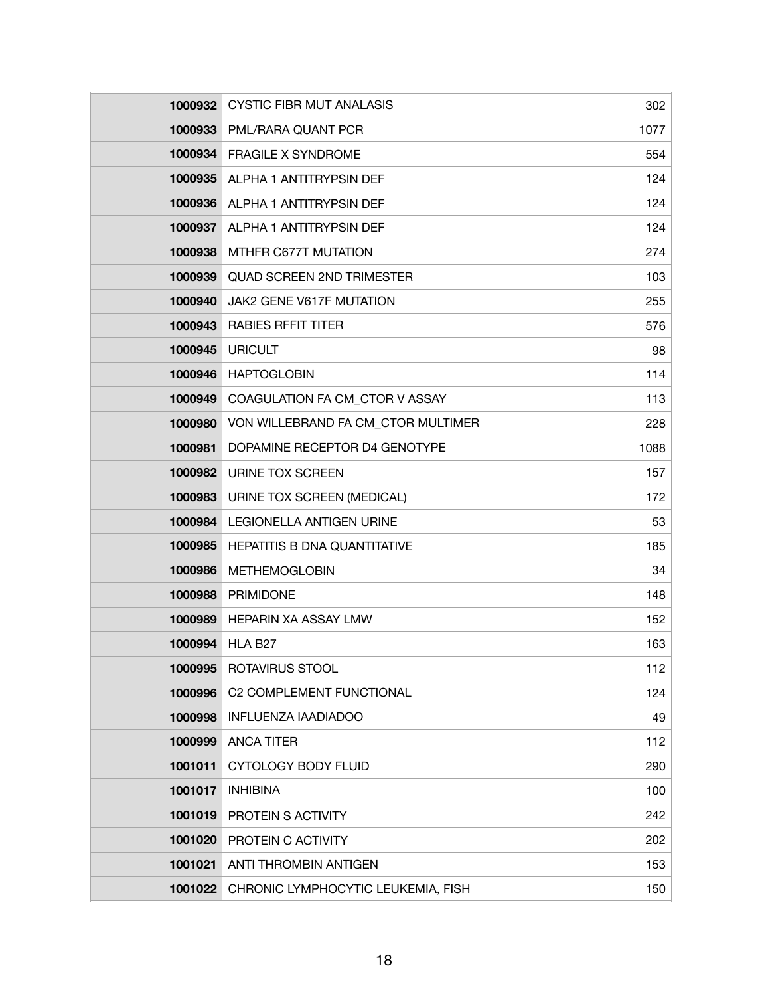| 1000932 | <b>CYSTIC FIBR MUT ANALASIS</b>     | 302  |
|---------|-------------------------------------|------|
| 1000933 | PML/RARA QUANT PCR                  | 1077 |
| 1000934 | <b>FRAGILE X SYNDROME</b>           | 554  |
| 1000935 | ALPHA 1 ANTITRYPSIN DEF             | 124  |
| 1000936 | ALPHA 1 ANTITRYPSIN DEF             | 124  |
| 1000937 | ALPHA 1 ANTITRYPSIN DEF             | 124  |
| 1000938 | MTHFR C677T MUTATION                | 274  |
| 1000939 | <b>QUAD SCREEN 2ND TRIMESTER</b>    | 103  |
| 1000940 | JAK2 GENE V617F MUTATION            | 255  |
| 1000943 | <b>RABIES RFFIT TITER</b>           | 576  |
| 1000945 | <b>URICULT</b>                      | 98   |
| 1000946 | <b>HAPTOGLOBIN</b>                  | 114  |
| 1000949 | COAGULATION FA CM_CTOR V ASSAY      | 113  |
| 1000980 | VON WILLEBRAND FA CM CTOR MULTIMER  | 228  |
| 1000981 | DOPAMINE RECEPTOR D4 GENOTYPE       | 1088 |
| 1000982 | URINE TOX SCREEN                    | 157  |
| 1000983 | URINE TOX SCREEN (MEDICAL)          | 172  |
| 1000984 | <b>LEGIONELLA ANTIGEN URINE</b>     | 53   |
| 1000985 | <b>HEPATITIS B DNA QUANTITATIVE</b> | 185  |
| 1000986 | <b>METHEMOGLOBIN</b>                | 34   |
| 1000988 | <b>PRIMIDONE</b>                    | 148  |
| 1000989 | <b>HEPARIN XA ASSAY LMW</b>         | 152  |
| 1000994 | HLA B <sub>27</sub>                 | 163  |
| 1000995 | <b>ROTAVIRUS STOOL</b>              | 112  |
| 1000996 | C2 COMPLEMENT FUNCTIONAL            | 124  |
| 1000998 | <b>INFLUENZA IAADIADOO</b>          | 49   |
| 1000999 | <b>ANCA TITER</b>                   | 112  |
| 1001011 | <b>CYTOLOGY BODY FLUID</b>          | 290  |
| 1001017 | <b>INHIBINA</b>                     | 100  |
| 1001019 | PROTEIN S ACTIVITY                  | 242  |
| 1001020 | PROTEIN C ACTIVITY                  | 202  |
| 1001021 | <b>ANTI THROMBIN ANTIGEN</b>        | 153  |
| 1001022 | CHRONIC LYMPHOCYTIC LEUKEMIA, FISH  | 150  |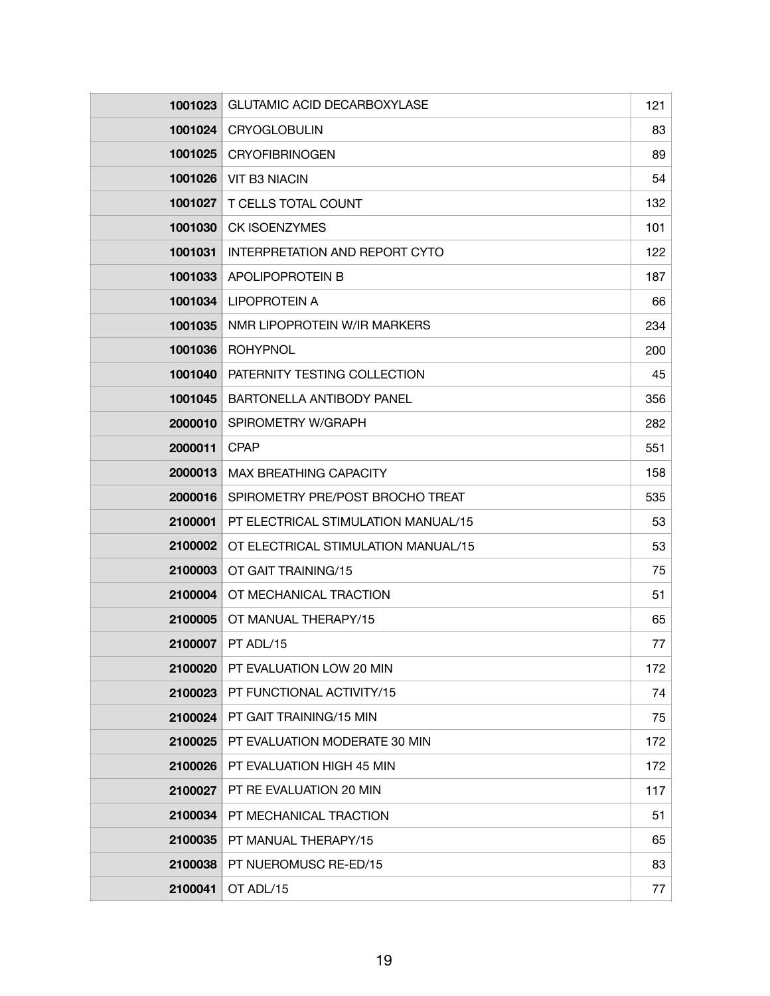| 1001023 | <b>GLUTAMIC ACID DECARBOXYLASE</b>  | 121 |
|---------|-------------------------------------|-----|
| 1001024 | CRYOGLOBULIN                        | 83  |
| 1001025 | <b>CRYOFIBRINOGEN</b>               | 89  |
| 1001026 | <b>VIT B3 NIACIN</b>                | 54  |
| 1001027 | T CELLS TOTAL COUNT                 | 132 |
| 1001030 | <b>CK ISOENZYMES</b>                | 101 |
| 1001031 | INTERPRETATION AND REPORT CYTO      | 122 |
| 1001033 | APOLIPOPROTEIN B                    | 187 |
| 1001034 | <b>LIPOPROTEIN A</b>                | 66  |
| 1001035 | NMR LIPOPROTEIN W/IR MARKERS        | 234 |
| 1001036 | <b>ROHYPNOL</b>                     | 200 |
| 1001040 | PATERNITY TESTING COLLECTION        | 45  |
| 1001045 | BARTONELLA ANTIBODY PANEL           | 356 |
| 2000010 | SPIROMETRY W/GRAPH                  | 282 |
| 2000011 | <b>CPAP</b>                         | 551 |
| 2000013 | <b>MAX BREATHING CAPACITY</b>       | 158 |
| 2000016 | SPIROMETRY PRE/POST BROCHO TREAT    | 535 |
| 2100001 | PT ELECTRICAL STIMULATION MANUAL/15 | 53  |
| 2100002 | OT ELECTRICAL STIMULATION MANUAL/15 | 53  |
| 2100003 | OT GAIT TRAINING/15                 | 75  |
| 2100004 | OT MECHANICAL TRACTION              | 51  |
| 2100005 | OT MANUAL THERAPY/15                | 65  |
| 2100007 | PT ADL/15                           | 77  |
| 2100020 | PT EVALUATION LOW 20 MIN            | 172 |
| 2100023 | PT FUNCTIONAL ACTIVITY/15           | 74  |
| 2100024 | PT GAIT TRAINING/15 MIN             | 75  |
| 2100025 | PT EVALUATION MODERATE 30 MIN       | 172 |
| 2100026 | PT EVALUATION HIGH 45 MIN           | 172 |
| 2100027 | PT RE EVALUATION 20 MIN             | 117 |
| 2100034 | PT MECHANICAL TRACTION              | 51  |
| 2100035 | PT MANUAL THERAPY/15                | 65  |
| 2100038 | PT NUEROMUSC RE-ED/15               | 83  |
| 2100041 | OT ADL/15                           | 77  |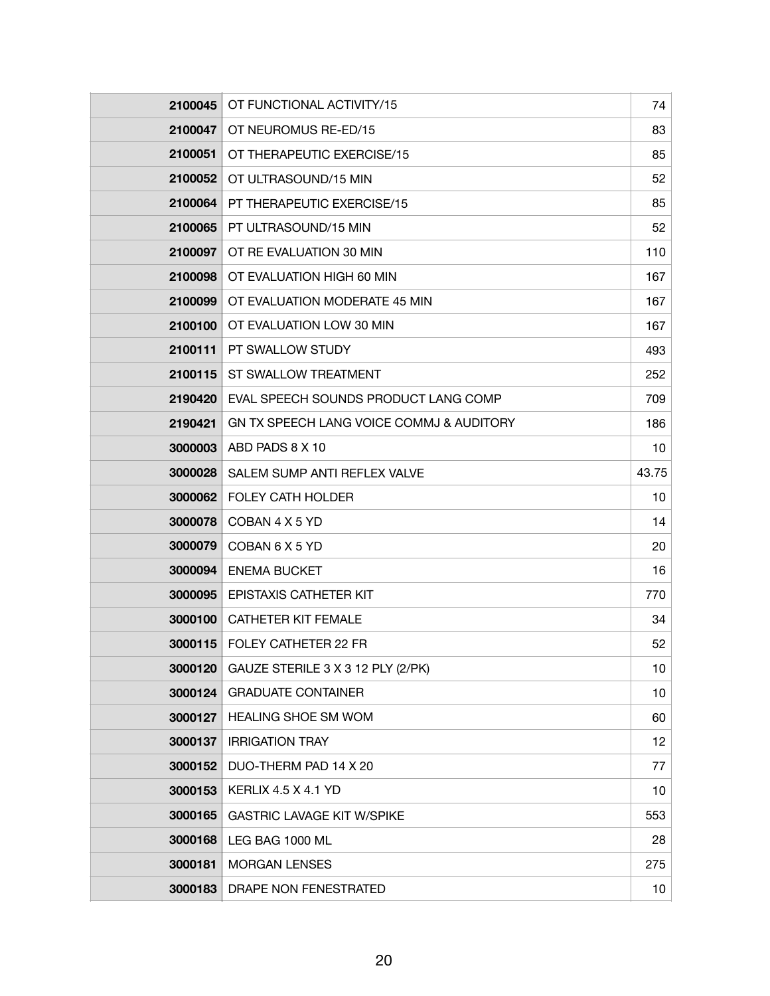| 2100045 | OT FUNCTIONAL ACTIVITY/15                | 74    |
|---------|------------------------------------------|-------|
| 2100047 | OT NEUROMUS RE-ED/15                     | 83    |
| 2100051 | OT THERAPEUTIC EXERCISE/15               | 85    |
| 2100052 | OT ULTRASOUND/15 MIN                     | 52    |
| 2100064 | PT THERAPEUTIC EXERCISE/15               | 85    |
| 2100065 | PT ULTRASOUND/15 MIN                     | 52    |
| 2100097 | OT RE EVALUATION 30 MIN                  | 110   |
| 2100098 | OT EVALUATION HIGH 60 MIN                | 167   |
| 2100099 | OT EVALUATION MODERATE 45 MIN            | 167   |
| 2100100 | OT EVALUATION LOW 30 MIN                 | 167   |
| 2100111 | PT SWALLOW STUDY                         | 493   |
| 2100115 | ST SWALLOW TREATMENT                     | 252   |
| 2190420 | EVAL SPEECH SOUNDS PRODUCT LANG COMP     | 709   |
| 2190421 | GN TX SPEECH LANG VOICE COMMJ & AUDITORY | 186   |
| 3000003 | ABD PADS 8 X 10                          | 10    |
| 3000028 | SALEM SUMP ANTI REFLEX VALVE             | 43.75 |
| 3000062 | <b>FOLEY CATH HOLDER</b>                 | 10    |
| 3000078 | COBAN 4 X 5 YD                           | 14    |
| 3000079 | COBAN 6 X 5 YD                           | 20    |
| 3000094 | <b>ENEMA BUCKET</b>                      | 16    |
| 3000095 | EPISTAXIS CATHETER KIT                   | 770   |
| 3000100 | <b>CATHETER KIT FEMALE</b>               | 34    |
| 3000115 | FOLEY CATHETER 22 FR                     | 52    |
| 3000120 | GAUZE STERILE 3 X 3 12 PLY (2/PK)        | 10    |
| 3000124 | <b>GRADUATE CONTAINER</b>                | 10    |
| 3000127 | <b>HEALING SHOE SM WOM</b>               | 60    |
| 3000137 | <b>IRRIGATION TRAY</b>                   | 12    |
| 3000152 | DUO-THERM PAD 14 X 20                    | 77    |
| 3000153 | <b>KERLIX 4.5 X 4.1 YD</b>               | 10    |
| 3000165 | <b>GASTRIC LAVAGE KIT W/SPIKE</b>        | 553   |
| 3000168 | LEG BAG 1000 ML                          | 28    |
| 3000181 | <b>MORGAN LENSES</b>                     | 275   |
| 3000183 | DRAPE NON FENESTRATED                    | 10    |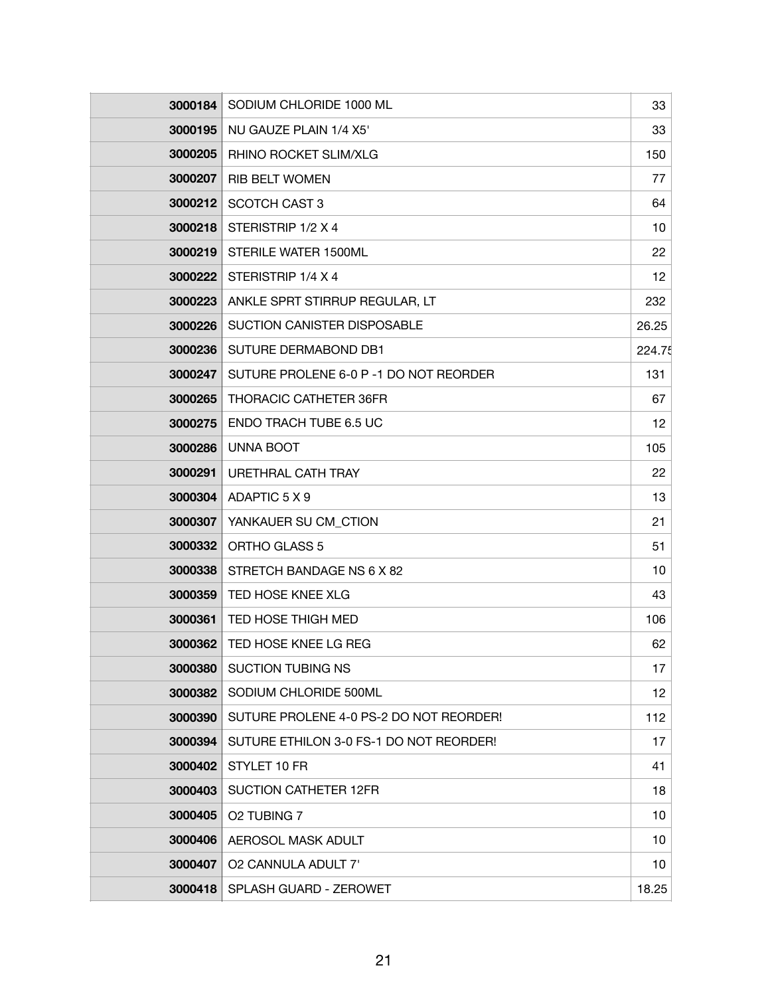| 3000184        | SODIUM CHLORIDE 1000 ML                 | 33     |
|----------------|-----------------------------------------|--------|
| 3000195        | NU GAUZE PLAIN 1/4 X5'                  | 33     |
| 3000205        | RHINO ROCKET SLIM/XLG                   | 150    |
| 3000207        | <b>RIB BELT WOMEN</b>                   | 77     |
| 3000212        | SCOTCH CAST 3                           | 64     |
| 3000218        | STERISTRIP 1/2 X 4                      | 10     |
| 3000219        | STERILE WATER 1500ML                    | 22     |
| 3000222        | STERISTRIP 1/4 X 4                      | 12     |
| 3000223        | ANKLE SPRT STIRRUP REGULAR, LT          | 232    |
| 3000226        | SUCTION CANISTER DISPOSABLE             | 26.25  |
| 3000236        | SUTURE DERMABOND DB1                    | 224.75 |
| 3000247        | SUTURE PROLENE 6-0 P -1 DO NOT REORDER  | 131    |
| 3000265        | <b>THORACIC CATHETER 36FR</b>           | 67     |
| 3000275        | ENDO TRACH TUBE 6.5 UC                  | 12     |
| 3000286        | <b>UNNA BOOT</b>                        | 105    |
| 3000291        | URETHRAL CATH TRAY                      | 22     |
| 3000304        | ADAPTIC 5 X 9                           | 13     |
| 3000307        | YANKAUER SU CM_CTION                    | 21     |
| 3000332        | ORTHO GLASS 5                           | 51     |
| 3000338        | STRETCH BANDAGE NS 6 X 82               | 10     |
| 3000359        | TED HOSE KNEE XLG                       | 43     |
| 3000361        | TED HOSE THIGH MED                      | 106    |
| <b>3000362</b> | TED HOSE KNEE LG REG                    | 62     |
| 3000380        | <b>SUCTION TUBING NS</b>                | 17     |
| 3000382        | SODIUM CHLORIDE 500ML                   | 12     |
| 3000390        | SUTURE PROLENE 4-0 PS-2 DO NOT REORDER! | 112    |
| 3000394        | SUTURE ETHILON 3-0 FS-1 DO NOT REORDER! | 17     |
| 3000402        | STYLET 10 FR                            | 41     |
| 3000403        | <b>SUCTION CATHETER 12FR</b>            | 18     |
| 3000405        | O2 TUBING 7                             | 10     |
| 3000406        | AEROSOL MASK ADULT                      | 10     |
| 3000407        | O2 CANNULA ADULT 7'                     | 10     |
| 3000418        | SPLASH GUARD - ZEROWET                  | 18.25  |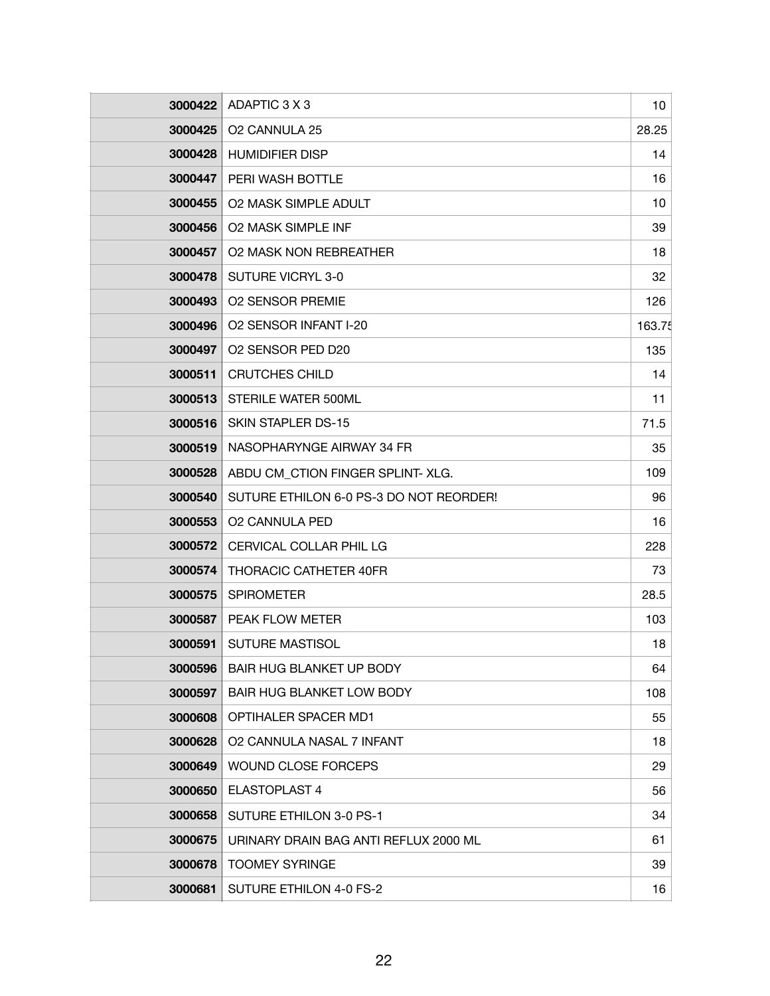| 3000422 | ADAPTIC 3 X 3                           | 10     |
|---------|-----------------------------------------|--------|
| 3000425 | O2 CANNULA 25                           | 28.25  |
| 3000428 | <b>HUMIDIFIER DISP</b>                  | 14     |
| 3000447 | PERI WASH BOTTLE                        | 16     |
| 3000455 | <b>O2 MASK SIMPLE ADULT</b>             | 10     |
| 3000456 | <b>O2 MASK SIMPLE INF</b>               | 39     |
| 3000457 | <b>O2 MASK NON REBREATHER</b>           | 18     |
| 3000478 | <b>SUTURE VICRYL 3-0</b>                | 32     |
| 3000493 | <b>O2 SENSOR PREMIE</b>                 | 126    |
| 3000496 | O2 SENSOR INFANT I-20                   | 163.75 |
| 3000497 | O2 SENSOR PED D20                       | 135    |
| 3000511 | <b>CRUTCHES CHILD</b>                   | 14     |
| 3000513 | STERILE WATER 500ML                     | 11     |
| 3000516 | SKIN STAPLER DS-15                      | 71.5   |
| 3000519 | NASOPHARYNGE AIRWAY 34 FR               | 35     |
| 3000528 | ABDU CM_CTION FINGER SPLINT- XLG.       | 109    |
| 3000540 | SUTURE ETHILON 6-0 PS-3 DO NOT REORDER! | 96     |
| 3000553 | <b>O2 CANNULA PED</b>                   | 16     |
| 3000572 | CERVICAL COLLAR PHIL LG                 | 228    |
| 3000574 | <b>THORACIC CATHETER 40FR</b>           | 73     |
| 3000575 | <b>SPIROMETER</b>                       | 28.5   |
| 3000587 | PEAK FLOW METER                         | 103    |
| 3000591 | <b>SUTURE MASTISOL</b>                  | 18     |
| 3000596 | BAIR HUG BLANKET UP BODY                | 64     |
| 3000597 | BAIR HUG BLANKET LOW BODY               | 108    |
| 3000608 | <b>OPTIHALER SPACER MD1</b>             | 55     |
| 3000628 | O2 CANNULA NASAL 7 INFANT               | 18     |
| 3000649 | <b>WOUND CLOSE FORCEPS</b>              | 29     |
| 3000650 | ELASTOPLAST 4                           | 56     |
| 3000658 | SUTURE ETHILON 3-0 PS-1                 | 34     |
| 3000675 | URINARY DRAIN BAG ANTI REFLUX 2000 ML   | 61     |
| 3000678 | <b>TOOMEY SYRINGE</b>                   | 39     |
| 3000681 | SUTURE ETHILON 4-0 FS-2                 | 16     |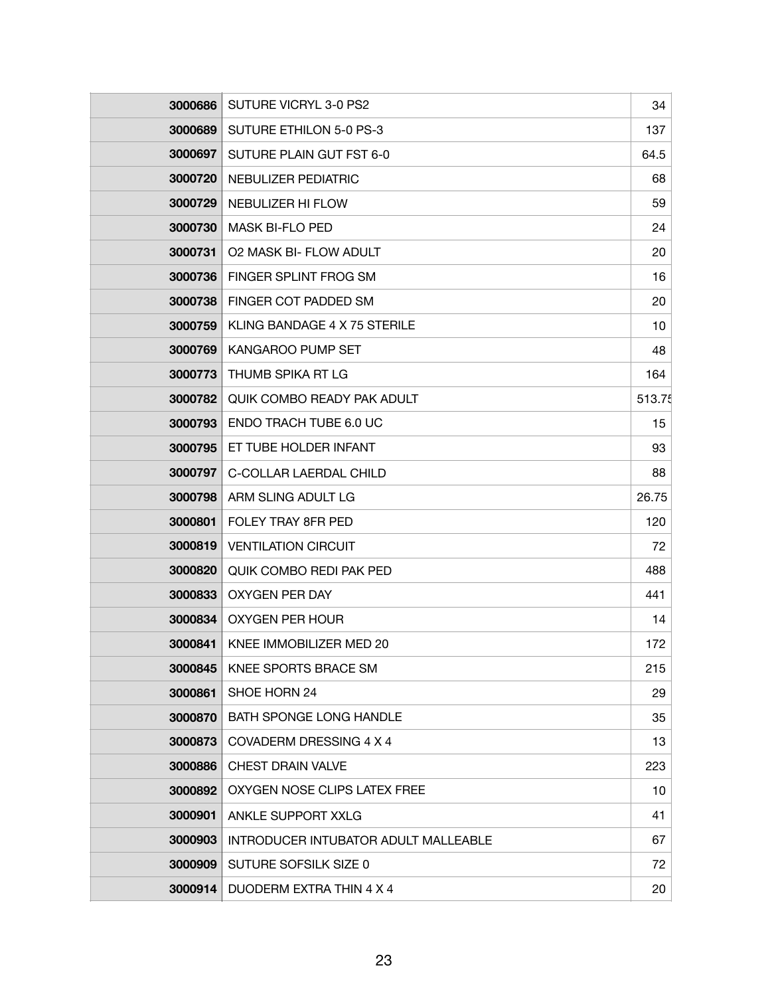| 3000686 | SUTURE VICRYL 3-0 PS2                | 34     |
|---------|--------------------------------------|--------|
| 3000689 | <b>SUTURE ETHILON 5-0 PS-3</b>       | 137    |
| 3000697 | SUTURE PLAIN GUT FST 6-0             | 64.5   |
| 3000720 | NEBULIZER PEDIATRIC                  | 68     |
| 3000729 | NEBULIZER HI FLOW                    | 59     |
| 3000730 | <b>MASK BI-FLO PED</b>               | 24     |
| 3000731 | <b>O2 MASK BI- FLOW ADULT</b>        | 20     |
| 3000736 | FINGER SPLINT FROG SM                | 16     |
| 3000738 | FINGER COT PADDED SM                 | 20     |
| 3000759 | KLING BANDAGE 4 X 75 STERILE         | 10     |
| 3000769 | <b>KANGAROO PUMP SET</b>             | 48     |
| 3000773 | THUMB SPIKA RT LG                    | 164    |
| 3000782 | <b>QUIK COMBO READY PAK ADULT</b>    | 513.75 |
| 3000793 | <b>ENDO TRACH TUBE 6.0 UC</b>        | 15     |
| 3000795 | ET TUBE HOLDER INFANT                | 93     |
| 3000797 | C-COLLAR LAERDAL CHILD               | 88     |
| 3000798 | ARM SLING ADULT LG                   | 26.75  |
| 3000801 | FOLEY TRAY 8FR PED                   | 120    |
| 3000819 | <b>VENTILATION CIRCUIT</b>           | 72     |
| 3000820 | QUIK COMBO REDI PAK PED              | 488    |
| 3000833 | <b>OXYGEN PER DAY</b>                | 441    |
| 3000834 | OXYGEN PER HOUR                      | 14     |
| 3000841 | KNEE IMMOBILIZER MED 20              | 172    |
| 3000845 | KNEE SPORTS BRACE SM                 | 215    |
| 3000861 | SHOE HORN 24                         | 29     |
| 3000870 | <b>BATH SPONGE LONG HANDLE</b>       | 35     |
| 3000873 | COVADERM DRESSING 4 X 4              | 13     |
| 3000886 | CHEST DRAIN VALVE                    | 223    |
| 3000892 | OXYGEN NOSE CLIPS LATEX FREE         | 10     |
| 3000901 | ANKLE SUPPORT XXLG                   | 41     |
| 3000903 | INTRODUCER INTUBATOR ADULT MALLEABLE | 67     |
| 3000909 | SUTURE SOFSILK SIZE 0                | 72     |
| 3000914 | DUODERM EXTRA THIN 4 X 4             | 20     |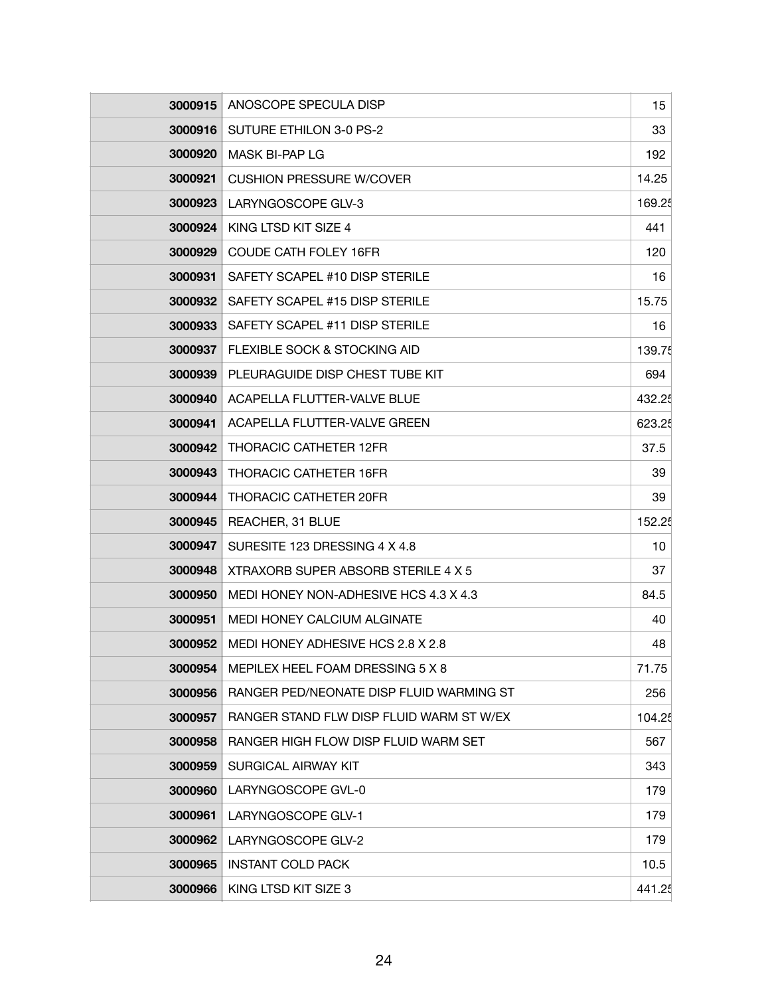|         | 3000915   ANOSCOPE SPECULA DISP          | 15     |
|---------|------------------------------------------|--------|
| 3000916 | SUTURE ETHILON 3-0 PS-2                  | 33     |
| 3000920 | <b>MASK BI-PAP LG</b>                    | 192    |
| 3000921 | <b>CUSHION PRESSURE W/COVER</b>          | 14.25  |
| 3000923 | LARYNGOSCOPE GLV-3                       | 169.25 |
| 3000924 | KING LTSD KIT SIZE 4                     | 441    |
| 3000929 | COUDE CATH FOLEY 16FR                    | 120    |
| 3000931 | SAFETY SCAPEL #10 DISP STERILE           | 16     |
| 3000932 | SAFETY SCAPEL #15 DISP STERILE           | 15.75  |
| 3000933 | SAFETY SCAPEL #11 DISP STERILE           | 16     |
| 3000937 | FLEXIBLE SOCK & STOCKING AID             | 139.75 |
| 3000939 | PLEURAGUIDE DISP CHEST TUBE KIT          | 694    |
| 3000940 | ACAPELLA FLUTTER-VALVE BLUE              | 432.25 |
| 3000941 | ACAPELLA FLUTTER-VALVE GREEN             | 623.25 |
| 3000942 | <b>THORACIC CATHETER 12FR</b>            | 37.5   |
| 3000943 | <b>THORACIC CATHETER 16FR</b>            | 39     |
| 3000944 | THORACIC CATHETER 20FR                   | 39     |
| 3000945 | REACHER, 31 BLUE                         | 152.25 |
| 3000947 | SURESITE 123 DRESSING 4 X 4.8            | 10     |
| 3000948 | XTRAXORB SUPER ABSORB STERILE 4 X 5      | 37     |
| 3000950 | MEDI HONEY NON-ADHESIVE HCS 4.3 X 4.3    | 84.5   |
| 3000951 | <b>MEDI HONEY CALCIUM ALGINATE</b>       | 40     |
| 3000952 | MEDI HONEY ADHESIVE HCS 2.8 X 2.8        | 48     |
| 3000954 | MEPILEX HEEL FOAM DRESSING 5 X 8         | 71.75  |
| 3000956 | RANGER PED/NEONATE DISP FLUID WARMING ST | 256    |
| 3000957 | RANGER STAND FLW DISP FLUID WARM ST W/EX | 104.25 |
| 3000958 | RANGER HIGH FLOW DISP FLUID WARM SET     | 567    |
| 3000959 | SURGICAL AIRWAY KIT                      | 343    |
| 3000960 | LARYNGOSCOPE GVL-0                       | 179    |
| 3000961 | LARYNGOSCOPE GLV-1                       | 179    |
| 3000962 | LARYNGOSCOPE GLV-2                       | 179    |
| 3000965 | <b>INSTANT COLD PACK</b>                 | 10.5   |
| 3000966 | KING LTSD KIT SIZE 3                     | 441.25 |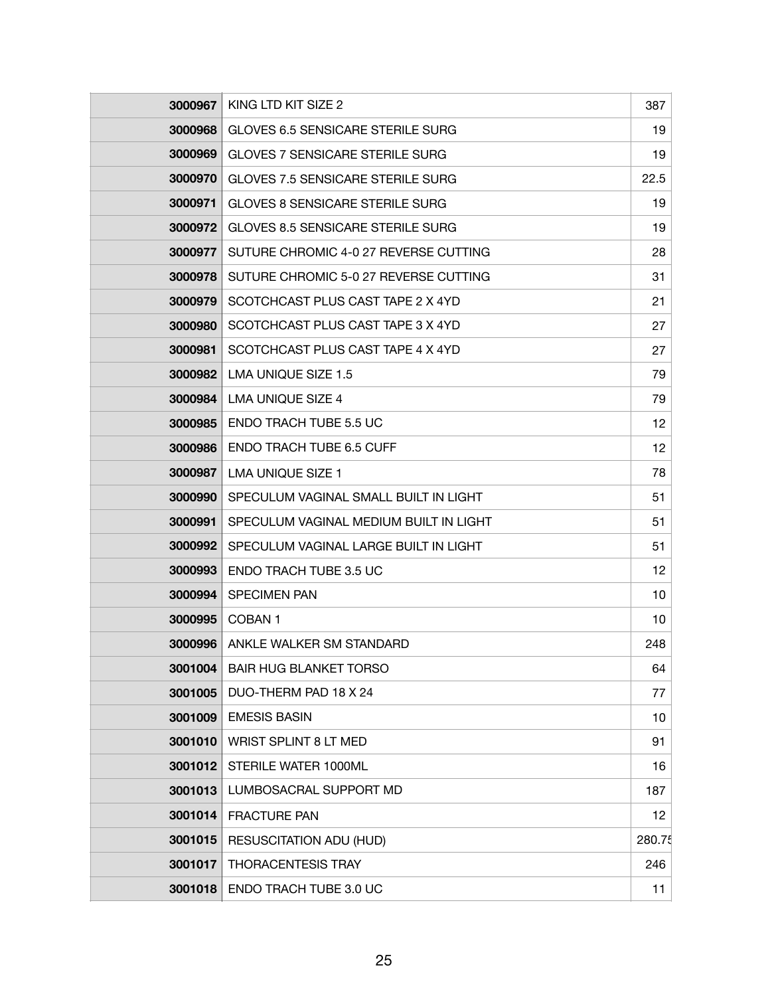| 3000967 | KING LTD KIT SIZE 2                      | 387    |
|---------|------------------------------------------|--------|
| 3000968 | <b>GLOVES 6.5 SENSICARE STERILE SURG</b> | 19     |
| 3000969 | <b>GLOVES 7 SENSICARE STERILE SURG</b>   | 19     |
| 3000970 | <b>GLOVES 7.5 SENSICARE STERILE SURG</b> | 22.5   |
| 3000971 | <b>GLOVES 8 SENSICARE STERILE SURG</b>   | 19     |
| 3000972 | <b>GLOVES 8.5 SENSICARE STERILE SURG</b> | 19     |
| 3000977 | SUTURE CHROMIC 4-0 27 REVERSE CUTTING    | 28     |
| 3000978 | SUTURE CHROMIC 5-0 27 REVERSE CUTTING    | 31     |
| 3000979 | SCOTCHCAST PLUS CAST TAPE 2 X 4YD        | 21     |
| 3000980 | SCOTCHCAST PLUS CAST TAPE 3 X 4YD        | 27     |
| 3000981 | SCOTCHCAST PLUS CAST TAPE 4 X 4YD        | 27     |
| 3000982 | LMA UNIQUE SIZE 1.5                      | 79     |
| 3000984 | <b>LMA UNIQUE SIZE 4</b>                 | 79     |
| 3000985 | <b>ENDO TRACH TUBE 5.5 UC</b>            | 12     |
| 3000986 | <b>ENDO TRACH TUBE 6.5 CUFF</b>          | 12     |
| 3000987 | LMA UNIQUE SIZE 1                        | 78     |
| 3000990 | SPECULUM VAGINAL SMALL BUILT IN LIGHT    | 51     |
| 3000991 | SPECULUM VAGINAL MEDIUM BUILT IN LIGHT   | 51     |
| 3000992 | SPECULUM VAGINAL LARGE BUILT IN LIGHT    | 51     |
| 3000993 | <b>ENDO TRACH TUBE 3.5 UC</b>            | 12     |
| 3000994 | <b>SPECIMEN PAN</b>                      | 10     |
| 3000995 | COBAN <sub>1</sub>                       | 10     |
| 3000996 | ANKLE WALKER SM STANDARD                 | 248    |
| 3001004 | <b>BAIR HUG BLANKET TORSO</b>            | 64     |
| 3001005 | DUO-THERM PAD 18 X 24                    | 77     |
| 3001009 | <b>EMESIS BASIN</b>                      | 10     |
| 3001010 | WRIST SPLINT 8 LT MED                    | 91     |
| 3001012 | STERILE WATER 1000ML                     | 16     |
| 3001013 | LUMBOSACRAL SUPPORT MD                   | 187    |
| 3001014 | <b>FRACTURE PAN</b>                      | 12     |
| 3001015 | <b>RESUSCITATION ADU (HUD)</b>           | 280.75 |
| 3001017 | <b>THORACENTESIS TRAY</b>                | 246    |
| 3001018 | ENDO TRACH TUBE 3.0 UC                   | 11     |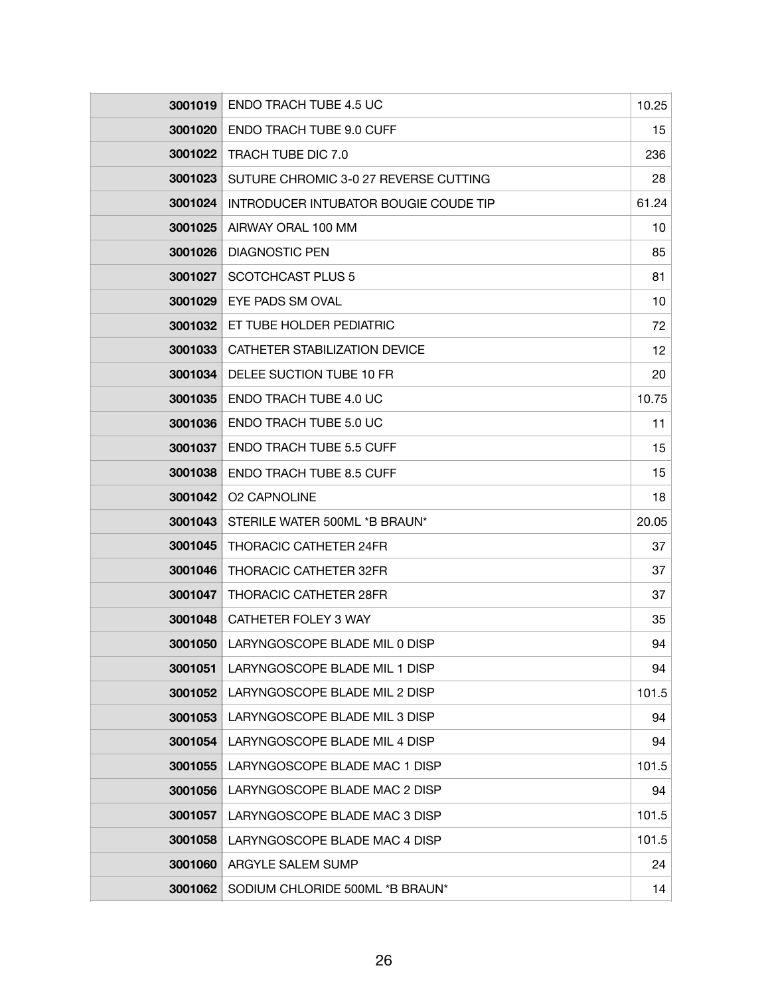| 3001019        | <b>ENDO TRACH TUBE 4.5 UC</b>         | 10.25 |
|----------------|---------------------------------------|-------|
| 3001020        | <b>ENDO TRACH TUBE 9.0 CUFF</b>       | 15    |
| 3001022        | <b>TRACH TUBE DIC 7.0</b>             | 236   |
| 3001023        | SUTURE CHROMIC 3-0 27 REVERSE CUTTING | 28    |
| 3001024        | INTRODUCER INTUBATOR BOUGIE COUDE TIP | 61.24 |
| 3001025        | AIRWAY ORAL 100 MM                    | 10    |
| 3001026        | <b>DIAGNOSTIC PEN</b>                 | 85    |
| 3001027        | <b>SCOTCHCAST PLUS 5</b>              | 81    |
| 3001029        | EYE PADS SM OVAL                      | 10    |
| 3001032        | ET TUBE HOLDER PEDIATRIC              | 72    |
| 3001033        | CATHETER STABILIZATION DEVICE         | 12    |
| 3001034        | DELEE SUCTION TUBE 10 FR              | 20    |
| 3001035        | <b>ENDO TRACH TUBE 4.0 UC</b>         | 10.75 |
| 3001036        | ENDO TRACH TUBE 5.0 UC                | 11    |
| 3001037        | <b>ENDO TRACH TUBE 5.5 CUFF</b>       | 15    |
| 3001038        | <b>ENDO TRACH TUBE 8.5 CUFF</b>       | 15    |
| 3001042        | <b>O2 CAPNOLINE</b>                   | 18    |
| 3001043        | STERILE WATER 500ML *B BRAUN*         | 20.05 |
| 3001045        | <b>THORACIC CATHETER 24FR</b>         | 37    |
| 3001046        | <b>THORACIC CATHETER 32FR</b>         | 37    |
| 3001047        | <b>THORACIC CATHETER 28FR</b>         | 37    |
| 3001048        | CATHETER FOLEY 3 WAY                  | 35    |
| <b>3001050</b> | LARYNGOSCOPE BLADE MIL 0 DISP         | 94    |
| 3001051        | LARYNGOSCOPE BLADE MIL 1 DISP         | 94    |
| 3001052        | LARYNGOSCOPE BLADE MIL 2 DISP         | 101.5 |
| 3001053        | LARYNGOSCOPE BLADE MIL 3 DISP         | 94    |
| 3001054        | LARYNGOSCOPE BLADE MIL 4 DISP         | 94    |
| 3001055        | LARYNGOSCOPE BLADE MAC 1 DISP         | 101.5 |
| 3001056        | LARYNGOSCOPE BLADE MAC 2 DISP         | 94    |
| 3001057        | LARYNGOSCOPE BLADE MAC 3 DISP         | 101.5 |
| 3001058        | LARYNGOSCOPE BLADE MAC 4 DISP         | 101.5 |
| 3001060        | ARGYLE SALEM SUMP                     | 24    |
| 3001062        | SODIUM CHLORIDE 500ML *B BRAUN*       | 14    |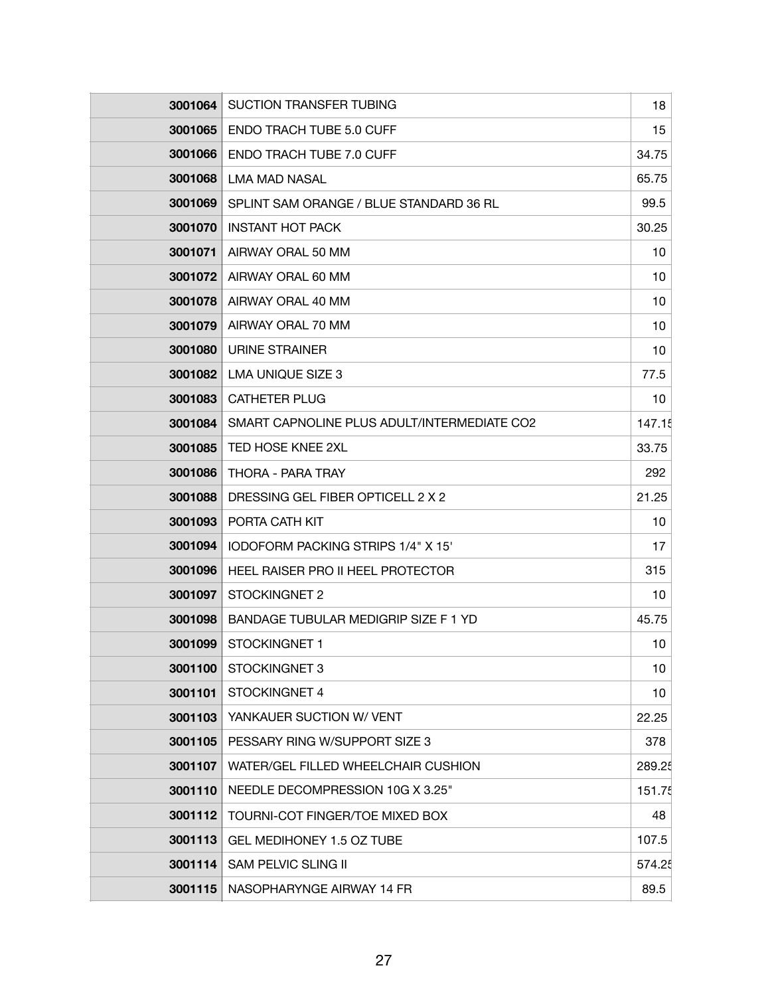| 3001064 | <b>SUCTION TRANSFER TUBING</b>              | 18     |
|---------|---------------------------------------------|--------|
| 3001065 | <b>ENDO TRACH TUBE 5.0 CUFF</b>             | 15     |
| 3001066 | <b>ENDO TRACH TUBE 7.0 CUFF</b>             | 34.75  |
| 3001068 | <b>LMA MAD NASAL</b>                        | 65.75  |
| 3001069 | SPLINT SAM ORANGE / BLUE STANDARD 36 RL     | 99.5   |
| 3001070 | <b>INSTANT HOT PACK</b>                     | 30.25  |
| 3001071 | AIRWAY ORAL 50 MM                           | 10     |
| 3001072 | AIRWAY ORAL 60 MM                           | 10     |
| 3001078 | AIRWAY ORAL 40 MM                           | 10     |
| 3001079 | AIRWAY ORAL 70 MM                           | 10     |
| 3001080 | <b>URINE STRAINER</b>                       | 10     |
| 3001082 | <b>LMA UNIQUE SIZE 3</b>                    | 77.5   |
| 3001083 | <b>CATHETER PLUG</b>                        | 10     |
| 3001084 | SMART CAPNOLINE PLUS ADULT/INTERMEDIATE CO2 | 147.15 |
| 3001085 | TED HOSE KNEE 2XL                           | 33.75  |
| 3001086 | THORA - PARA TRAY                           | 292    |
| 3001088 | DRESSING GEL FIBER OPTICELL 2 X 2           | 21.25  |
| 3001093 | PORTA CATH KIT                              | 10     |
| 3001094 | IODOFORM PACKING STRIPS 1/4" X 15"          | 17     |
| 3001096 | HEEL RAISER PRO II HEEL PROTECTOR           | 315    |
| 3001097 | STOCKINGNET 2                               | 10     |
| 3001098 | BANDAGE TUBULAR MEDIGRIP SIZE F 1 YD        | 45.75  |
| 3001099 | STOCKINGNET 1                               | 10     |
| 3001100 | STOCKINGNET 3                               | 10     |
| 3001101 | STOCKINGNET 4                               | 10     |
| 3001103 | YANKAUER SUCTION W/ VENT                    | 22.25  |
| 3001105 | PESSARY RING W/SUPPORT SIZE 3               | 378    |
| 3001107 | WATER/GEL FILLED WHEELCHAIR CUSHION         | 289.25 |
| 3001110 | NEEDLE DECOMPRESSION 10G X 3.25"            | 151.75 |
| 3001112 | TOURNI-COT FINGER/TOE MIXED BOX             | 48     |
| 3001113 | GEL MEDIHONEY 1.5 OZ TUBE                   | 107.5  |
| 3001114 | <b>SAM PELVIC SLING II</b>                  | 574.25 |
| 3001115 | NASOPHARYNGE AIRWAY 14 FR                   | 89.5   |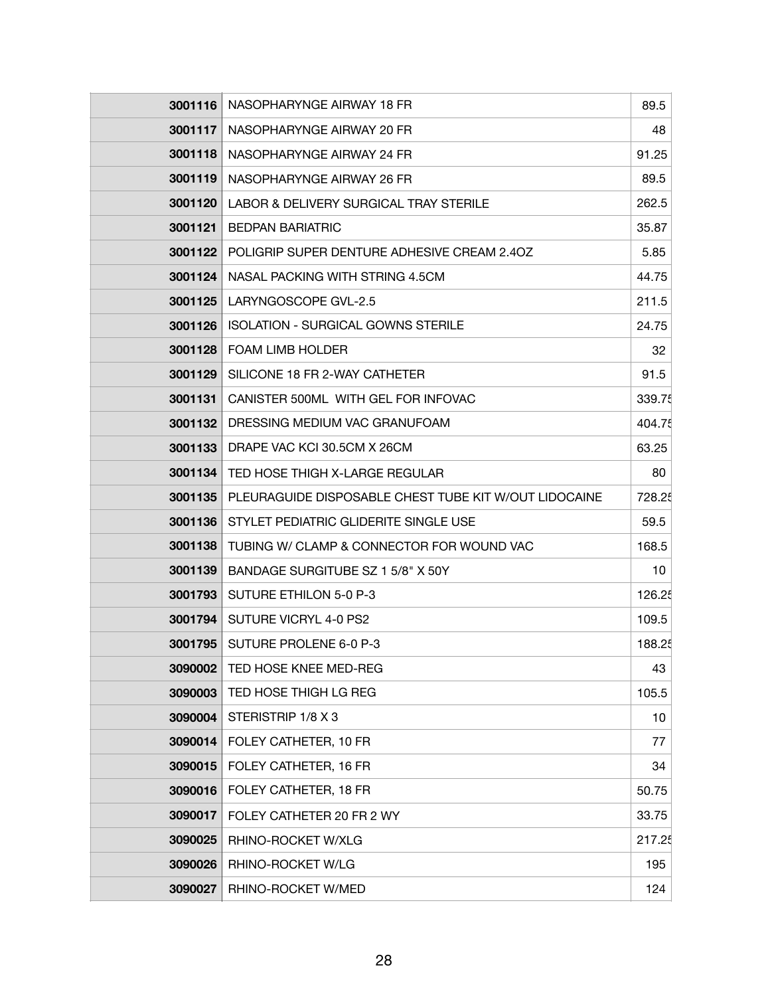| 3001116 | NASOPHARYNGE AIRWAY 18 FR                             | 89.5   |
|---------|-------------------------------------------------------|--------|
| 3001117 | NASOPHARYNGE AIRWAY 20 FR                             | 48     |
| 3001118 | NASOPHARYNGE AIRWAY 24 FR                             | 91.25  |
| 3001119 | NASOPHARYNGE AIRWAY 26 FR                             | 89.5   |
| 3001120 | LABOR & DELIVERY SURGICAL TRAY STERILE                | 262.5  |
| 3001121 | <b>BEDPAN BARIATRIC</b>                               | 35.87  |
| 3001122 | POLIGRIP SUPER DENTURE ADHESIVE CREAM 2.40Z           | 5.85   |
| 3001124 | NASAL PACKING WITH STRING 4.5CM                       | 44.75  |
| 3001125 | LARYNGOSCOPE GVL-2.5                                  | 211.5  |
| 3001126 | <b>ISOLATION - SURGICAL GOWNS STERILE</b>             | 24.75  |
| 3001128 | <b>FOAM LIMB HOLDER</b>                               | 32     |
| 3001129 | SILICONE 18 FR 2-WAY CATHETER                         | 91.5   |
| 3001131 | CANISTER 500ML WITH GEL FOR INFOVAC                   | 339.75 |
| 3001132 | DRESSING MEDIUM VAC GRANUFOAM                         | 404.75 |
| 3001133 | DRAPE VAC KCI 30.5CM X 26CM                           | 63.25  |
| 3001134 | TED HOSE THIGH X-LARGE REGULAR                        | 80     |
| 3001135 | PLEURAGUIDE DISPOSABLE CHEST TUBE KIT W/OUT LIDOCAINE | 728.25 |
| 3001136 | STYLET PEDIATRIC GLIDERITE SINGLE USE                 | 59.5   |
| 3001138 | TUBING W/ CLAMP & CONNECTOR FOR WOUND VAC             | 168.5  |
| 3001139 | BANDAGE SURGITUBE SZ 1 5/8" X 50Y                     | 10     |
| 3001793 | SUTURE ETHILON 5-0 P-3                                | 126.25 |
| 3001794 | SUTURE VICRYL 4-0 PS2                                 | 109.5  |
| 3001795 | SUTURE PROLENE 6-0 P-3                                | 188.25 |
| 3090002 | TED HOSE KNEE MED-REG                                 | 43     |
| 3090003 | TED HOSE THIGH LG REG                                 | 105.5  |
| 3090004 | STERISTRIP 1/8 X 3                                    | 10     |
| 3090014 | FOLEY CATHETER, 10 FR                                 | 77     |
| 3090015 | FOLEY CATHETER, 16 FR                                 | 34     |
| 3090016 | FOLEY CATHETER, 18 FR                                 | 50.75  |
| 3090017 | FOLEY CATHETER 20 FR 2 WY                             | 33.75  |
| 3090025 | RHINO-ROCKET W/XLG                                    | 217.25 |
| 3090026 | RHINO-ROCKET W/LG                                     | 195    |
| 3090027 | RHINO-ROCKET W/MED                                    | 124    |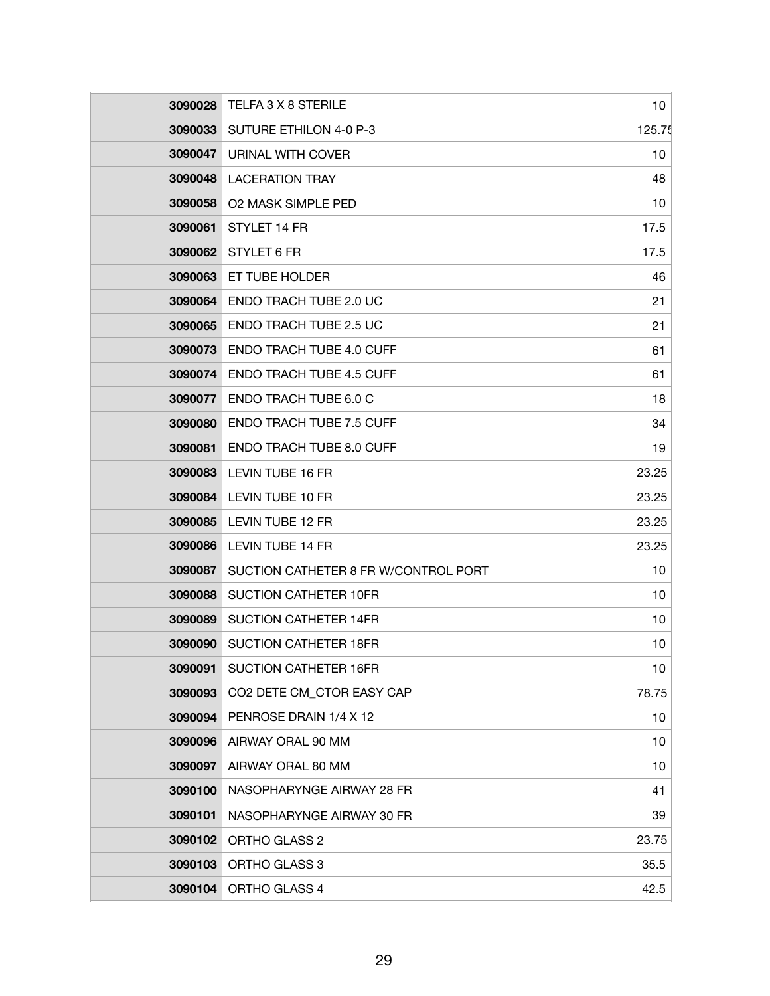| 3090028 | TELFA 3 X 8 STERILE                  | 10 <sup>1</sup> |
|---------|--------------------------------------|-----------------|
| 3090033 | SUTURE ETHILON 4-0 P-3               | 125.75          |
| 3090047 | URINAL WITH COVER                    | 10              |
| 3090048 | <b>LACERATION TRAY</b>               | 48              |
| 3090058 | <b>O2 MASK SIMPLE PED</b>            | 10              |
| 3090061 | STYLET 14 FR                         | 17.5            |
| 3090062 | STYLET 6 FR                          | 17.5            |
| 3090063 | ET TUBE HOLDER                       | 46              |
| 3090064 | ENDO TRACH TUBE 2.0 UC               | 21              |
| 3090065 | <b>ENDO TRACH TUBE 2.5 UC</b>        | 21              |
| 3090073 | <b>ENDO TRACH TUBE 4.0 CUFF</b>      | 61              |
| 3090074 | <b>ENDO TRACH TUBE 4.5 CUFF</b>      | 61              |
| 3090077 | <b>ENDO TRACH TUBE 6.0 C</b>         | 18              |
| 3090080 | <b>ENDO TRACH TUBE 7.5 CUFF</b>      | 34              |
| 3090081 | <b>ENDO TRACH TUBE 8.0 CUFF</b>      | 19              |
| 3090083 | LEVIN TUBE 16 FR                     | 23.25           |
| 3090084 | LEVIN TUBE 10 FR                     | 23.25           |
| 3090085 | LEVIN TUBE 12 FR                     | 23.25           |
| 3090086 | <b>LEVIN TUBE 14 FR</b>              | 23.25           |
| 3090087 | SUCTION CATHETER 8 FR W/CONTROL PORT | 10              |
| 3090088 | SUCTION CATHETER 10FR                | 10              |
| 3090089 | <b>SUCTION CATHETER 14FR</b>         | 10              |
| 3090090 | SUCTION CATHETER 18FR                | 10              |
| 3090091 | <b>SUCTION CATHETER 16FR</b>         | 10              |
| 3090093 | CO2 DETE CM_CTOR EASY CAP            | 78.75           |
| 3090094 | PENROSE DRAIN 1/4 X 12               | 10              |
| 3090096 | AIRWAY ORAL 90 MM                    | 10              |
| 3090097 | AIRWAY ORAL 80 MM                    | 10              |
| 3090100 | NASOPHARYNGE AIRWAY 28 FR            | 41              |
| 3090101 | NASOPHARYNGE AIRWAY 30 FR            | 39              |
| 3090102 | ORTHO GLASS 2                        | 23.75           |
| 3090103 | ORTHO GLASS 3                        | 35.5            |
| 3090104 | ORTHO GLASS 4                        | 42.5            |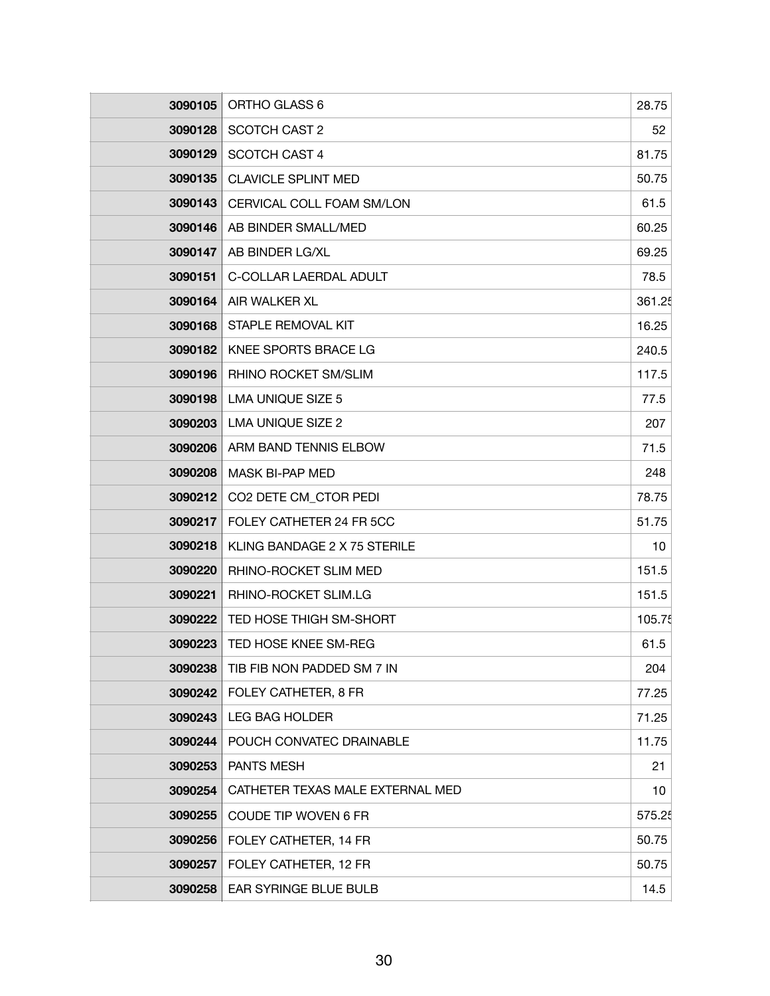| 3090105        | ORTHO GLASS 6                    | 28.75  |
|----------------|----------------------------------|--------|
| 3090128        | SCOTCH CAST 2                    | 52     |
| 3090129        | <b>SCOTCH CAST 4</b>             | 81.75  |
| 3090135        | <b>CLAVICLE SPLINT MED</b>       | 50.75  |
| 3090143        | CERVICAL COLL FOAM SM/LON        | 61.5   |
| 3090146        | AB BINDER SMALL/MED              | 60.25  |
| 3090147        | AB BINDER LG/XL                  | 69.25  |
| 3090151        | C-COLLAR LAERDAL ADULT           | 78.5   |
| 3090164        | AIR WALKER XL                    | 361.25 |
| 3090168        | STAPLE REMOVAL KIT               | 16.25  |
| 3090182        | KNEE SPORTS BRACE LG             | 240.5  |
| 3090196        | RHINO ROCKET SM/SLIM             | 117.5  |
| 3090198        | <b>LMA UNIQUE SIZE 5</b>         | 77.5   |
| 3090203        | <b>LMA UNIQUE SIZE 2</b>         | 207    |
| 3090206        | ARM BAND TENNIS ELBOW            | 71.5   |
| 3090208        | MASK BI-PAP MED                  | 248    |
| 3090212        | CO2 DETE CM_CTOR PEDI            | 78.75  |
| 3090217        | FOLEY CATHETER 24 FR 5CC         | 51.75  |
| 3090218        | KLING BANDAGE 2 X 75 STERILE     | 10     |
| 3090220        | RHINO-ROCKET SLIM MED            | 151.5  |
| 3090221        | RHINO-ROCKET SLIM.LG             | 151.5  |
| 3090222        | TED HOSE THIGH SM-SHORT          | 105.75 |
| <b>3090223</b> | TED HOSE KNEE SM-REG             | 61.5   |
| 3090238        | TIB FIB NON PADDED SM 7 IN       | 204    |
| 3090242        | FOLEY CATHETER, 8 FR             | 77.25  |
| 3090243        | <b>LEG BAG HOLDER</b>            | 71.25  |
| 3090244        | POUCH CONVATEC DRAINABLE         | 11.75  |
| 3090253        | <b>PANTS MESH</b>                | 21     |
| 3090254        | CATHETER TEXAS MALE EXTERNAL MED | 10     |
| 3090255        | COUDE TIP WOVEN 6 FR             | 575.25 |
| 3090256        | FOLEY CATHETER, 14 FR            | 50.75  |
| 3090257        | FOLEY CATHETER, 12 FR            | 50.75  |
| 3090258        | EAR SYRINGE BLUE BULB            | 14.5   |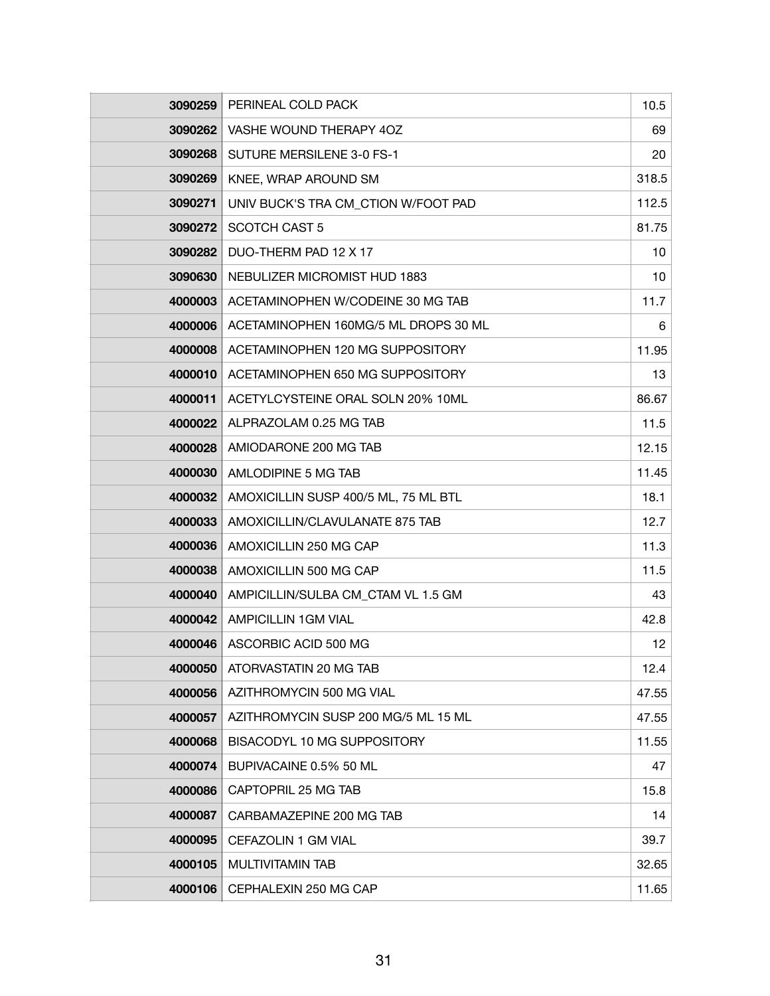| 3090259 | PERINEAL COLD PACK                   | 10.5  |
|---------|--------------------------------------|-------|
| 3090262 | VASHE WOUND THERAPY 4OZ              | 69    |
| 3090268 | SUTURE MERSILENE 3-0 FS-1            | 20    |
| 3090269 | KNEE, WRAP AROUND SM                 | 318.5 |
| 3090271 | UNIV BUCK'S TRA CM_CTION W/FOOT PAD  | 112.5 |
| 3090272 | SCOTCH CAST 5                        | 81.75 |
| 3090282 | DUO-THERM PAD 12 X 17                | 10    |
| 3090630 | NEBULIZER MICROMIST HUD 1883         | 10    |
| 4000003 | ACETAMINOPHEN W/CODEINE 30 MG TAB    | 11.7  |
| 4000006 | ACETAMINOPHEN 160MG/5 ML DROPS 30 ML | 6     |
| 4000008 | ACETAMINOPHEN 120 MG SUPPOSITORY     | 11.95 |
| 4000010 | ACETAMINOPHEN 650 MG SUPPOSITORY     | 13    |
| 4000011 | ACETYLCYSTEINE ORAL SOLN 20% 10ML    | 86.67 |
| 4000022 | ALPRAZOLAM 0.25 MG TAB               | 11.5  |
| 4000028 | AMIODARONE 200 MG TAB                | 12.15 |
| 4000030 | AMLODIPINE 5 MG TAB                  | 11.45 |
| 4000032 | AMOXICILLIN SUSP 400/5 ML, 75 ML BTL | 18.1  |
| 4000033 | AMOXICILLIN/CLAVULANATE 875 TAB      | 12.7  |
| 4000036 | AMOXICILLIN 250 MG CAP               | 11.3  |
| 4000038 | AMOXICILLIN 500 MG CAP               | 11.5  |
| 4000040 | AMPICILLIN/SULBA CM_CTAM VL 1.5 GM   | 43    |
| 4000042 | <b>AMPICILLIN 1GM VIAL</b>           | 42.8  |
| 4000046 | ASCORBIC ACID 500 MG                 | 12    |
| 4000050 | ATORVASTATIN 20 MG TAB               | 12.4  |
| 4000056 | AZITHROMYCIN 500 MG VIAL             | 47.55 |
| 4000057 | AZITHROMYCIN SUSP 200 MG/5 ML 15 ML  | 47.55 |
| 4000068 | BISACODYL 10 MG SUPPOSITORY          | 11.55 |
| 4000074 | BUPIVACAINE 0.5% 50 ML               | 47    |
| 4000086 | CAPTOPRIL 25 MG TAB                  | 15.8  |
| 4000087 | CARBAMAZEPINE 200 MG TAB             | 14    |
| 4000095 | CEFAZOLIN 1 GM VIAL                  | 39.7  |
| 4000105 | MULTIVITAMIN TAB                     | 32.65 |
| 4000106 | CEPHALEXIN 250 MG CAP                | 11.65 |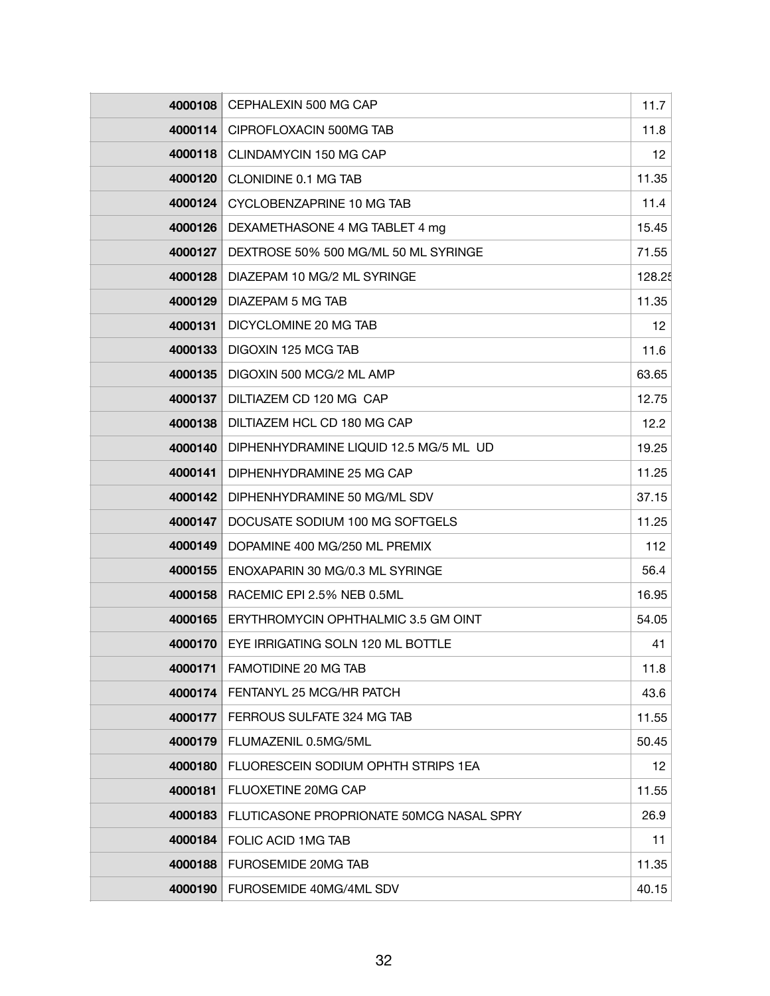| 4000108 | CEPHALEXIN 500 MG CAP                    | 11.7            |
|---------|------------------------------------------|-----------------|
| 4000114 | CIPROFLOXACIN 500MG TAB                  | 11.8            |
| 4000118 | CLINDAMYCIN 150 MG CAP                   | 12 <sub>2</sub> |
| 4000120 | CLONIDINE 0.1 MG TAB                     | 11.35           |
| 4000124 | CYCLOBENZAPRINE 10 MG TAB                | 11.4            |
| 4000126 | DEXAMETHASONE 4 MG TABLET 4 mg           | 15.45           |
| 4000127 | DEXTROSE 50% 500 MG/ML 50 ML SYRINGE     | 71.55           |
| 4000128 | DIAZEPAM 10 MG/2 ML SYRINGE              | 128.25          |
| 4000129 | DIAZEPAM 5 MG TAB                        | 11.35           |
| 4000131 | DICYCLOMINE 20 MG TAB                    | 12              |
| 4000133 | DIGOXIN 125 MCG TAB                      | 11.6            |
| 4000135 | DIGOXIN 500 MCG/2 ML AMP                 | 63.65           |
| 4000137 | DILTIAZEM CD 120 MG CAP                  | 12.75           |
| 4000138 | DILTIAZEM HCL CD 180 MG CAP              | 12.2            |
| 4000140 | DIPHENHYDRAMINE LIQUID 12.5 MG/5 ML UD   | 19.25           |
| 4000141 | DIPHENHYDRAMINE 25 MG CAP                | 11.25           |
| 4000142 | DIPHENHYDRAMINE 50 MG/ML SDV             | 37.15           |
| 4000147 | DOCUSATE SODIUM 100 MG SOFTGELS          | 11.25           |
| 4000149 | DOPAMINE 400 MG/250 ML PREMIX            | 112             |
| 4000155 | ENOXAPARIN 30 MG/0.3 ML SYRINGE          | 56.4            |
| 4000158 | RACEMIC EPI 2.5% NEB 0.5ML               | 16.95           |
| 4000165 | ERYTHROMYCIN OPHTHALMIC 3.5 GM OINT      | 54.05           |
| 4000170 | EYE IRRIGATING SOLN 120 ML BOTTLE        | 41              |
| 4000171 | FAMOTIDINE 20 MG TAB                     | 11.8            |
| 4000174 | FENTANYL 25 MCG/HR PATCH                 | 43.6            |
| 4000177 | FERROUS SULFATE 324 MG TAB               | 11.55           |
| 4000179 | FLUMAZENIL 0.5MG/5ML                     | 50.45           |
| 4000180 | FLUORESCEIN SODIUM OPHTH STRIPS 1EA      | 12 <sup>°</sup> |
| 4000181 | FLUOXETINE 20MG CAP                      | 11.55           |
| 4000183 | FLUTICASONE PROPRIONATE 50MCG NASAL SPRY | 26.9            |
| 4000184 | FOLIC ACID 1MG TAB                       | 11              |
| 4000188 | FUROSEMIDE 20MG TAB                      | 11.35           |
| 4000190 | FUROSEMIDE 40MG/4ML SDV                  | 40.15           |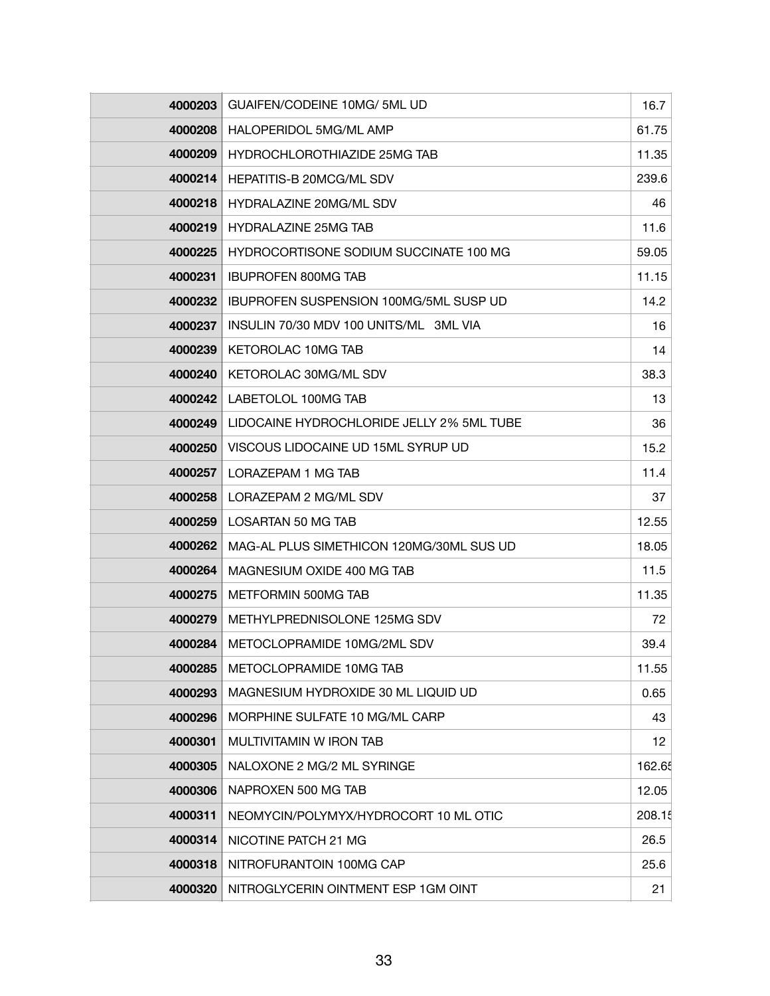| 4000203 | GUAIFEN/CODEINE 10MG/ 5ML UD                  | 16.7            |
|---------|-----------------------------------------------|-----------------|
| 4000208 | HALOPERIDOL 5MG/ML AMP                        | 61.75           |
| 4000209 | <b>HYDROCHLOROTHIAZIDE 25MG TAB</b>           | 11.35           |
| 4000214 | HEPATITIS-B 20MCG/ML SDV                      | 239.6           |
| 4000218 | HYDRALAZINE 20MG/ML SDV                       | 46              |
| 4000219 | <b>HYDRALAZINE 25MG TAB</b>                   | 11.6            |
| 4000225 | HYDROCORTISONE SODIUM SUCCINATE 100 MG        | 59.05           |
| 4000231 | <b>IBUPROFEN 800MG TAB</b>                    | 11.15           |
| 4000232 | <b>IBUPROFEN SUSPENSION 100MG/5ML SUSP UD</b> | 14.2            |
| 4000237 | INSULIN 70/30 MDV 100 UNITS/ML 3ML VIA        | 16              |
| 4000239 | KETOROLAC 10MG TAB                            | 14              |
| 4000240 | KETOROLAC 30MG/ML SDV                         | 38.3            |
| 4000242 | LABETOLOL 100MG TAB                           | 13              |
| 4000249 | LIDOCAINE HYDROCHLORIDE JELLY 2% 5ML TUBE     | 36              |
| 4000250 | VISCOUS LIDOCAINE UD 15ML SYRUP UD            | 15.2            |
| 4000257 | LORAZEPAM 1 MG TAB                            | 11.4            |
| 4000258 | LORAZEPAM 2 MG/ML SDV                         | 37              |
| 4000259 | LOSARTAN 50 MG TAB                            | 12.55           |
| 4000262 | MAG-AL PLUS SIMETHICON 120MG/30ML SUS UD      | 18.05           |
| 4000264 | MAGNESIUM OXIDE 400 MG TAB                    | 11.5            |
| 4000275 | METFORMIN 500MG TAB                           | 11.35           |
| 4000279 | METHYLPREDNISOLONE 125MG SDV                  | 72              |
| 4000284 | METOCLOPRAMIDE 10MG/2ML SDV                   | 39.4            |
| 4000285 | METOCLOPRAMIDE 10MG TAB                       | 11.55           |
| 4000293 | MAGNESIUM HYDROXIDE 30 ML LIQUID UD           | 0.65            |
| 4000296 | MORPHINE SULFATE 10 MG/ML CARP                | 43              |
| 4000301 | MULTIVITAMIN W IRON TAB                       | 12 <sub>2</sub> |
| 4000305 | NALOXONE 2 MG/2 ML SYRINGE                    | 162.65          |
| 4000306 | NAPROXEN 500 MG TAB                           | 12.05           |
| 4000311 | NEOMYCIN/POLYMYX/HYDROCORT 10 ML OTIC         | 208.15          |
| 4000314 | NICOTINE PATCH 21 MG                          | 26.5            |
| 4000318 | NITROFURANTOIN 100MG CAP                      | 25.6            |
| 4000320 | NITROGLYCERIN OINTMENT ESP 1GM OINT           | 21              |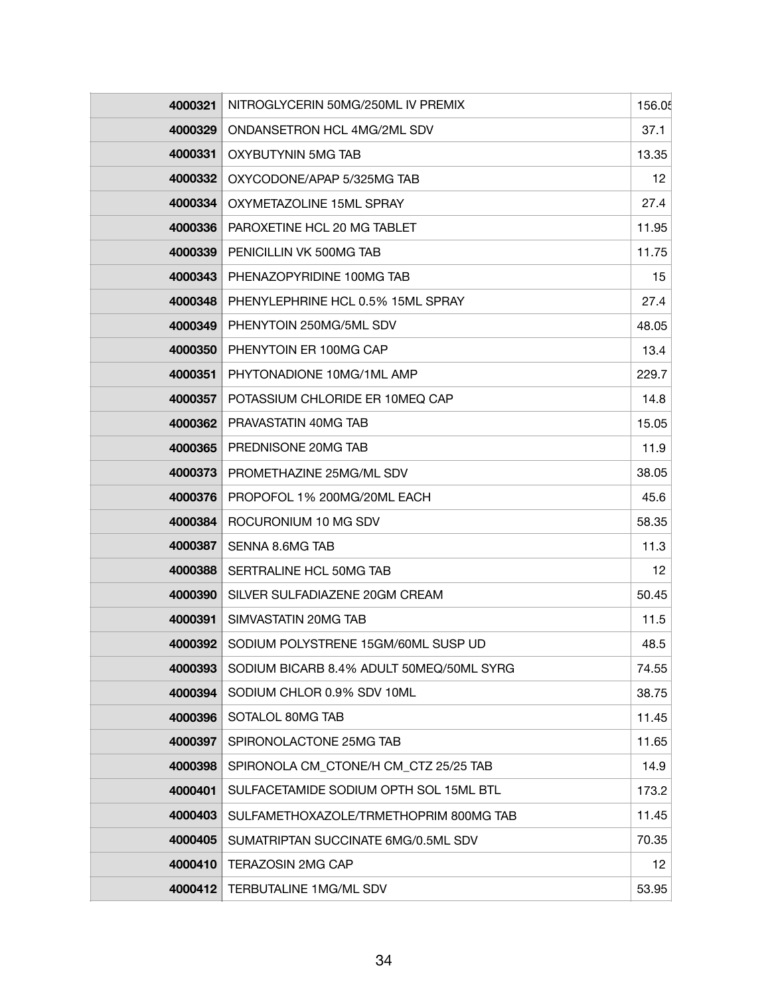| 4000321 | NITROGLYCERIN 50MG/250ML IV PREMIX       | 156.05 |
|---------|------------------------------------------|--------|
| 4000329 | ONDANSETRON HCL 4MG/2ML SDV              | 37.1   |
| 4000331 | OXYBUTYNIN 5MG TAB                       | 13.35  |
| 4000332 | OXYCODONE/APAP 5/325MG TAB               | 12     |
| 4000334 | OXYMETAZOLINE 15ML SPRAY                 | 27.4   |
| 4000336 | PAROXETINE HCL 20 MG TABLET              | 11.95  |
| 4000339 | PENICILLIN VK 500MG TAB                  | 11.75  |
| 4000343 | PHENAZOPYRIDINE 100MG TAB                | 15     |
| 4000348 | PHENYLEPHRINE HCL 0.5% 15ML SPRAY        | 27.4   |
| 4000349 | PHENYTOIN 250MG/5ML SDV                  | 48.05  |
| 4000350 | PHENYTOIN ER 100MG CAP                   | 13.4   |
| 4000351 | PHYTONADIONE 10MG/1ML AMP                | 229.7  |
| 4000357 | POTASSIUM CHLORIDE ER 10MEQ CAP          | 14.8   |
| 4000362 | PRAVASTATIN 40MG TAB                     | 15.05  |
| 4000365 | PREDNISONE 20MG TAB                      | 11.9   |
| 4000373 | PROMETHAZINE 25MG/ML SDV                 | 38.05  |
| 4000376 | PROPOFOL 1% 200MG/20ML EACH              | 45.6   |
| 4000384 | ROCURONIUM 10 MG SDV                     | 58.35  |
| 4000387 | SENNA 8.6MG TAB                          | 11.3   |
| 4000388 | SERTRALINE HCL 50MG TAB                  | 12     |
| 4000390 | SILVER SULFADIAZENE 20GM CREAM           | 50.45  |
| 4000391 | SIMVASTATIN 20MG TAB                     | 11.5   |
| 4000392 | SODIUM POLYSTRENE 15GM/60ML SUSP UD      | 48.5   |
| 4000393 | SODIUM BICARB 8.4% ADULT 50MEQ/50ML SYRG | 74.55  |
| 4000394 | SODIUM CHLOR 0.9% SDV 10ML               | 38.75  |
| 4000396 | SOTALOL 80MG TAB                         | 11.45  |
| 4000397 | SPIRONOLACTONE 25MG TAB                  | 11.65  |
| 4000398 | SPIRONOLA CM_CTONE/H CM_CTZ 25/25 TAB    | 14.9   |
| 4000401 | SULFACETAMIDE SODIUM OPTH SOL 15ML BTL   | 173.2  |
| 4000403 | SULFAMETHOXAZOLE/TRMETHOPRIM 800MG TAB   | 11.45  |
| 4000405 | SUMATRIPTAN SUCCINATE 6MG/0.5ML SDV      | 70.35  |
| 4000410 | <b>TERAZOSIN 2MG CAP</b>                 | 12     |
| 4000412 | TERBUTALINE 1MG/ML SDV                   | 53.95  |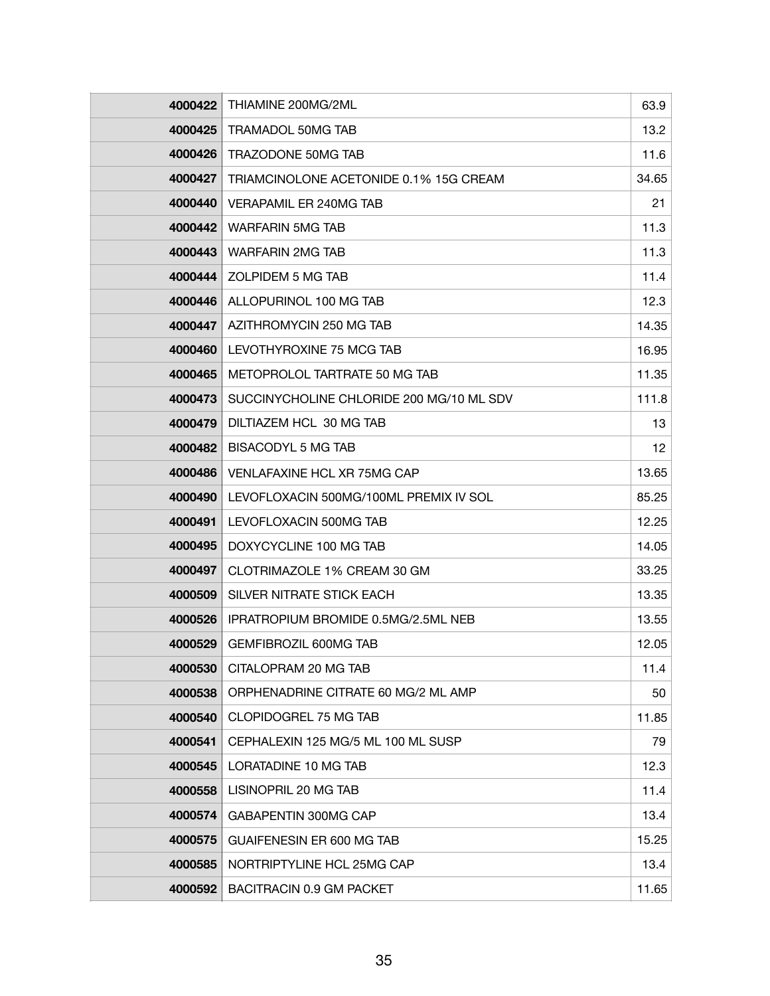| 4000422 | THIAMINE 200MG/2ML                       | 63.9  |
|---------|------------------------------------------|-------|
| 4000425 | <b>TRAMADOL 50MG TAB</b>                 | 13.2  |
| 4000426 | TRAZODONE 50MG TAB                       | 11.6  |
| 4000427 | TRIAMCINOLONE ACETONIDE 0.1% 15G CREAM   | 34.65 |
| 4000440 | VERAPAMIL ER 240MG TAB                   | 21    |
| 4000442 | <b>WARFARIN 5MG TAB</b>                  | 11.3  |
| 4000443 | <b>WARFARIN 2MG TAB</b>                  | 11.3  |
| 4000444 | ZOLPIDEM 5 MG TAB                        | 11.4  |
| 4000446 | ALLOPURINOL 100 MG TAB                   | 12.3  |
| 4000447 | AZITHROMYCIN 250 MG TAB                  | 14.35 |
| 4000460 | LEVOTHYROXINE 75 MCG TAB                 | 16.95 |
| 4000465 | METOPROLOL TARTRATE 50 MG TAB            | 11.35 |
| 4000473 | SUCCINYCHOLINE CHLORIDE 200 MG/10 ML SDV | 111.8 |
| 4000479 | DILTIAZEM HCL 30 MG TAB                  | 13    |
| 4000482 | <b>BISACODYL 5 MG TAB</b>                | 12    |
| 4000486 | VENLAFAXINE HCL XR 75MG CAP              | 13.65 |
| 4000490 | LEVOFLOXACIN 500MG/100ML PREMIX IV SOL   | 85.25 |
| 4000491 | LEVOFLOXACIN 500MG TAB                   | 12.25 |
| 4000495 | DOXYCYCLINE 100 MG TAB                   | 14.05 |
| 4000497 | CLOTRIMAZOLE 1% CREAM 30 GM              | 33.25 |
| 4000509 | SILVER NITRATE STICK EACH                | 13.35 |
| 4000526 | IPRATROPIUM BROMIDE 0.5MG/2.5ML NEB      | 13.55 |
| 4000529 | <b>GEMFIBROZIL 600MG TAB</b>             | 12.05 |
| 4000530 | CITALOPRAM 20 MG TAB                     | 11.4  |
| 4000538 | ORPHENADRINE CITRATE 60 MG/2 ML AMP      | 50    |
| 4000540 | CLOPIDOGREL 75 MG TAB                    | 11.85 |
| 4000541 | CEPHALEXIN 125 MG/5 ML 100 ML SUSP       | 79    |
| 4000545 | LORATADINE 10 MG TAB                     | 12.3  |
| 4000558 | LISINOPRIL 20 MG TAB                     | 11.4  |
| 4000574 | GABAPENTIN 300MG CAP                     | 13.4  |
| 4000575 | <b>GUAIFENESIN ER 600 MG TAB</b>         | 15.25 |
| 4000585 | NORTRIPTYLINE HCL 25MG CAP               | 13.4  |
| 4000592 | BACITRACIN 0.9 GM PACKET                 | 11.65 |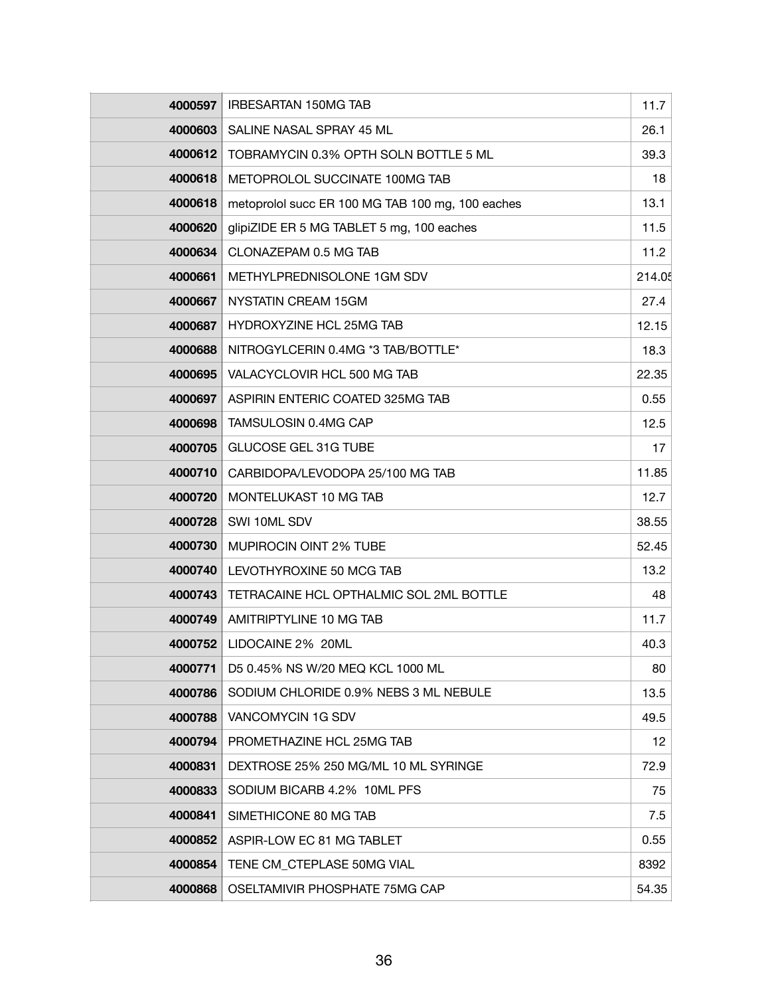| 4000597 | <b>IRBESARTAN 150MG TAB</b>                      | 11.7   |
|---------|--------------------------------------------------|--------|
| 4000603 | SALINE NASAL SPRAY 45 ML                         | 26.1   |
| 4000612 | TOBRAMYCIN 0.3% OPTH SOLN BOTTLE 5 ML            | 39.3   |
| 4000618 | METOPROLOL SUCCINATE 100MG TAB                   | 18     |
| 4000618 | metoprolol succ ER 100 MG TAB 100 mg, 100 eaches | 13.1   |
| 4000620 | glipiZIDE ER 5 MG TABLET 5 mg, 100 eaches        | 11.5   |
| 4000634 | CLONAZEPAM 0.5 MG TAB                            | 11.2   |
| 4000661 | METHYLPREDNISOLONE 1GM SDV                       | 214.05 |
| 4000667 | NYSTATIN CREAM 15GM                              | 27.4   |
| 4000687 | HYDROXYZINE HCL 25MG TAB                         | 12.15  |
| 4000688 | NITROGYLCERIN 0.4MG *3 TAB/BOTTLE*               | 18.3   |
| 4000695 | VALACYCLOVIR HCL 500 MG TAB                      | 22.35  |
| 4000697 | ASPIRIN ENTERIC COATED 325MG TAB                 | 0.55   |
| 4000698 | TAMSULOSIN 0.4MG CAP                             | 12.5   |
| 4000705 | <b>GLUCOSE GEL 31G TUBE</b>                      | 17     |
| 4000710 | CARBIDOPA/LEVODOPA 25/100 MG TAB                 | 11.85  |
| 4000720 | MONTELUKAST 10 MG TAB                            | 12.7   |
| 4000728 | SWI 10ML SDV                                     | 38.55  |
| 4000730 | <b>MUPIROCIN OINT 2% TUBE</b>                    | 52.45  |
| 4000740 | LEVOTHYROXINE 50 MCG TAB                         | 13.2   |
| 4000743 | TETRACAINE HCL OPTHALMIC SOL 2ML BOTTLE          | 48     |
| 4000749 | AMITRIPTYLINE 10 MG TAB                          | 11.7   |
| 4000752 | LIDOCAINE 2% 20ML                                | 40.3   |
| 4000771 | D5 0.45% NS W/20 MEQ KCL 1000 ML                 | 80     |
| 4000786 | SODIUM CHLORIDE 0.9% NEBS 3 ML NEBULE            | 13.5   |
| 4000788 | VANCOMYCIN 1G SDV                                | 49.5   |
| 4000794 | PROMETHAZINE HCL 25MG TAB                        | 12     |
| 4000831 | DEXTROSE 25% 250 MG/ML 10 ML SYRINGE             | 72.9   |
| 4000833 | SODIUM BICARB 4.2% 10ML PFS                      | 75     |
| 4000841 | SIMETHICONE 80 MG TAB                            | 7.5    |
| 4000852 | ASPIR-LOW EC 81 MG TABLET                        | 0.55   |
| 4000854 | TENE CM CTEPLASE 50MG VIAL                       | 8392   |
| 4000868 | OSELTAMIVIR PHOSPHATE 75MG CAP                   | 54.35  |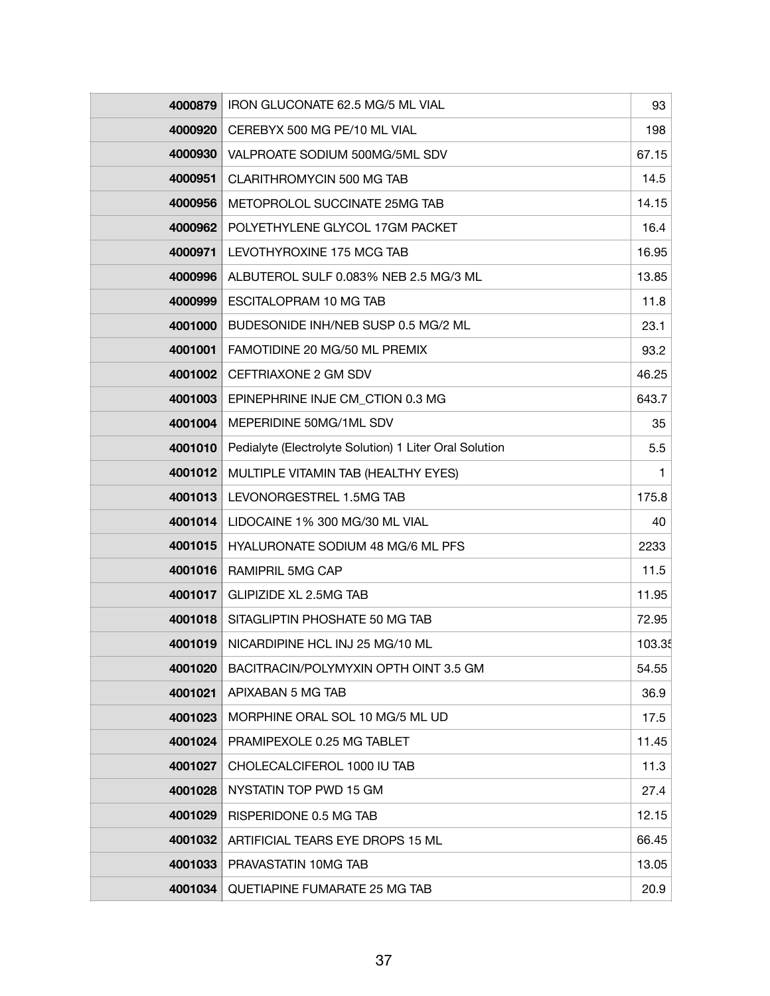| 4000879 | IRON GLUCONATE 62.5 MG/5 ML VIAL                       | 93     |
|---------|--------------------------------------------------------|--------|
| 4000920 | CEREBYX 500 MG PE/10 ML VIAL                           | 198    |
| 4000930 | VALPROATE SODIUM 500MG/5ML SDV                         | 67.15  |
| 4000951 | CLARITHROMYCIN 500 MG TAB                              | 14.5   |
| 4000956 | METOPROLOL SUCCINATE 25MG TAB                          | 14.15  |
| 4000962 | POLYETHYLENE GLYCOL 17GM PACKET                        | 16.4   |
| 4000971 | LEVOTHYROXINE 175 MCG TAB                              | 16.95  |
| 4000996 | ALBUTEROL SULF 0.083% NEB 2.5 MG/3 ML                  | 13.85  |
| 4000999 | ESCITALOPRAM 10 MG TAB                                 | 11.8   |
| 4001000 | BUDESONIDE INH/NEB SUSP 0.5 MG/2 ML                    | 23.1   |
| 4001001 | FAMOTIDINE 20 MG/50 ML PREMIX                          | 93.2   |
| 4001002 | CEFTRIAXONE 2 GM SDV                                   | 46.25  |
| 4001003 | EPINEPHRINE INJE CM CTION 0.3 MG                       | 643.7  |
| 4001004 | MEPERIDINE 50MG/1ML SDV                                | 35     |
| 4001010 | Pedialyte (Electrolyte Solution) 1 Liter Oral Solution | 5.5    |
| 4001012 | MULTIPLE VITAMIN TAB (HEALTHY EYES)                    | 1      |
| 4001013 | LEVONORGESTREL 1.5MG TAB                               | 175.8  |
| 4001014 | LIDOCAINE 1% 300 MG/30 ML VIAL                         | 40     |
| 4001015 | <b>HYALURONATE SODIUM 48 MG/6 ML PFS</b>               | 2233   |
| 4001016 | RAMIPRIL 5MG CAP                                       | 11.5   |
| 4001017 | <b>GLIPIZIDE XL 2.5MG TAB</b>                          | 11.95  |
| 4001018 | SITAGLIPTIN PHOSHATE 50 MG TAB                         | 72.95  |
| 4001019 | NICARDIPINE HCL INJ 25 MG/10 ML                        | 103.35 |
| 4001020 | BACITRACIN/POLYMYXIN OPTH OINT 3.5 GM                  | 54.55  |
| 4001021 | APIXABAN 5 MG TAB                                      | 36.9   |
| 4001023 | MORPHINE ORAL SOL 10 MG/5 ML UD                        | 17.5   |
| 4001024 | PRAMIPEXOLE 0.25 MG TABLET                             | 11.45  |
| 4001027 | CHOLECALCIFEROL 1000 IU TAB                            | 11.3   |
| 4001028 | NYSTATIN TOP PWD 15 GM                                 | 27.4   |
| 4001029 | RISPERIDONE 0.5 MG TAB                                 | 12.15  |
| 4001032 | ARTIFICIAL TEARS EYE DROPS 15 ML                       | 66.45  |
| 4001033 | PRAVASTATIN 10MG TAB                                   | 13.05  |
| 4001034 | QUETIAPINE FUMARATE 25 MG TAB                          | 20.9   |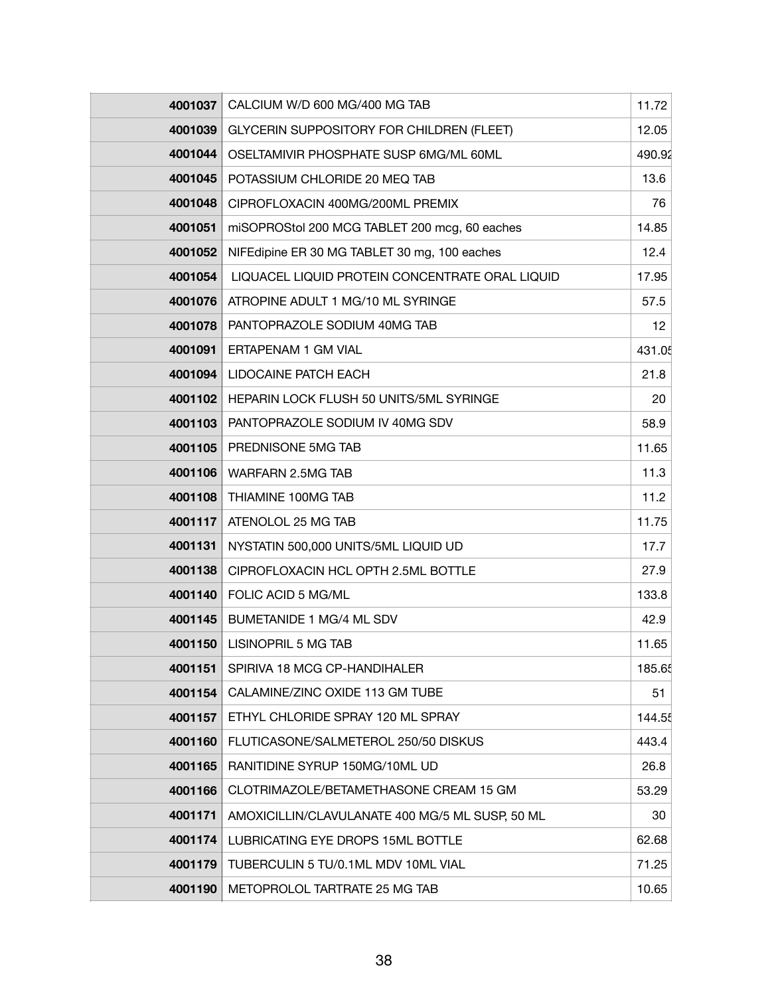| 4001037 | CALCIUM W/D 600 MG/400 MG TAB                    | 11.72  |
|---------|--------------------------------------------------|--------|
| 4001039 | <b>GLYCERIN SUPPOSITORY FOR CHILDREN (FLEET)</b> | 12.05  |
| 4001044 | OSELTAMIVIR PHOSPHATE SUSP 6MG/ML 60ML           | 490.92 |
| 4001045 | POTASSIUM CHLORIDE 20 MEQ TAB                    | 13.6   |
| 4001048 | CIPROFLOXACIN 400MG/200ML PREMIX                 | 76     |
| 4001051 | miSOPROStol 200 MCG TABLET 200 mcg, 60 eaches    | 14.85  |
| 4001052 | NIFEdipine ER 30 MG TABLET 30 mg, 100 eaches     | 12.4   |
| 4001054 | LIQUACEL LIQUID PROTEIN CONCENTRATE ORAL LIQUID  | 17.95  |
| 4001076 | ATROPINE ADULT 1 MG/10 ML SYRINGE                | 57.5   |
| 4001078 | PANTOPRAZOLE SODIUM 40MG TAB                     | 12     |
| 4001091 | ERTAPENAM 1 GM VIAL                              | 431.05 |
| 4001094 | <b>LIDOCAINE PATCH EACH</b>                      | 21.8   |
| 4001102 | HEPARIN LOCK FLUSH 50 UNITS/5ML SYRINGE          | 20     |
| 4001103 | PANTOPRAZOLE SODIUM IV 40MG SDV                  | 58.9   |
| 4001105 | PREDNISONE 5MG TAB                               | 11.65  |
| 4001106 | WARFARN 2.5MG TAB                                | 11.3   |
| 4001108 | THIAMINE 100MG TAB                               | 11.2   |
| 4001117 | ATENOLOL 25 MG TAB                               | 11.75  |
| 4001131 | NYSTATIN 500,000 UNITS/5ML LIQUID UD             | 17.7   |
| 4001138 | CIPROFLOXACIN HCL OPTH 2.5ML BOTTLE              | 27.9   |
| 4001140 | FOLIC ACID 5 MG/ML                               | 133.8  |
| 4001145 | BUMETANIDE 1 MG/4 ML SDV                         | 42.9   |
| 4001150 | <b>LISINOPRIL 5 MG TAB</b>                       | 11.65  |
| 4001151 | SPIRIVA 18 MCG CP-HANDIHALER                     | 185.65 |
| 4001154 | CALAMINE/ZINC OXIDE 113 GM TUBE                  | 51     |
| 4001157 | ETHYL CHLORIDE SPRAY 120 ML SPRAY                | 144.55 |
| 4001160 | FLUTICASONE/SALMETEROL 250/50 DISKUS             | 443.4  |
| 4001165 | RANITIDINE SYRUP 150MG/10ML UD                   | 26.8   |
| 4001166 | CLOTRIMAZOLE/BETAMETHASONE CREAM 15 GM           | 53.29  |
| 4001171 | AMOXICILLIN/CLAVULANATE 400 MG/5 ML SUSP, 50 ML  | 30     |
| 4001174 | LUBRICATING EYE DROPS 15ML BOTTLE                | 62.68  |
| 4001179 | TUBERCULIN 5 TU/0.1ML MDV 10ML VIAL              | 71.25  |
| 4001190 | METOPROLOL TARTRATE 25 MG TAB                    | 10.65  |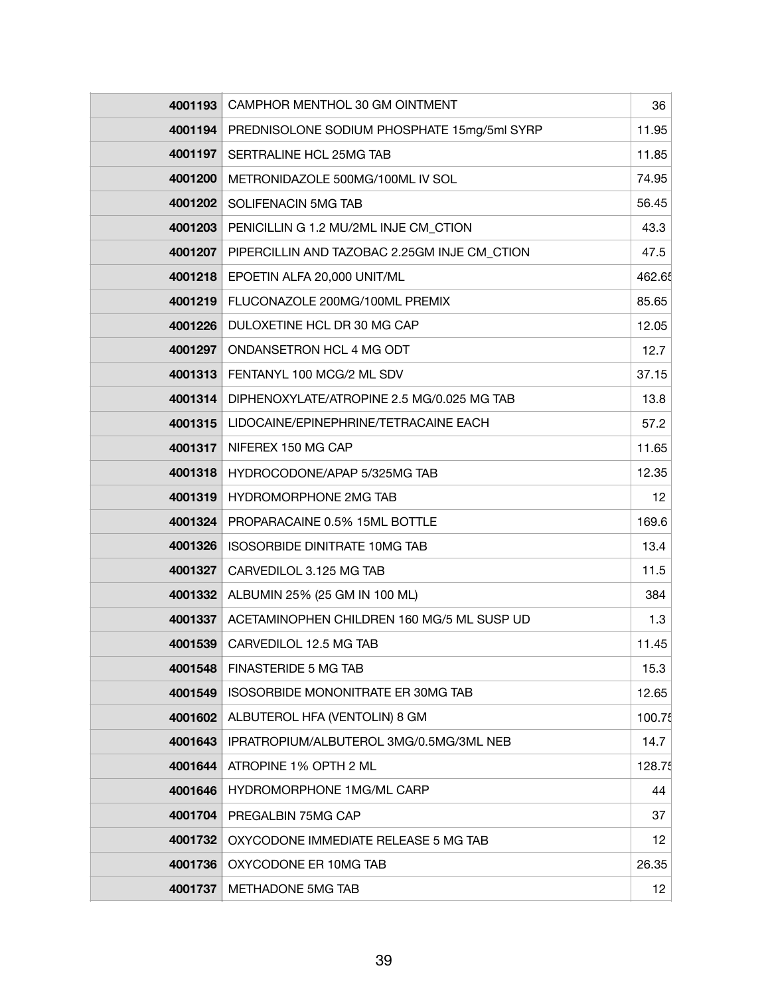| 4001193 | CAMPHOR MENTHOL 30 GM OINTMENT               | 36              |
|---------|----------------------------------------------|-----------------|
| 4001194 | PREDNISOLONE SODIUM PHOSPHATE 15mg/5ml SYRP  | 11.95           |
| 4001197 | SERTRALINE HCL 25MG TAB                      | 11.85           |
| 4001200 | METRONIDAZOLE 500MG/100ML IV SOL             | 74.95           |
| 4001202 | SOLIFENACIN 5MG TAB                          | 56.45           |
| 4001203 | PENICILLIN G 1.2 MU/2ML INJE CM CTION        | 43.3            |
| 4001207 | PIPERCILLIN AND TAZOBAC 2.25GM INJE CM_CTION | 47.5            |
| 4001218 | EPOETIN ALFA 20,000 UNIT/ML                  | 462.65          |
| 4001219 | FLUCONAZOLE 200MG/100ML PREMIX               | 85.65           |
| 4001226 | DULOXETINE HCL DR 30 MG CAP                  | 12.05           |
| 4001297 | ONDANSETRON HCL 4 MG ODT                     | 12.7            |
| 4001313 | FENTANYL 100 MCG/2 ML SDV                    | 37.15           |
| 4001314 | DIPHENOXYLATE/ATROPINE 2.5 MG/0.025 MG TAB   | 13.8            |
| 4001315 | LIDOCAINE/EPINEPHRINE/TETRACAINE EACH        | 57.2            |
| 4001317 | NIFEREX 150 MG CAP                           | 11.65           |
| 4001318 | HYDROCODONE/APAP 5/325MG TAB                 | 12.35           |
| 4001319 | HYDROMORPHONE 2MG TAB                        | 12              |
| 4001324 | PROPARACAINE 0.5% 15ML BOTTLE                | 169.6           |
| 4001326 | <b>ISOSORBIDE DINITRATE 10MG TAB</b>         | 13.4            |
| 4001327 | CARVEDILOL 3.125 MG TAB                      | 11.5            |
| 4001332 | ALBUMIN 25% (25 GM IN 100 ML)                | 384             |
| 4001337 | ACETAMINOPHEN CHILDREN 160 MG/5 ML SUSP UD   | 1.3             |
| 4001539 | CARVEDILOL 12.5 MG TAB                       | 11.45           |
| 4001548 | <b>FINASTERIDE 5 MG TAB</b>                  | 15.3            |
| 4001549 | ISOSORBIDE MONONITRATE ER 30MG TAB           | 12.65           |
| 4001602 | ALBUTEROL HFA (VENTOLIN) 8 GM                | 100.75          |
| 4001643 | IPRATROPIUM/ALBUTEROL 3MG/0.5MG/3ML NEB      | 14.7            |
| 4001644 | ATROPINE 1% OPTH 2 ML                        | 128.75          |
| 4001646 | HYDROMORPHONE 1MG/ML CARP                    | 44              |
| 4001704 | PREGALBIN 75MG CAP                           | 37              |
| 4001732 | OXYCODONE IMMEDIATE RELEASE 5 MG TAB         | 12              |
| 4001736 | OXYCODONE ER 10MG TAB                        | 26.35           |
| 4001737 | METHADONE 5MG TAB                            | 12 <sub>2</sub> |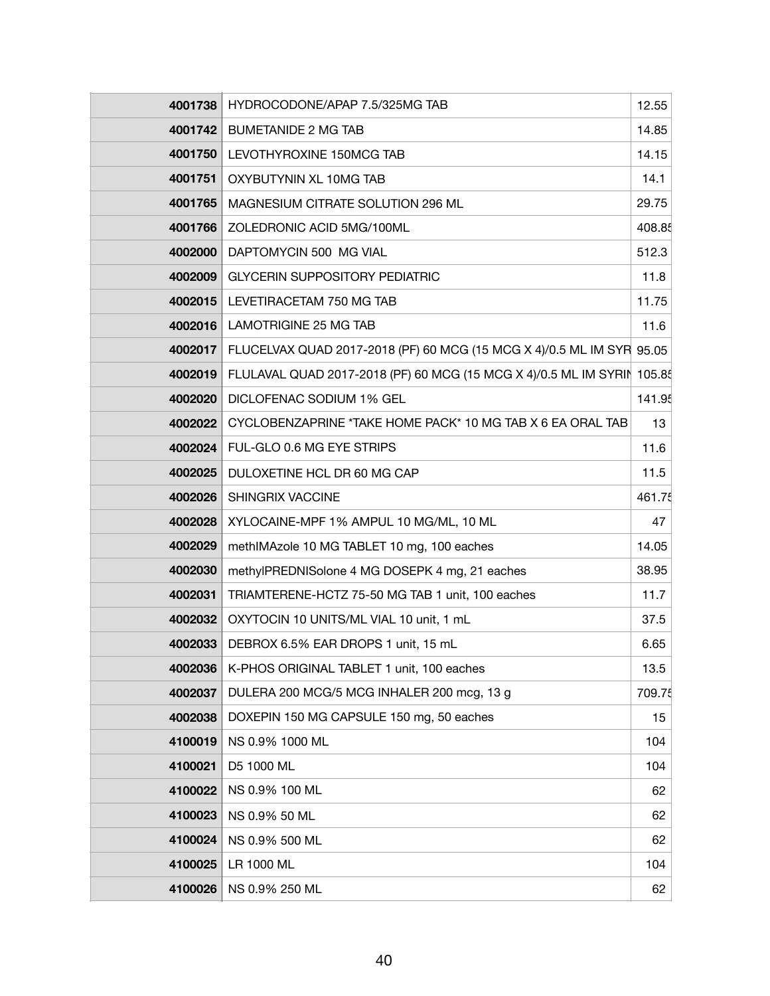| 4001738 | HYDROCODONE/APAP 7.5/325MG TAB                                          | 12.55  |
|---------|-------------------------------------------------------------------------|--------|
| 4001742 | <b>BUMETANIDE 2 MG TAB</b>                                              | 14.85  |
| 4001750 | LEVOTHYROXINE 150MCG TAB                                                | 14.15  |
| 4001751 | OXYBUTYNIN XL 10MG TAB                                                  | 14.1   |
| 4001765 | MAGNESIUM CITRATE SOLUTION 296 ML                                       | 29.75  |
| 4001766 | ZOLEDRONIC ACID 5MG/100ML                                               | 408.85 |
| 4002000 | DAPTOMYCIN 500 MG VIAL                                                  | 512.3  |
| 4002009 | <b>GLYCERIN SUPPOSITORY PEDIATRIC</b>                                   | 11.8   |
| 4002015 | LEVETIRACETAM 750 MG TAB                                                | 11.75  |
| 4002016 | LAMOTRIGINE 25 MG TAB                                                   | 11.6   |
| 4002017 | FLUCELVAX QUAD 2017-2018 (PF) 60 MCG (15 MCG X 4)/0.5 ML IM SYR 95.05   |        |
| 4002019 | FLULAVAL QUAD 2017-2018 (PF) 60 MCG (15 MCG X 4)/0.5 ML IM SYRIN 105.85 |        |
| 4002020 | DICLOFENAC SODIUM 1% GEL                                                | 141.95 |
| 4002022 | CYCLOBENZAPRINE *TAKE HOME PACK* 10 MG TAB X 6 EA ORAL TAB              | 13     |
| 4002024 | FUL-GLO 0.6 MG EYE STRIPS                                               | 11.6   |
| 4002025 | DULOXETINE HCL DR 60 MG CAP                                             | 11.5   |
| 4002026 | <b>SHINGRIX VACCINE</b>                                                 | 461.75 |
| 4002028 | XYLOCAINE-MPF 1% AMPUL 10 MG/ML, 10 ML                                  | 47     |
| 4002029 | methIMAzole 10 MG TABLET 10 mg, 100 eaches                              | 14.05  |
| 4002030 | methylPREDNISolone 4 MG DOSEPK 4 mg, 21 eaches                          | 38.95  |
| 4002031 | TRIAMTERENE-HCTZ 75-50 MG TAB 1 unit, 100 eaches                        | 11.7   |
| 4002032 | OXYTOCIN 10 UNITS/ML VIAL 10 unit, 1 mL                                 | 37.5   |
| 4002033 | DEBROX 6.5% EAR DROPS 1 unit, 15 mL                                     | 6.65   |
| 4002036 | K-PHOS ORIGINAL TABLET 1 unit, 100 eaches                               | 13.5   |
| 4002037 | DULERA 200 MCG/5 MCG INHALER 200 mcg, 13 g                              | 709.75 |
| 4002038 | DOXEPIN 150 MG CAPSULE 150 mg, 50 eaches                                | 15     |
| 4100019 | NS 0.9% 1000 ML                                                         | 104    |
| 4100021 | D5 1000 ML                                                              | 104    |
| 4100022 | NS 0.9% 100 ML                                                          | 62     |
| 4100023 | NS 0.9% 50 ML                                                           | 62     |
| 4100024 | NS 0.9% 500 ML                                                          | 62     |
| 4100025 | LR 1000 ML                                                              | 104    |
| 4100026 | NS 0.9% 250 ML                                                          | 62     |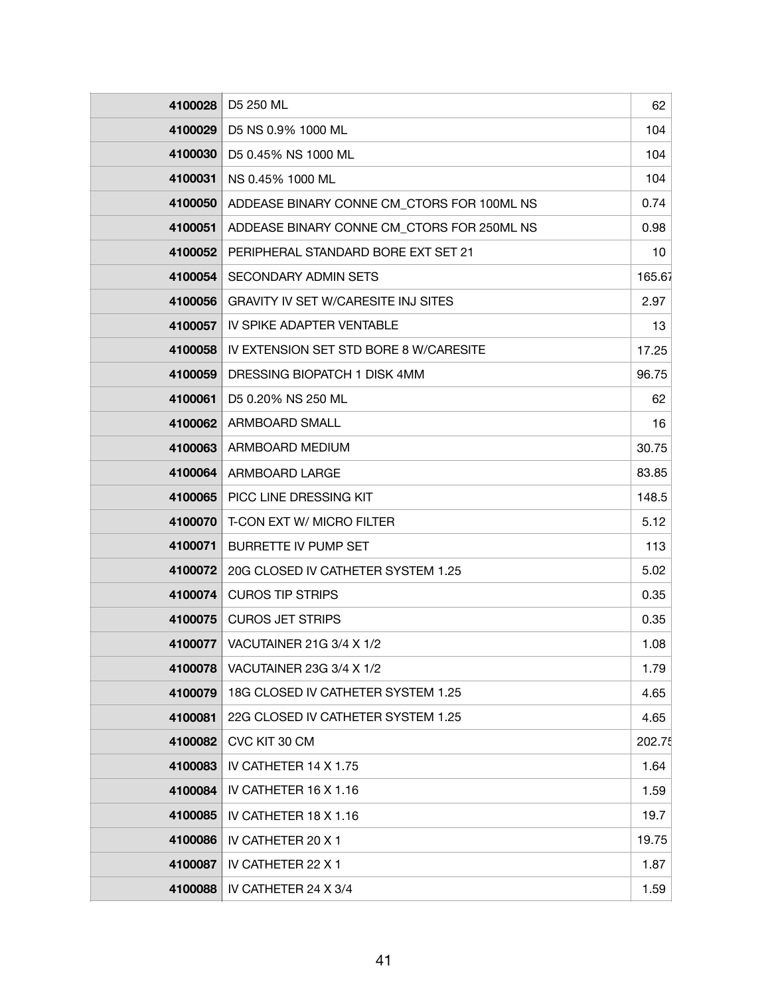| 4100028 | D5 250 ML                                  | 62     |
|---------|--------------------------------------------|--------|
| 4100029 | D5 NS 0.9% 1000 ML                         | 104    |
| 4100030 | D5 0.45% NS 1000 ML                        | 104    |
| 4100031 | NS 0.45% 1000 ML                           | 104    |
| 4100050 | ADDEASE BINARY CONNE CM_CTORS FOR 100ML NS | 0.74   |
| 4100051 | ADDEASE BINARY CONNE CM_CTORS FOR 250ML NS | 0.98   |
| 4100052 | PERIPHERAL STANDARD BORE EXT SET 21        | 10     |
| 4100054 | <b>SECONDARY ADMIN SETS</b>                | 165.67 |
| 4100056 | <b>GRAVITY IV SET W/CARESITE INJ SITES</b> | 2.97   |
| 4100057 | IV SPIKE ADAPTER VENTABLE                  | 13     |
| 4100058 | IV EXTENSION SET STD BORE 8 W/CARESITE     | 17.25  |
| 4100059 | DRESSING BIOPATCH 1 DISK 4MM               | 96.75  |
| 4100061 | D5 0.20% NS 250 ML                         | 62     |
| 4100062 | ARMBOARD SMALL                             | 16     |
| 4100063 | ARMBOARD MEDIUM                            | 30.75  |
| 4100064 | ARMBOARD LARGE                             | 83.85  |
| 4100065 | PICC LINE DRESSING KIT                     | 148.5  |
| 4100070 | T-CON EXT W/ MICRO FILTER                  | 5.12   |
| 4100071 | <b>BURRETTE IV PUMP SET</b>                | 113    |
| 4100072 | 20G CLOSED IV CATHETER SYSTEM 1.25         | 5.02   |
| 4100074 | <b>CUROS TIP STRIPS</b>                    | 0.35   |
| 4100075 | <b>CUROS JET STRIPS</b>                    | 0.35   |
| 4100077 | VACUTAINER 21G 3/4 X 1/2                   | 1.08   |
| 4100078 | VACUTAINER 23G 3/4 X 1/2                   | 1.79   |
| 4100079 | 18G CLOSED IV CATHETER SYSTEM 1.25         | 4.65   |
| 4100081 | 22G CLOSED IV CATHETER SYSTEM 1.25         | 4.65   |
| 4100082 | CVC KIT 30 CM                              | 202.75 |
| 4100083 | IV CATHETER 14 X 1.75                      | 1.64   |
| 4100084 | IV CATHETER 16 X 1.16                      | 1.59   |
| 4100085 | IV CATHETER 18 X 1.16                      | 19.7   |
| 4100086 | IV CATHETER 20 X 1                         | 19.75  |
| 4100087 | IV CATHETER 22 X 1                         | 1.87   |
| 4100088 | IV CATHETER 24 X 3/4                       | 1.59   |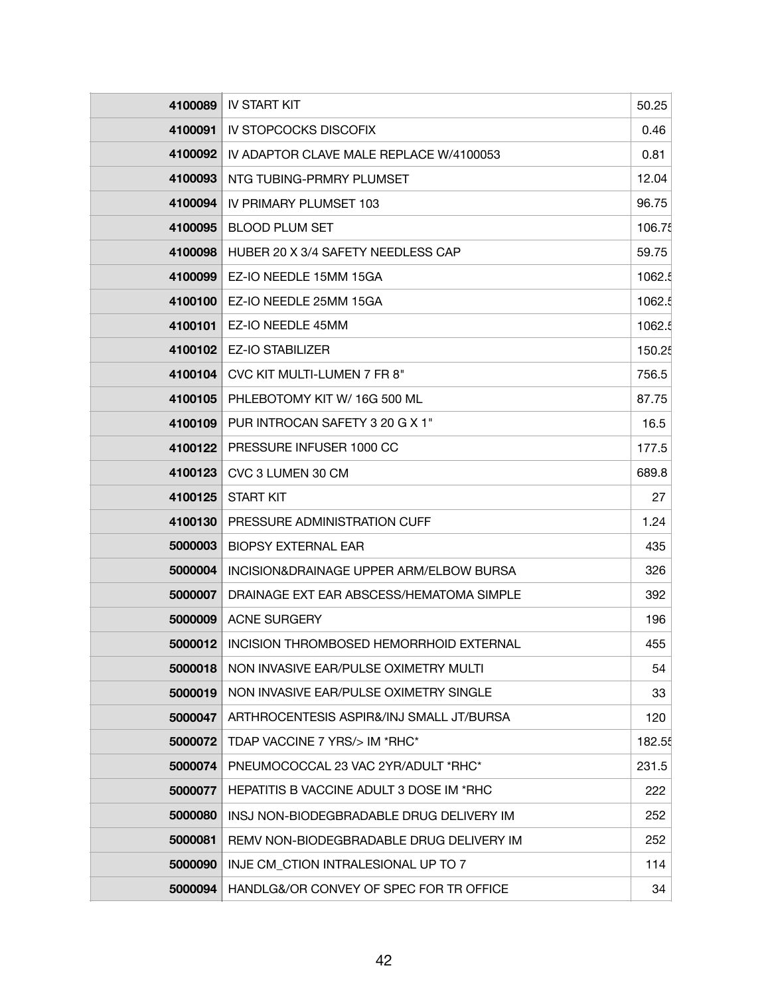| 4100089 | <b>IV START KIT</b>                             | 50.25  |
|---------|-------------------------------------------------|--------|
| 4100091 | <b>IV STOPCOCKS DISCOFIX</b>                    | 0.46   |
| 4100092 | IV ADAPTOR CLAVE MALE REPLACE W/4100053         | 0.81   |
| 4100093 | NTG TUBING-PRMRY PLUMSET                        | 12.04  |
| 4100094 | IV PRIMARY PLUMSET 103                          | 96.75  |
| 4100095 | <b>BLOOD PLUM SET</b>                           | 106.75 |
| 4100098 | HUBER 20 X 3/4 SAFETY NEEDLESS CAP              | 59.75  |
| 4100099 | EZ-IO NEEDLE 15MM 15GA                          | 1062.5 |
| 4100100 | EZ-IO NEEDLE 25MM 15GA                          | 1062.5 |
| 4100101 | EZ-IO NEEDLE 45MM                               | 1062.5 |
| 4100102 | <b>EZ-IO STABILIZER</b>                         | 150.25 |
| 4100104 | CVC KIT MULTI-LUMEN 7 FR 8"                     | 756.5  |
| 4100105 | PHLEBOTOMY KIT W/ 16G 500 ML                    | 87.75  |
| 4100109 | PUR INTROCAN SAFETY 3 20 G X 1"                 | 16.5   |
| 4100122 | PRESSURE INFUSER 1000 CC                        | 177.5  |
| 4100123 | CVC 3 LUMEN 30 CM                               | 689.8  |
| 4100125 | <b>START KIT</b>                                | 27     |
| 4100130 | PRESSURE ADMINISTRATION CUFF                    | 1.24   |
| 5000003 | <b>BIOPSY EXTERNAL EAR</b>                      | 435    |
| 5000004 | INCISION&DRAINAGE UPPER ARM/ELBOW BURSA         | 326    |
| 5000007 | DRAINAGE EXT EAR ABSCESS/HEMATOMA SIMPLE        | 392    |
| 5000009 | <b>ACNE SURGERY</b>                             | 196    |
| 5000012 | INCISION THROMBOSED HEMORRHOID EXTERNAL         | 455    |
| 5000018 | NON INVASIVE EAR/PULSE OXIMETRY MULTI           | 54     |
| 5000019 | NON INVASIVE EAR/PULSE OXIMETRY SINGLE          | 33     |
| 5000047 | ARTHROCENTESIS ASPIR&/INJ SMALL JT/BURSA        | 120    |
| 5000072 | TDAP VACCINE 7 YRS/> IM *RHC*                   | 182.55 |
| 5000074 | PNEUMOCOCCAL 23 VAC 2YR/ADULT *RHC*             | 231.5  |
| 5000077 | <b>HEPATITIS B VACCINE ADULT 3 DOSE IM *RHC</b> | 222    |
| 5000080 | INSJ NON-BIODEGBRADABLE DRUG DELIVERY IM        | 252    |
| 5000081 | REMV NON-BIODEGBRADABLE DRUG DELIVERY IM        | 252    |
| 5000090 | INJE CM CTION INTRALESIONAL UP TO 7             | 114    |
| 5000094 | HANDLG&/OR CONVEY OF SPEC FOR TR OFFICE         | 34     |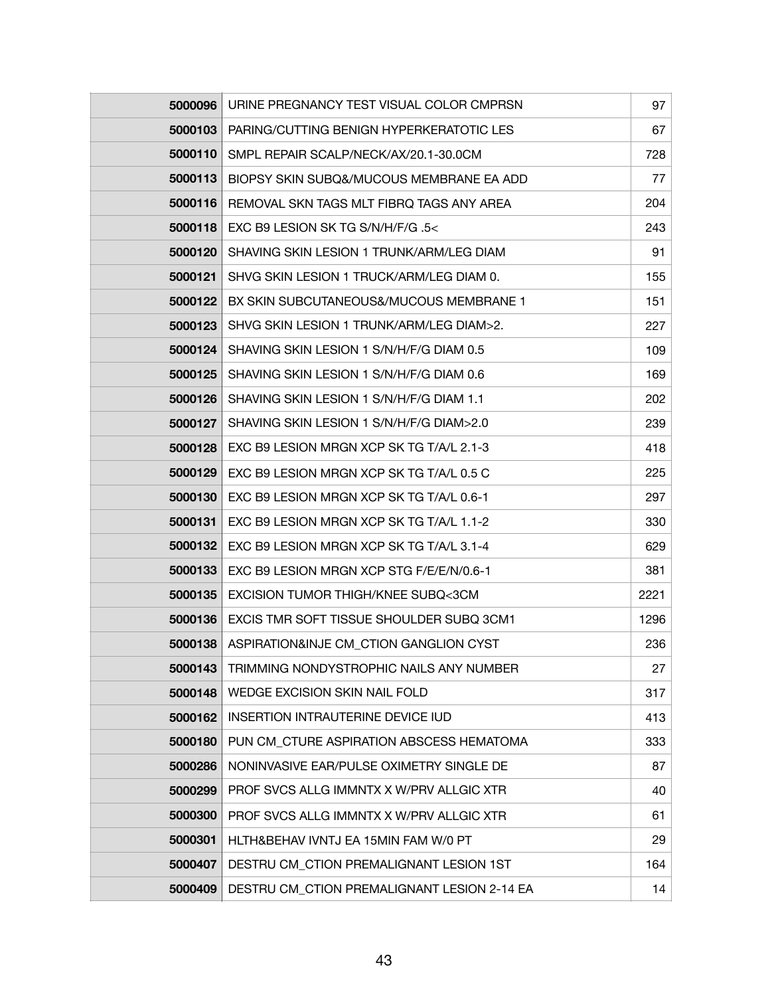| 5000096 | URINE PREGNANCY TEST VISUAL COLOR CMPRSN    | 97   |
|---------|---------------------------------------------|------|
| 5000103 | PARING/CUTTING BENIGN HYPERKERATOTIC LES    | 67   |
| 5000110 | SMPL REPAIR SCALP/NECK/AX/20.1-30.0CM       | 728  |
| 5000113 | BIOPSY SKIN SUBQ&/MUCOUS MEMBRANE EA ADD    | 77   |
| 5000116 | REMOVAL SKN TAGS MLT FIBRQ TAGS ANY AREA    | 204  |
| 5000118 | EXC B9 LESION SK TG S/N/H/F/G .5<           | 243  |
| 5000120 | SHAVING SKIN LESION 1 TRUNK/ARM/LEG DIAM    | 91   |
| 5000121 | SHVG SKIN LESION 1 TRUCK/ARM/LEG DIAM 0.    | 155  |
| 5000122 | BX SKIN SUBCUTANEOUS&/MUCOUS MEMBRANE 1     | 151  |
| 5000123 | SHVG SKIN LESION 1 TRUNK/ARM/LEG DIAM>2.    | 227  |
| 5000124 | SHAVING SKIN LESION 1 S/N/H/F/G DIAM 0.5    | 109  |
| 5000125 | SHAVING SKIN LESION 1 S/N/H/F/G DIAM 0.6    | 169  |
| 5000126 | SHAVING SKIN LESION 1 S/N/H/F/G DIAM 1.1    | 202  |
| 5000127 | SHAVING SKIN LESION 1 S/N/H/F/G DIAM>2.0    | 239  |
| 5000128 | EXC B9 LESION MRGN XCP SK TG T/A/L 2.1-3    | 418  |
| 5000129 | EXC B9 LESION MRGN XCP SK TG T/A/L 0.5 C    | 225  |
| 5000130 | EXC B9 LESION MRGN XCP SK TG T/A/L 0.6-1    | 297  |
| 5000131 | EXC B9 LESION MRGN XCP SK TG T/A/L 1.1-2    | 330  |
| 5000132 | EXC B9 LESION MRGN XCP SK TG T/A/L 3.1-4    | 629  |
| 5000133 | EXC B9 LESION MRGN XCP STG F/E/E/N/0.6-1    | 381  |
| 5000135 | EXCISION TUMOR THIGH/KNEE SUBQ<3CM          | 2221 |
| 5000136 | EXCIS TMR SOFT TISSUE SHOULDER SUBQ 3CM1    | 1296 |
| 5000138 | ASPIRATION&INJE CM_CTION GANGLION CYST      | 236  |
| 5000143 | TRIMMING NONDYSTROPHIC NAILS ANY NUMBER     | 27   |
| 5000148 | WEDGE EXCISION SKIN NAIL FOLD               | 317  |
| 5000162 | INSERTION INTRAUTERINE DEVICE IUD           | 413  |
| 5000180 | PUN CM CTURE ASPIRATION ABSCESS HEMATOMA    | 333  |
| 5000286 | NONINVASIVE EAR/PULSE OXIMETRY SINGLE DE    | 87   |
| 5000299 | PROF SVCS ALLG IMMNTX X W/PRV ALLGIC XTR    | 40   |
| 5000300 | PROF SVCS ALLG IMMNTX X W/PRV ALLGIC XTR    | 61   |
| 5000301 | HLTH&BEHAV IVNTJ EA 15MIN FAM W/0 PT        | 29   |
| 5000407 | DESTRU CM_CTION PREMALIGNANT LESION 1ST     | 164  |
| 5000409 | DESTRU CM_CTION PREMALIGNANT LESION 2-14 EA | 14   |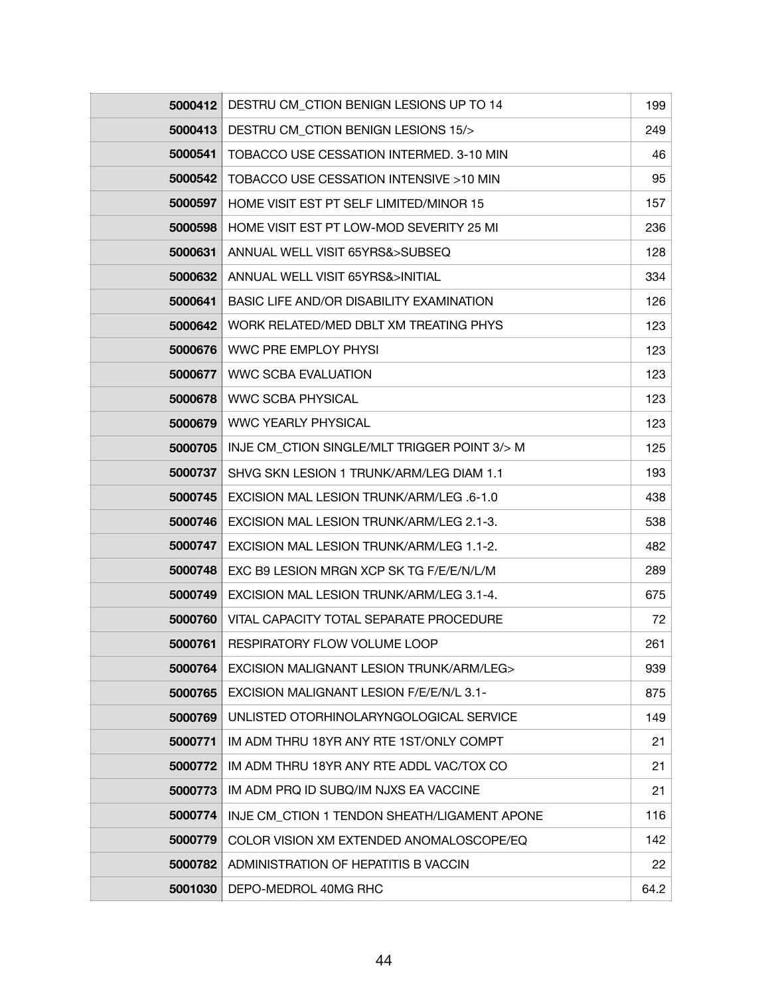| 5000412 | DESTRU CM_CTION BENIGN LESIONS UP TO 14      | 199  |
|---------|----------------------------------------------|------|
| 5000413 | DESTRU CM_CTION BENIGN LESIONS 15/>          | 249  |
| 5000541 | TOBACCO USE CESSATION INTERMED. 3-10 MIN     | 46   |
| 5000542 | TOBACCO USE CESSATION INTENSIVE >10 MIN      | 95   |
| 5000597 | HOME VISIT EST PT SELF LIMITED/MINOR 15      | 157  |
| 5000598 | HOME VISIT EST PT LOW-MOD SEVERITY 25 MI     | 236  |
| 5000631 | ANNUAL WELL VISIT 65YRS&>SUBSEQ              | 128  |
| 5000632 | ANNUAL WELL VISIT 65YRS&>INITIAL             | 334  |
| 5000641 | BASIC LIFE AND/OR DISABILITY EXAMINATION     | 126  |
| 5000642 | WORK RELATED/MED DBLT XM TREATING PHYS       | 123  |
| 5000676 | WWC PRE EMPLOY PHYSI                         | 123  |
| 5000677 | <b>WWC SCBA EVALUATION</b>                   | 123  |
| 5000678 | <b>WWC SCBA PHYSICAL</b>                     | 123  |
| 5000679 | <b>WWC YEARLY PHYSICAL</b>                   | 123  |
| 5000705 | INJE CM_CTION SINGLE/MLT TRIGGER POINT 3/> M | 125  |
| 5000737 | SHVG SKN LESION 1 TRUNK/ARM/LEG DIAM 1.1     | 193  |
| 5000745 | EXCISION MAL LESION TRUNK/ARM/LEG .6-1.0     | 438  |
| 5000746 | EXCISION MAL LESION TRUNK/ARM/LEG 2.1-3.     | 538  |
| 5000747 | EXCISION MAL LESION TRUNK/ARM/LEG 1.1-2.     | 482  |
| 5000748 | EXC B9 LESION MRGN XCP SK TG F/E/E/N/L/M     | 289  |
| 5000749 | EXCISION MAL LESION TRUNK/ARM/LEG 3.1-4.     | 675  |
| 5000760 | VITAL CAPACITY TOTAL SEPARATE PROCEDURE      | 72   |
| 5000761 | RESPIRATORY FLOW VOLUME LOOP                 | 261  |
| 5000764 | EXCISION MALIGNANT LESION TRUNK/ARM/LEG>     | 939  |
| 5000765 | EXCISION MALIGNANT LESION F/E/E/N/L 3.1-     | 875  |
| 5000769 | UNLISTED OTORHINOLARYNGOLOGICAL SERVICE      | 149  |
| 5000771 | IM ADM THRU 18YR ANY RTE 1ST/ONLY COMPT      | 21   |
| 5000772 | IM ADM THRU 18YR ANY RTE ADDL VAC/TOX CO     | 21   |
| 5000773 | IM ADM PRQ ID SUBQ/IM NJXS EA VACCINE        | 21   |
| 5000774 | INJE CM CTION 1 TENDON SHEATH/LIGAMENT APONE | 116  |
| 5000779 | COLOR VISION XM EXTENDED ANOMALOSCOPE/EQ     | 142  |
| 5000782 | ADMINISTRATION OF HEPATITIS B VACCIN         | 22   |
| 5001030 | DEPO-MEDROL 40MG RHC                         | 64.2 |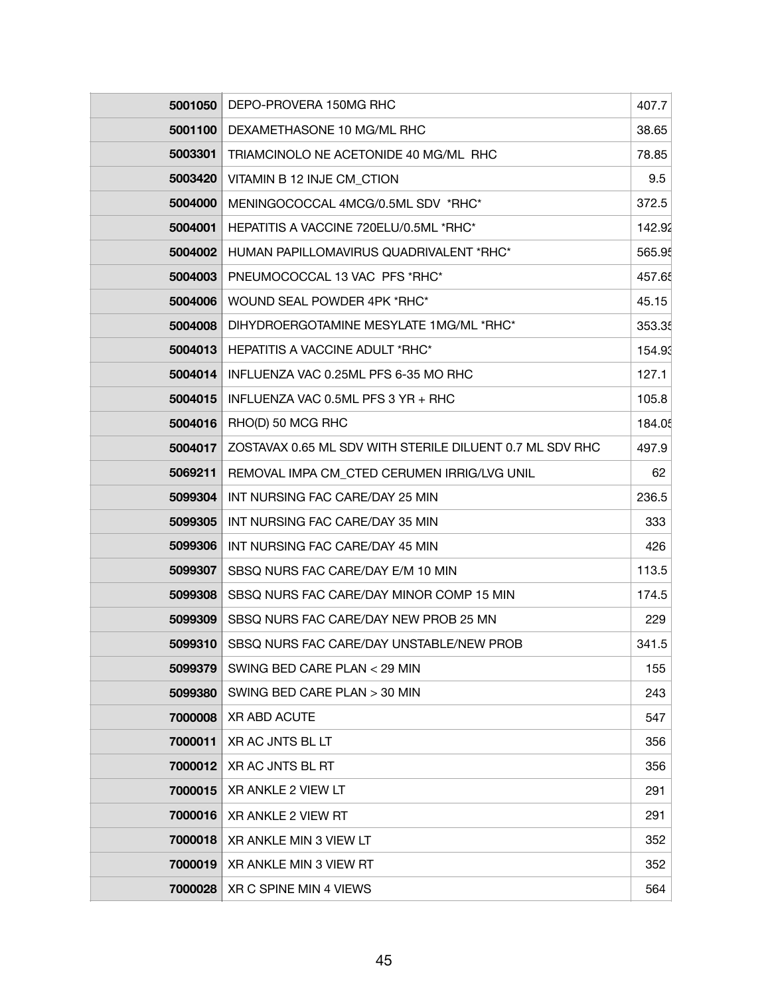| 5001050 | DEPO-PROVERA 150MG RHC                                   | 407.7  |
|---------|----------------------------------------------------------|--------|
| 5001100 | DEXAMETHASONE 10 MG/ML RHC                               | 38.65  |
| 5003301 | TRIAMCINOLO NE ACETONIDE 40 MG/ML RHC                    | 78.85  |
| 5003420 | VITAMIN B 12 INJE CM_CTION                               | 9.5    |
| 5004000 | MENINGOCOCCAL 4MCG/0.5ML SDV *RHC*                       | 372.5  |
| 5004001 | HEPATITIS A VACCINE 720ELU/0.5ML *RHC*                   | 142.92 |
| 5004002 | HUMAN PAPILLOMAVIRUS QUADRIVALENT *RHC*                  | 565.95 |
| 5004003 | PNEUMOCOCCAL 13 VAC PFS *RHC*                            | 457.65 |
| 5004006 | WOUND SEAL POWDER 4PK *RHC*                              | 45.15  |
| 5004008 | DIHYDROERGOTAMINE MESYLATE 1MG/ML *RHC*                  | 353.35 |
| 5004013 | HEPATITIS A VACCINE ADULT *RHC*                          | 154.93 |
| 5004014 | INFLUENZA VAC 0.25ML PFS 6-35 MO RHC                     | 127.1  |
| 5004015 | INFLUENZA VAC 0.5ML PFS 3 YR + RHC                       | 105.8  |
| 5004016 | RHO(D) 50 MCG RHC                                        | 184.05 |
| 5004017 | ZOSTAVAX 0.65 ML SDV WITH STERILE DILUENT 0.7 ML SDV RHC | 497.9  |
| 5069211 | REMOVAL IMPA CM CTED CERUMEN IRRIG/LVG UNIL              | 62     |
| 5099304 | INT NURSING FAC CARE/DAY 25 MIN                          | 236.5  |
| 5099305 | INT NURSING FAC CARE/DAY 35 MIN                          | 333    |
| 5099306 | INT NURSING FAC CARE/DAY 45 MIN                          | 426    |
| 5099307 | SBSQ NURS FAC CARE/DAY E/M 10 MIN                        | 113.5  |
| 5099308 | SBSQ NURS FAC CARE/DAY MINOR COMP 15 MIN                 | 174.5  |
| 5099309 | SBSQ NURS FAC CARE/DAY NEW PROB 25 MN                    | 229    |
| 5099310 | SBSQ NURS FAC CARE/DAY UNSTABLE/NEW PROB                 | 341.5  |
| 5099379 | SWING BED CARE PLAN < 29 MIN                             | 155    |
| 5099380 | SWING BED CARE PLAN > 30 MIN                             | 243    |
| 7000008 | <b>XR ABD ACUTE</b>                                      | 547    |
| 7000011 | XR AC JNTS BL LT                                         | 356    |
| 7000012 | XR AC JNTS BL RT                                         | 356    |
| 7000015 | XR ANKLE 2 VIEW LT                                       | 291    |
| 7000016 | XR ANKLE 2 VIEW RT                                       | 291    |
| 7000018 | XR ANKLE MIN 3 VIEW LT                                   | 352    |
| 7000019 | XR ANKLE MIN 3 VIEW RT                                   | 352    |
| 7000028 | XR C SPINE MIN 4 VIEWS                                   | 564    |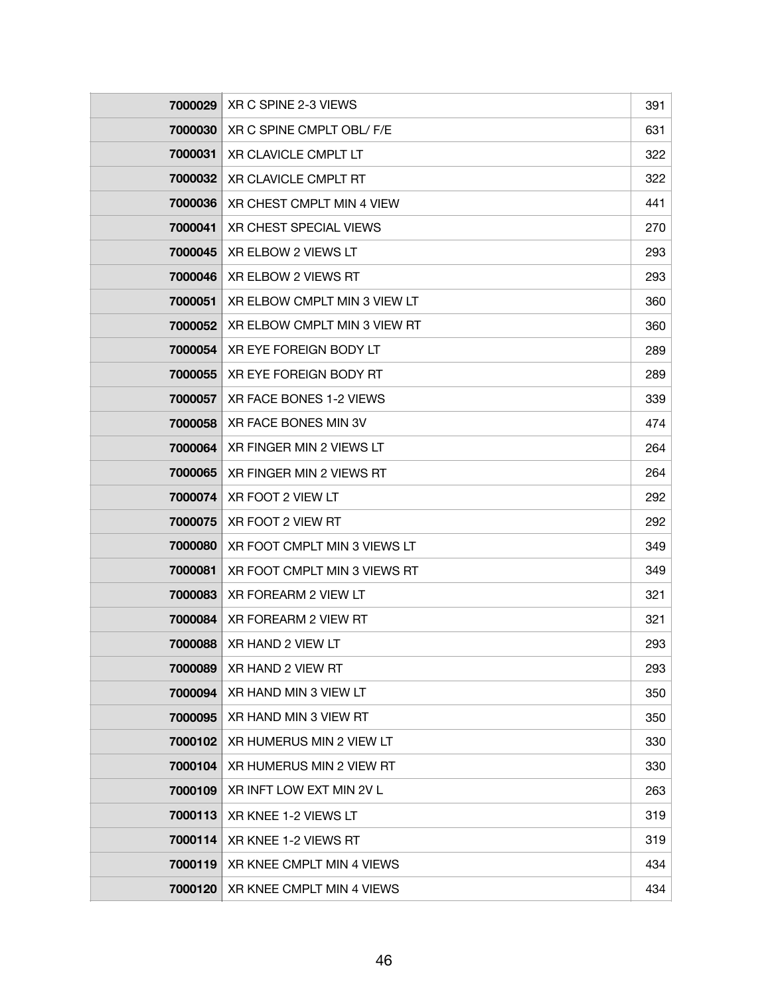| 7000029 | XR C SPINE 2-3 VIEWS          | 391 |
|---------|-------------------------------|-----|
| 7000030 | XR C SPINE CMPLT OBL/ F/E     | 631 |
| 7000031 | <b>XR CLAVICLE CMPLT LT</b>   | 322 |
| 7000032 | XR CLAVICLE CMPLT RT          | 322 |
| 7000036 | XR CHEST CMPLT MIN 4 VIEW     | 441 |
| 7000041 | <b>XR CHEST SPECIAL VIEWS</b> | 270 |
| 7000045 | XR ELBOW 2 VIEWS LT           | 293 |
| 7000046 | XR ELBOW 2 VIEWS RT           | 293 |
| 7000051 | XR ELBOW CMPLT MIN 3 VIEW LT  | 360 |
| 7000052 | XR ELBOW CMPLT MIN 3 VIEW RT  | 360 |
| 7000054 | XR EYE FOREIGN BODY LT        | 289 |
| 7000055 | <b>XR EYE FOREIGN BODY RT</b> | 289 |
| 7000057 | XR FACE BONES 1-2 VIEWS       | 339 |
| 7000058 | XR FACE BONES MIN 3V          | 474 |
| 7000064 | XR FINGER MIN 2 VIEWS LT      | 264 |
| 7000065 | XR FINGER MIN 2 VIEWS RT      | 264 |
| 7000074 | XR FOOT 2 VIEW LT             | 292 |
| 7000075 | XR FOOT 2 VIEW RT             | 292 |
| 7000080 | XR FOOT CMPLT MIN 3 VIEWS LT  | 349 |
| 7000081 | XR FOOT CMPLT MIN 3 VIEWS RT  | 349 |
| 7000083 | XR FOREARM 2 VIEW LT          | 321 |
| 7000084 | XR FOREARM 2 VIEW RT          | 321 |
| 7000088 | XR HAND 2 VIEW LT             | 293 |
| 7000089 | XR HAND 2 VIEW RT             | 293 |
| 7000094 | XR HAND MIN 3 VIEW LT         | 350 |
| 7000095 | XR HAND MIN 3 VIEW RT         | 350 |
| 7000102 | XR HUMERUS MIN 2 VIEW LT      | 330 |
| 7000104 | XR HUMERUS MIN 2 VIEW RT      | 330 |
| 7000109 | XR INFT LOW EXT MIN 2V L      | 263 |
| 7000113 | XR KNEE 1-2 VIEWS LT          | 319 |
| 7000114 | XR KNEE 1-2 VIEWS RT          | 319 |
| 7000119 | XR KNEE CMPLT MIN 4 VIEWS     | 434 |
| 7000120 | XR KNEE CMPLT MIN 4 VIEWS     | 434 |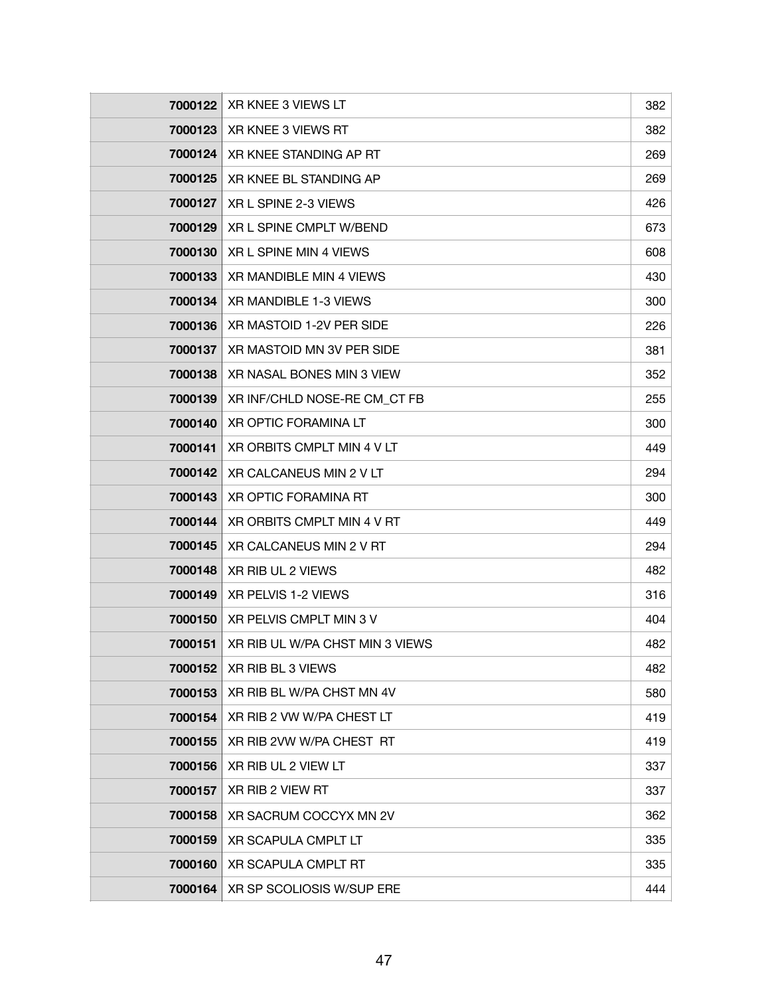| 7000122 | XR KNEE 3 VIEWS LT              | 382 |
|---------|---------------------------------|-----|
| 7000123 | XR KNEE 3 VIEWS RT              | 382 |
| 7000124 | XR KNEE STANDING AP RT          | 269 |
| 7000125 | XR KNEE BL STANDING AP          | 269 |
| 7000127 | XR L SPINE 2-3 VIEWS            | 426 |
| 7000129 | XR L SPINE CMPLT W/BEND         | 673 |
| 7000130 | XR L SPINE MIN 4 VIEWS          | 608 |
| 7000133 | XR MANDIBLE MIN 4 VIEWS         | 430 |
| 7000134 | XR MANDIBLE 1-3 VIEWS           | 300 |
| 7000136 | XR MASTOID 1-2V PER SIDE        | 226 |
| 7000137 | XR MASTOID MN 3V PER SIDE       | 381 |
| 7000138 | XR NASAL BONES MIN 3 VIEW       | 352 |
| 7000139 | XR INF/CHLD NOSE-RE CM_CT FB    | 255 |
| 7000140 | XR OPTIC FORAMINA LT            | 300 |
| 7000141 | XR ORBITS CMPLT MIN 4 V LT      | 449 |
| 7000142 | XR CALCANEUS MIN 2 V LT         | 294 |
| 7000143 | <b>XR OPTIC FORAMINA RT</b>     | 300 |
| 7000144 | XR ORBITS CMPLT MIN 4 V RT      | 449 |
| 7000145 | XR CALCANEUS MIN 2 V RT         | 294 |
| 7000148 | XR RIB UL 2 VIEWS               | 482 |
| 7000149 | XR PELVIS 1-2 VIEWS             | 316 |
| 7000150 | XR PELVIS CMPLT MIN 3 V         | 404 |
| 7000151 | XR RIB UL W/PA CHST MIN 3 VIEWS | 482 |
| 7000152 | XR RIB BL 3 VIEWS               | 482 |
| 7000153 | XR RIB BL W/PA CHST MN 4V       | 580 |
| 7000154 | XR RIB 2 VW W/PA CHEST LT       | 419 |
| 7000155 | XR RIB 2VW W/PA CHEST RT        | 419 |
| 7000156 | XR RIB UL 2 VIEW LT             | 337 |
| 7000157 | XR RIB 2 VIEW RT                | 337 |
| 7000158 | XR SACRUM COCCYX MN 2V          | 362 |
| 7000159 | XR SCAPULA CMPLT LT             | 335 |
| 7000160 | <b>XR SCAPULA CMPLT RT</b>      | 335 |
| 7000164 | XR SP SCOLIOSIS W/SUP ERE       | 444 |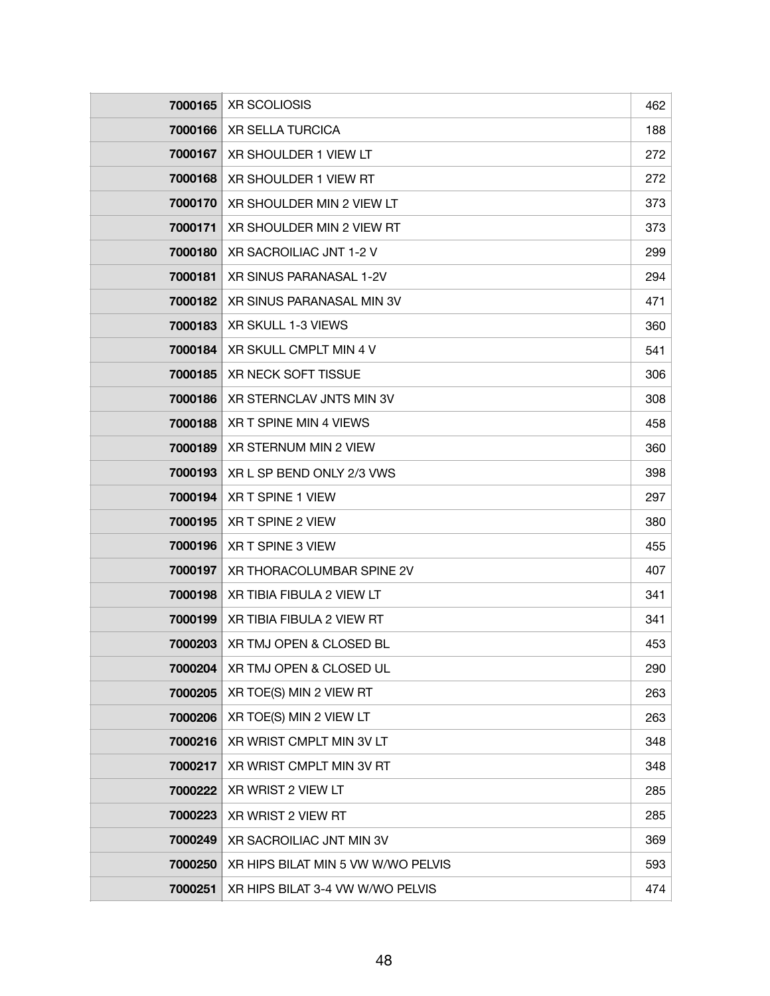| 7000165 | <b>XR SCOLIOSIS</b>                | 462 |
|---------|------------------------------------|-----|
| 7000166 | <b>XR SELLA TURCICA</b>            | 188 |
| 7000167 | XR SHOULDER 1 VIEW LT              | 272 |
| 7000168 | XR SHOULDER 1 VIEW RT              | 272 |
| 7000170 | XR SHOULDER MIN 2 VIEW LT          | 373 |
| 7000171 | XR SHOULDER MIN 2 VIEW RT          | 373 |
| 7000180 | XR SACROILIAC JNT 1-2 V            | 299 |
| 7000181 | XR SINUS PARANASAL 1-2V            | 294 |
| 7000182 | XR SINUS PARANASAL MIN 3V          | 471 |
| 7000183 | XR SKULL 1-3 VIEWS                 | 360 |
| 7000184 | XR SKULL CMPLT MIN 4 V             | 541 |
| 7000185 | <b>XR NECK SOFT TISSUE</b>         | 306 |
| 7000186 | XR STERNCLAV JNTS MIN 3V           | 308 |
| 7000188 | XR T SPINE MIN 4 VIEWS             | 458 |
| 7000189 | XR STERNUM MIN 2 VIEW              | 360 |
| 7000193 | XR L SP BEND ONLY 2/3 VWS          | 398 |
| 7000194 | XR T SPINE 1 VIEW                  | 297 |
| 7000195 | XR T SPINE 2 VIEW                  | 380 |
| 7000196 | XR T SPINE 3 VIEW                  | 455 |
| 7000197 | XR THORACOLUMBAR SPINE 2V          | 407 |
| 7000198 | XR TIBIA FIBULA 2 VIEW LT          | 341 |
| 7000199 | XR TIBIA FIBULA 2 VIEW RT          | 341 |
| 7000203 | XR TMJ OPEN & CLOSED BL            | 453 |
| 7000204 | XR TMJ OPEN & CLOSED UL            | 290 |
| 7000205 | XR TOE(S) MIN 2 VIEW RT            | 263 |
| 7000206 | XR TOE(S) MIN 2 VIEW LT            | 263 |
| 7000216 | XR WRIST CMPLT MIN 3V LT           | 348 |
| 7000217 | XR WRIST CMPLT MIN 3V RT           | 348 |
| 7000222 | XR WRIST 2 VIEW LT                 | 285 |
| 7000223 | XR WRIST 2 VIEW RT                 | 285 |
| 7000249 | XR SACROILIAC JNT MIN 3V           | 369 |
| 7000250 | XR HIPS BILAT MIN 5 VW W/WO PELVIS | 593 |
| 7000251 | XR HIPS BILAT 3-4 VW W/WO PELVIS   | 474 |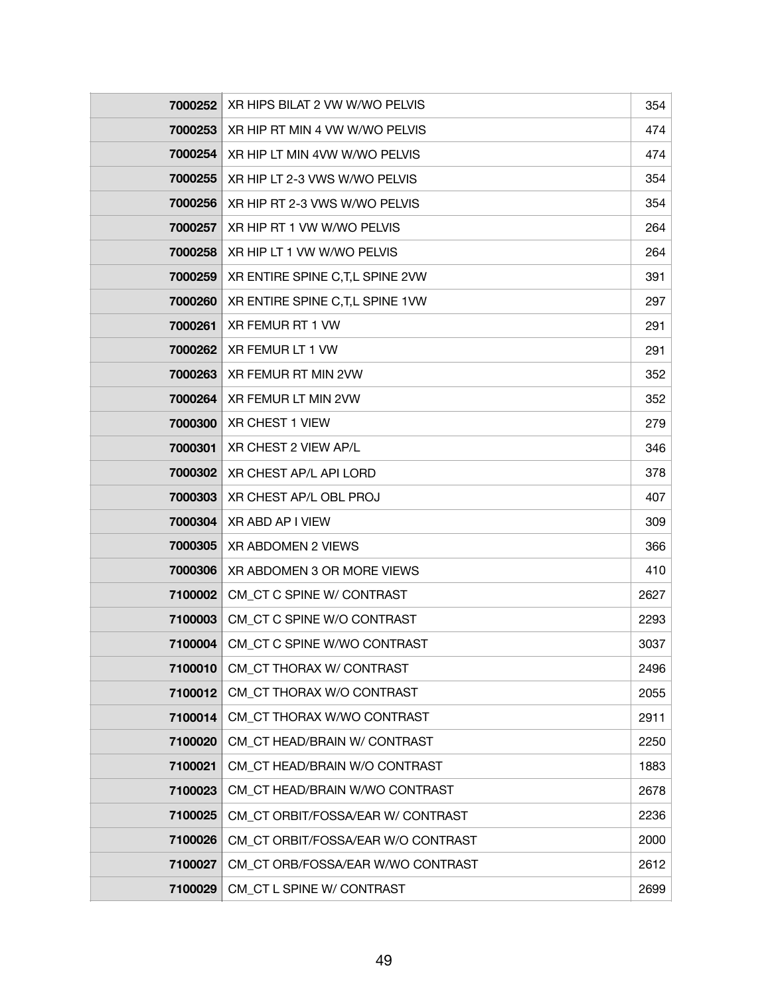| 7000252 | XR HIPS BILAT 2 VW W/WO PELVIS     | 354  |
|---------|------------------------------------|------|
| 7000253 | XR HIP RT MIN 4 VW W/WO PELVIS     | 474  |
| 7000254 | XR HIP LT MIN 4VW W/WO PELVIS      | 474  |
| 7000255 | XR HIP LT 2-3 VWS W/WO PELVIS      | 354  |
| 7000256 | XR HIP RT 2-3 VWS W/WO PELVIS      | 354  |
| 7000257 | XR HIP RT 1 VW W/WO PELVIS         | 264  |
| 7000258 | XR HIP LT 1 VW W/WO PELVIS         | 264  |
| 7000259 | XR ENTIRE SPINE C, T, L SPINE 2VW  | 391  |
| 7000260 | XR ENTIRE SPINE C, T, L SPINE 1VW  | 297  |
| 7000261 | XR FEMUR RT 1 VW                   | 291  |
| 7000262 | XR FEMUR LT 1 VW                   | 291  |
| 7000263 | XR FEMUR RT MIN 2VW                | 352  |
| 7000264 | XR FEMUR LT MIN 2VW                | 352  |
| 7000300 | <b>XR CHEST 1 VIEW</b>             | 279  |
| 7000301 | XR CHEST 2 VIEW AP/L               | 346  |
| 7000302 | XR CHEST AP/L API LORD             | 378  |
| 7000303 | XR CHEST AP/L OBL PROJ             | 407  |
| 7000304 | XR ABD AP I VIEW                   | 309  |
| 7000305 | XR ABDOMEN 2 VIEWS                 | 366  |
| 7000306 | XR ABDOMEN 3 OR MORE VIEWS         | 410  |
| 7100002 | CM CT C SPINE W/ CONTRAST          | 2627 |
| 7100003 | CM CT C SPINE W/O CONTRAST         | 2293 |
| 7100004 | CM_CT C SPINE W/WO CONTRAST        | 3037 |
| 7100010 | CM_CT THORAX W/ CONTRAST           | 2496 |
| 7100012 | CM CT THORAX W/O CONTRAST          | 2055 |
| 7100014 | CM CT THORAX W/WO CONTRAST         | 2911 |
| 7100020 | CM_CT HEAD/BRAIN W/ CONTRAST       | 2250 |
| 7100021 | CM_CT HEAD/BRAIN W/O CONTRAST      | 1883 |
| 7100023 | CM CT HEAD/BRAIN W/WO CONTRAST     | 2678 |
| 7100025 | CM CT ORBIT/FOSSA/EAR W/ CONTRAST  | 2236 |
| 7100026 | CM CT ORBIT/FOSSA/EAR W/O CONTRAST | 2000 |
| 7100027 | CM CT ORB/FOSSA/EAR W/WO CONTRAST  | 2612 |
| 7100029 | CM_CT L SPINE W/ CONTRAST          | 2699 |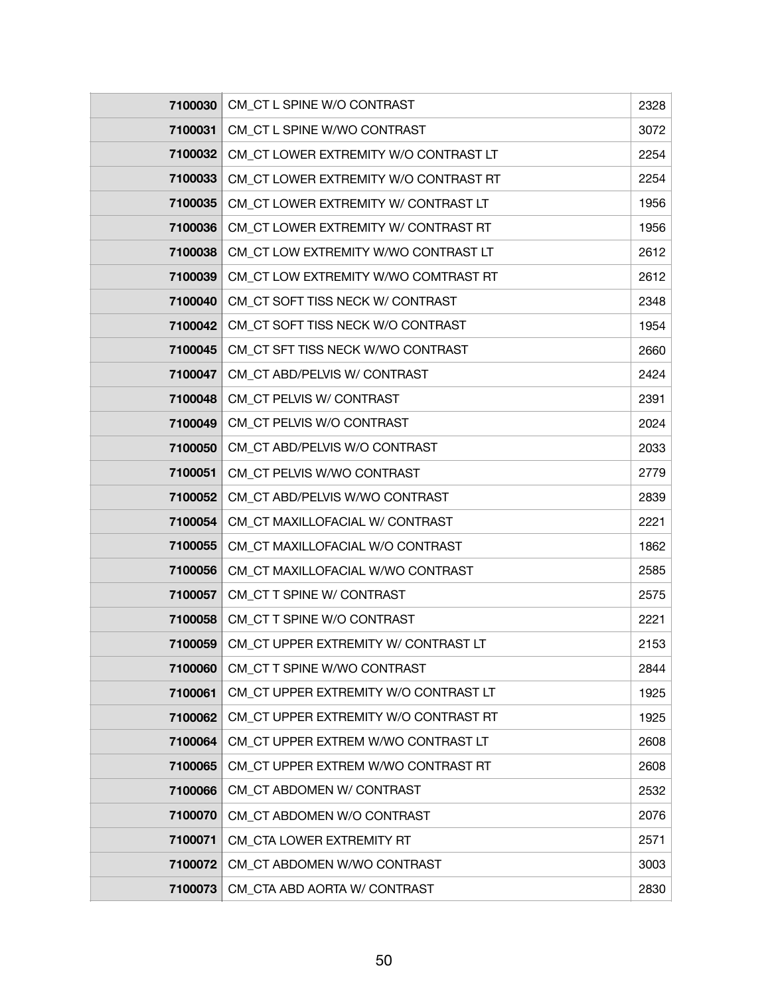| 7100030   | CM_CT L SPINE W/O CONTRAST            | 2328 |
|-----------|---------------------------------------|------|
| 7100031   | CM_CT L SPINE W/WO CONTRAST           | 3072 |
| 7100032   | CM_CT LOWER EXTREMITY W/O CONTRAST LT | 2254 |
| 7100033   | CM_CT LOWER EXTREMITY W/O CONTRAST RT | 2254 |
| 7100035   | CM_CT LOWER EXTREMITY W/ CONTRAST LT  | 1956 |
| 7100036   | CM_CT LOWER EXTREMITY W/ CONTRAST RT  | 1956 |
| 7100038   | CM_CT LOW EXTREMITY W/WO CONTRAST LT  | 2612 |
| 7100039   | CM_CT LOW EXTREMITY W/WO COMTRAST RT  | 2612 |
| 7100040   | CM_CT SOFT TISS NECK W/ CONTRAST      | 2348 |
| 7100042   | CM_CT SOFT TISS NECK W/O CONTRAST     | 1954 |
| 7100045   | CM_CT SFT TISS NECK W/WO CONTRAST     | 2660 |
| 7100047   | CM_CT ABD/PELVIS W/ CONTRAST          | 2424 |
| 7100048   | CM_CT PELVIS W/ CONTRAST              | 2391 |
| 7100049   | CM_CT PELVIS W/O CONTRAST             | 2024 |
| 7100050   | CM_CT ABD/PELVIS W/O CONTRAST         | 2033 |
| 7100051   | CM CT PELVIS W/WO CONTRAST            | 2779 |
| 7100052   | CM_CT ABD/PELVIS W/WO CONTRAST        | 2839 |
| 7100054   | CM_CT MAXILLOFACIAL W/ CONTRAST       | 2221 |
| 7100055   | CM_CT MAXILLOFACIAL W/O CONTRAST      | 1862 |
| 7100056   | CM CT MAXILLOFACIAL W/WO CONTRAST     | 2585 |
| 7100057   | CM_CT T SPINE W/ CONTRAST             | 2575 |
| 7100058   | CM CT T SPINE W/O CONTRAST            | 2221 |
| 7100059 ∣ | CM CT UPPER EXTREMITY W/ CONTRAST LT  | 2153 |
| 7100060   | CM_CT T SPINE W/WO CONTRAST           | 2844 |
| 7100061   | CM_CT UPPER EXTREMITY W/O CONTRAST LT | 1925 |
| 7100062   | CM CT UPPER EXTREMITY W/O CONTRAST RT | 1925 |
| 7100064   | CM_CT UPPER EXTREM W/WO CONTRAST LT   | 2608 |
| 7100065   | CM CT UPPER EXTREM W/WO CONTRAST RT   | 2608 |
| 7100066   | CM CT ABDOMEN W/ CONTRAST             | 2532 |
| 7100070   | CM_CT ABDOMEN W/O CONTRAST            | 2076 |
| 7100071   | CM_CTA LOWER EXTREMITY RT             | 2571 |
| 7100072   | CM CT ABDOMEN W/WO CONTRAST           | 3003 |
| 7100073   | CM_CTA ABD AORTA W/ CONTRAST          | 2830 |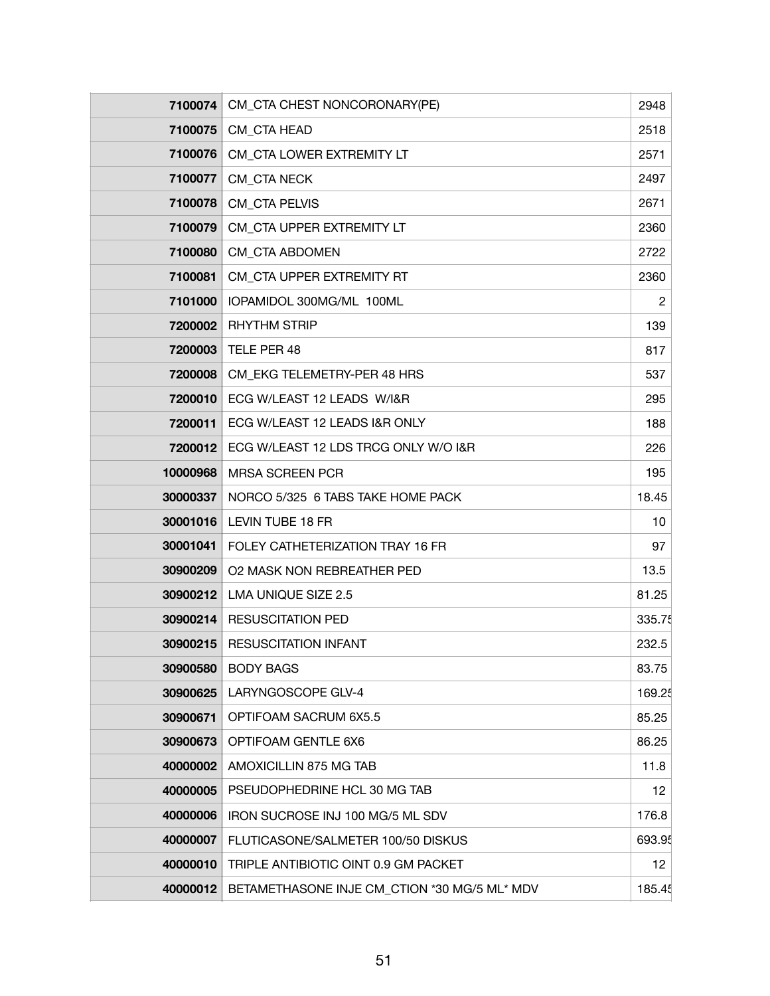| 7100074  | CM_CTA CHEST NONCORONARY(PE)                 | 2948           |
|----------|----------------------------------------------|----------------|
| 7100075  | CM_CTA HEAD                                  | 2518           |
| 7100076  | CM_CTA LOWER EXTREMITY LT                    | 2571           |
| 7100077  | <b>CM_CTA NECK</b>                           | 2497           |
| 7100078  | <b>CM_CTA PELVIS</b>                         | 2671           |
| 7100079  | CM_CTA UPPER EXTREMITY LT                    | 2360           |
| 7100080  | <b>CM_CTA ABDOMEN</b>                        | 2722           |
| 7100081  | CM_CTA UPPER EXTREMITY RT                    | 2360           |
| 7101000  | IOPAMIDOL 300MG/ML 100ML                     | $\overline{c}$ |
| 7200002  | <b>RHYTHM STRIP</b>                          | 139            |
| 7200003  | TELE PER 48                                  | 817            |
| 7200008  | CM_EKG TELEMETRY-PER 48 HRS                  | 537            |
| 7200010  | ECG W/LEAST 12 LEADS W/I&R                   | 295            |
| 7200011  | ECG W/LEAST 12 LEADS I&R ONLY                | 188            |
| 7200012  | ECG W/LEAST 12 LDS TRCG ONLY W/O I&R         | 226            |
| 10000968 | <b>MRSA SCREEN PCR</b>                       | 195            |
| 30000337 | NORCO 5/325 6 TABS TAKE HOME PACK            | 18.45          |
| 30001016 | LEVIN TUBE 18 FR                             | 10             |
| 30001041 | FOLEY CATHETERIZATION TRAY 16 FR             | 97             |
| 30900209 | <b>O2 MASK NON REBREATHER PED</b>            | 13.5           |
| 30900212 | LMA UNIQUE SIZE 2.5                          | 81.25          |
| 30900214 | <b>RESUSCITATION PED</b>                     | 335.75         |
| 30900215 | <b>RESUSCITATION INFANT</b>                  | 232.5          |
| 30900580 | <b>BODY BAGS</b>                             | 83.75          |
| 30900625 | LARYNGOSCOPE GLV-4                           | 169.25         |
| 30900671 | OPTIFOAM SACRUM 6X5.5                        | 85.25          |
| 30900673 | OPTIFOAM GENTLE 6X6                          | 86.25          |
| 40000002 | AMOXICILLIN 875 MG TAB                       | 11.8           |
| 40000005 | PSEUDOPHEDRINE HCL 30 MG TAB                 | 12             |
| 40000006 | IRON SUCROSE INJ 100 MG/5 ML SDV             | 176.8          |
| 40000007 | FLUTICASONE/SALMETER 100/50 DISKUS           | 693.95         |
| 40000010 | TRIPLE ANTIBIOTIC OINT 0.9 GM PACKET         | 12             |
| 40000012 | BETAMETHASONE INJE CM_CTION *30 MG/5 ML* MDV | 185.45         |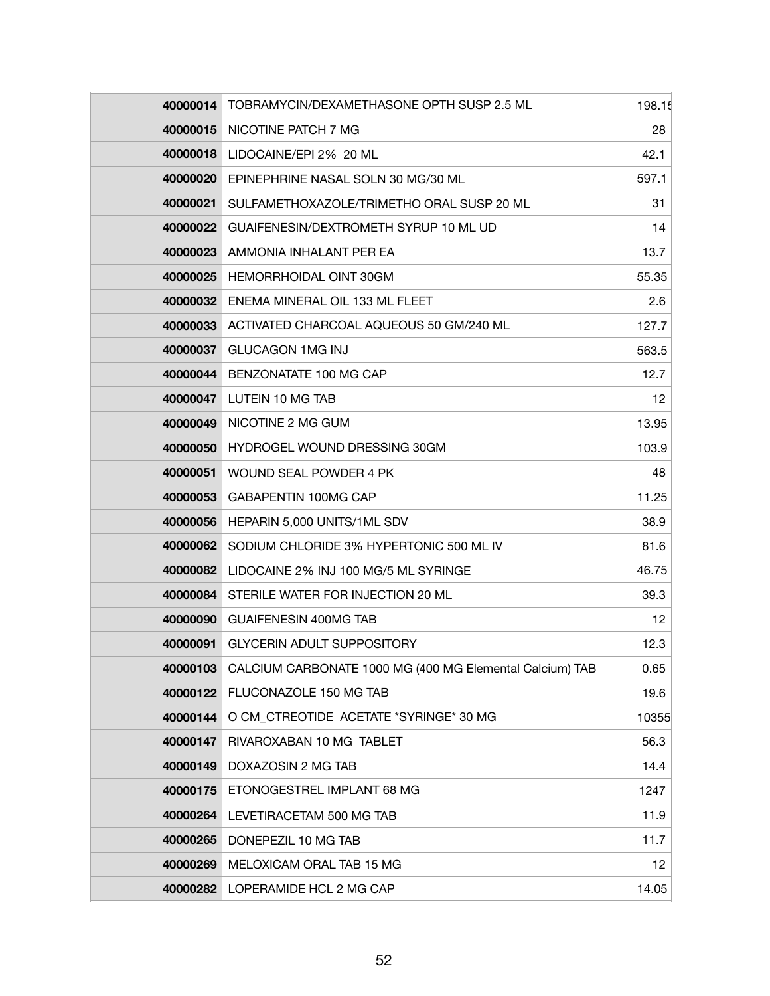| 40000014 | TOBRAMYCIN/DEXAMETHASONE OPTH SUSP 2.5 ML                | 198.15 |
|----------|----------------------------------------------------------|--------|
|          | 40000015   NICOTINE PATCH 7 MG                           | 28     |
| 40000018 | LIDOCAINE/EPI 2% 20 ML                                   | 42.1   |
| 40000020 | EPINEPHRINE NASAL SOLN 30 MG/30 ML                       | 597.1  |
| 40000021 | SULFAMETHOXAZOLE/TRIMETHO ORAL SUSP 20 ML                | 31     |
| 40000022 | GUAIFENESIN/DEXTROMETH SYRUP 10 ML UD                    | 14     |
| 40000023 | AMMONIA INHALANT PER EA                                  | 13.7   |
| 40000025 | HEMORRHOIDAL OINT 30GM                                   | 55.35  |
| 40000032 | ENEMA MINERAL OIL 133 ML FLEET                           | 2.6    |
| 40000033 | ACTIVATED CHARCOAL AQUEOUS 50 GM/240 ML                  | 127.7  |
| 40000037 | <b>GLUCAGON 1MG INJ</b>                                  | 563.5  |
| 40000044 | BENZONATATE 100 MG CAP                                   | 12.7   |
| 40000047 | LUTEIN 10 MG TAB                                         | 12     |
| 40000049 | NICOTINE 2 MG GUM                                        | 13.95  |
| 40000050 | HYDROGEL WOUND DRESSING 30GM                             | 103.9  |
| 40000051 | WOUND SEAL POWDER 4 PK                                   | 48     |
| 40000053 | <b>GABAPENTIN 100MG CAP</b>                              | 11.25  |
| 40000056 | HEPARIN 5,000 UNITS/1ML SDV                              | 38.9   |
| 40000062 | SODIUM CHLORIDE 3% HYPERTONIC 500 ML IV                  | 81.6   |
| 40000082 | LIDOCAINE 2% INJ 100 MG/5 ML SYRINGE                     | 46.75  |
| 40000084 | STERILE WATER FOR INJECTION 20 ML                        | 39.3   |
| 40000090 | <b>GUAIFENESIN 400MG TAB</b>                             | 12     |
| 40000091 | <b>GLYCERIN ADULT SUPPOSITORY</b>                        | 12.3   |
| 40000103 | CALCIUM CARBONATE 1000 MG (400 MG Elemental Calcium) TAB | 0.65   |
| 40000122 | FLUCONAZOLE 150 MG TAB                                   | 19.6   |
| 40000144 | O CM CTREOTIDE ACETATE *SYRINGE* 30 MG                   | 10355  |
| 40000147 | RIVAROXABAN 10 MG TABLET                                 | 56.3   |
| 40000149 | DOXAZOSIN 2 MG TAB                                       | 14.4   |
| 40000175 | ETONOGESTREL IMPLANT 68 MG                               | 1247   |
| 40000264 | LEVETIRACETAM 500 MG TAB                                 | 11.9   |
| 40000265 | DONEPEZIL 10 MG TAB                                      | 11.7   |
| 40000269 | MELOXICAM ORAL TAB 15 MG                                 | 12     |
| 40000282 | LOPERAMIDE HCL 2 MG CAP                                  | 14.05  |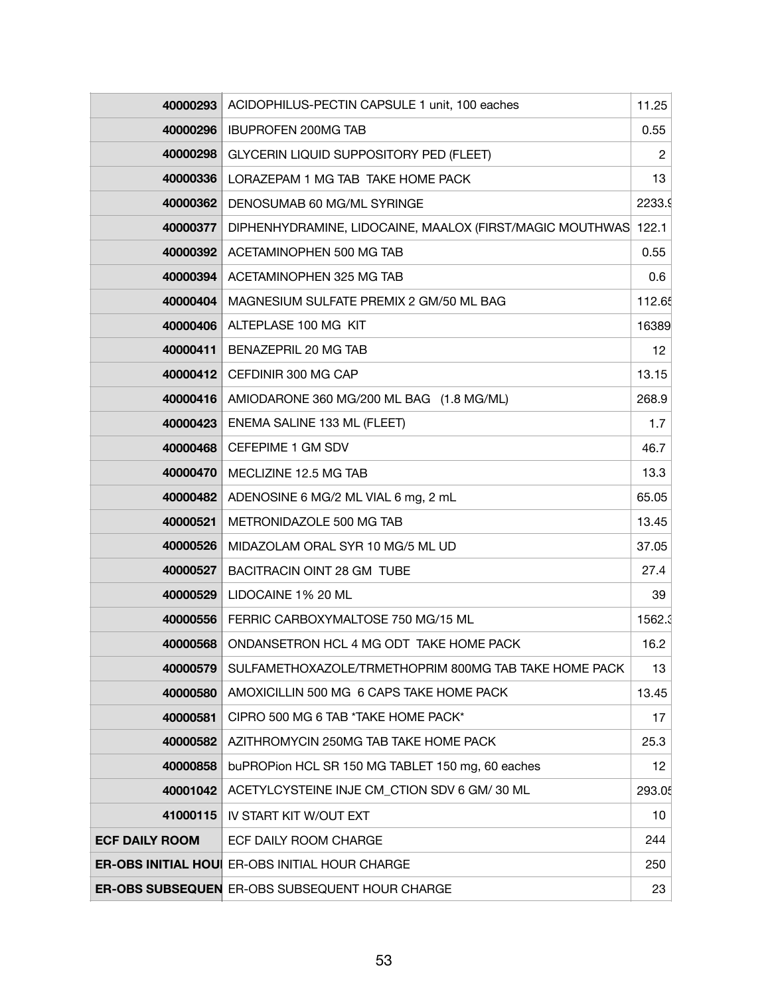| 40000293              | ACIDOPHILUS-PECTIN CAPSULE 1 unit, 100 eaches                  | 11.25          |
|-----------------------|----------------------------------------------------------------|----------------|
| 40000296              | <b>IBUPROFEN 200MG TAB</b>                                     | 0.55           |
| 40000298              | GLYCERIN LIQUID SUPPOSITORY PED (FLEET)                        | $\overline{c}$ |
| 40000336              | LORAZEPAM 1 MG TAB TAKE HOME PACK                              | 13             |
| 40000362              | DENOSUMAB 60 MG/ML SYRINGE                                     | 2233.9         |
| 40000377              | DIPHENHYDRAMINE, LIDOCAINE, MAALOX (FIRST/MAGIC MOUTHWAS 122.1 |                |
| 40000392              | ACETAMINOPHEN 500 MG TAB                                       | 0.55           |
| 40000394              | ACETAMINOPHEN 325 MG TAB                                       | 0.6            |
| 40000404              | MAGNESIUM SULFATE PREMIX 2 GM/50 ML BAG                        | 112.65         |
| 40000406              | ALTEPLASE 100 MG KIT                                           | 16389          |
| 40000411              | BENAZEPRIL 20 MG TAB                                           | 12             |
| 40000412              | CEFDINIR 300 MG CAP                                            | 13.15          |
| 40000416              | AMIODARONE 360 MG/200 ML BAG (1.8 MG/ML)                       | 268.9          |
| 40000423              | ENEMA SALINE 133 ML (FLEET)                                    | 1.7            |
| 40000468              | CEFEPIME 1 GM SDV                                              | 46.7           |
| 40000470              | MECLIZINE 12.5 MG TAB                                          | 13.3           |
| 40000482              | ADENOSINE 6 MG/2 ML VIAL 6 mg, 2 mL                            | 65.05          |
| 40000521              | METRONIDAZOLE 500 MG TAB                                       | 13.45          |
| 40000526              | MIDAZOLAM ORAL SYR 10 MG/5 ML UD                               | 37.05          |
| 40000527              | BACITRACIN OINT 28 GM TUBE                                     | 27.4           |
| 40000529              | LIDOCAINE 1% 20 ML                                             | 39             |
| 40000556              | FERRIC CARBOXYMALTOSE 750 MG/15 ML                             | 1562.3         |
| 40000568              | ONDANSETRON HCL 4 MG ODT TAKE HOME PACK                        | 16.2           |
| 40000579              | SULFAMETHOXAZOLE/TRMETHOPRIM 800MG TAB TAKE HOME PACK          | 13             |
| 40000580              | AMOXICILLIN 500 MG 6 CAPS TAKE HOME PACK                       | 13.45          |
| 40000581              | CIPRO 500 MG 6 TAB *TAKE HOME PACK*                            | 17             |
| 40000582              | AZITHROMYCIN 250MG TAB TAKE HOME PACK                          | 25.3           |
| 40000858              | buPROPion HCL SR 150 MG TABLET 150 mg, 60 eaches               | 12             |
| 40001042              | ACETYLCYSTEINE INJE CM_CTION SDV 6 GM/ 30 ML                   | 293.05         |
| 41000115              | IV START KIT W/OUT EXT                                         | 10             |
| <b>ECF DAILY ROOM</b> | ECF DAILY ROOM CHARGE                                          | 244            |
|                       | <b>ER-OBS INITIAL HOUI ER-OBS INITIAL HOUR CHARGE</b>          | 250            |
|                       | <b>ER-OBS SUBSEQUEN ER-OBS SUBSEQUENT HOUR CHARGE</b>          | 23             |